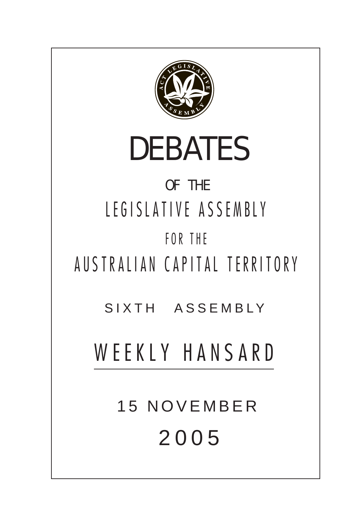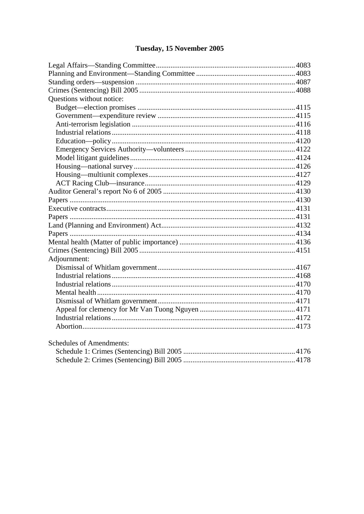# Tuesday, 15 November 2005

| Questions without notice:       |  |
|---------------------------------|--|
|                                 |  |
|                                 |  |
|                                 |  |
|                                 |  |
|                                 |  |
|                                 |  |
|                                 |  |
|                                 |  |
|                                 |  |
|                                 |  |
|                                 |  |
|                                 |  |
|                                 |  |
|                                 |  |
|                                 |  |
|                                 |  |
|                                 |  |
|                                 |  |
| Adjournment:                    |  |
|                                 |  |
|                                 |  |
|                                 |  |
|                                 |  |
|                                 |  |
|                                 |  |
|                                 |  |
|                                 |  |
|                                 |  |
| <b>Schedules of Amendments:</b> |  |
|                                 |  |
|                                 |  |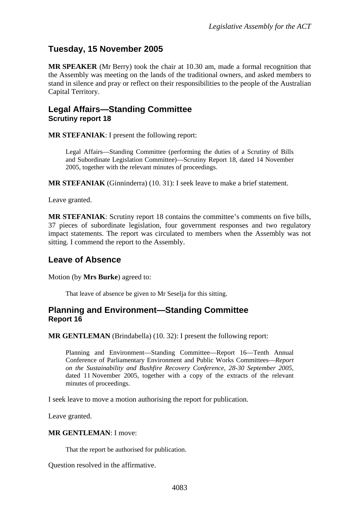# <span id="page-2-0"></span>**Tuesday, 15 November 2005**

**MR SPEAKER** (Mr Berry) took the chair at 10.30 am, made a formal recognition that the Assembly was meeting on the lands of the traditional owners, and asked members to stand in silence and pray or reflect on their responsibilities to the people of the Australian Capital Territory.

## **Legal Affairs—Standing Committee Scrutiny report 18**

**MR STEFANIAK**: I present the following report:

Legal Affairs—Standing Committee (performing the duties of a Scrutiny of Bills and Subordinate Legislation Committee)—Scrutiny Report 18*,* dated 14 November 2005, together with the relevant minutes of proceedings.

**MR STEFANIAK** (Ginninderra) (10. 31): I seek leave to make a brief statement.

Leave granted.

**MR STEFANIAK**: Scrutiny report 18 contains the committee's comments on five bills, 37 pieces of subordinate legislation, four government responses and two regulatory impact statements. The report was circulated to members when the Assembly was not sitting. I commend the report to the Assembly.

## **Leave of Absence**

Motion (by **Mrs Burke**) agreed to:

That leave of absence be given to Mr Seselja for this sitting.

## **Planning and Environment—Standing Committee Report 16**

**MR GENTLEMAN** (Brindabella) (10. 32): I present the following report:

Planning and Environment—Standing Committee—Report 16—Tenth Annual Conference of Parliamentary Environment and Public Works Committees—*Report on the Sustainability and Bushfire Recovery Conference, 28-30 September 2005,* dated 11 November 2005, together with a copy of the extracts of the relevant minutes of proceedings.

I seek leave to move a motion authorising the report for publication.

Leave granted.

**MR GENTLEMAN**: I move:

That the report be authorised for publication.

Question resolved in the affirmative.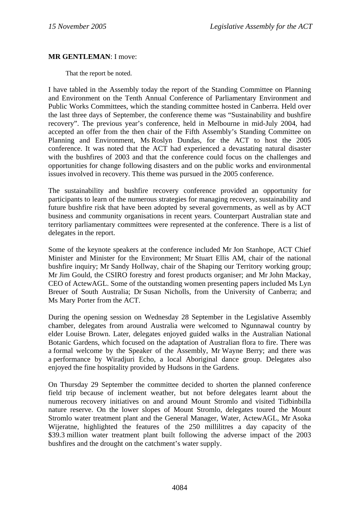#### **MR GENTLEMAN**: I move:

That the report be noted.

I have tabled in the Assembly today the report of the Standing Committee on Planning and Environment on the Tenth Annual Conference of Parliamentary Environment and Public Works Committees, which the standing committee hosted in Canberra. Held over the last three days of September, the conference theme was "Sustainability and bushfire recovery". The previous year's conference, held in Melbourne in mid-July 2004, had accepted an offer from the then chair of the Fifth Assembly's Standing Committee on Planning and Environment, Ms Roslyn Dundas, for the ACT to host the 2005 conference. It was noted that the ACT had experienced a devastating natural disaster with the bushfires of 2003 and that the conference could focus on the challenges and opportunities for change following disasters and on the public works and environmental issues involved in recovery. This theme was pursued in the 2005 conference.

The sustainability and bushfire recovery conference provided an opportunity for participants to learn of the numerous strategies for managing recovery, sustainability and future bushfire risk that have been adopted by several governments, as well as by ACT business and community organisations in recent years. Counterpart Australian state and territory parliamentary committees were represented at the conference. There is a list of delegates in the report.

Some of the keynote speakers at the conference included Mr Jon Stanhope, ACT Chief Minister and Minister for the Environment; Mr Stuart Ellis AM, chair of the national bushfire inquiry; Mr Sandy Hollway, chair of the Shaping our Territory working group; Mr Jim Gould, the CSIRO forestry and forest products organiser; and Mr John Mackay, CEO of ActewAGL. Some of the outstanding women presenting papers included Ms Lyn Breuer of South Australia; Dr Susan Nicholls, from the University of Canberra; and Ms Mary Porter from the ACT.

During the opening session on Wednesday 28 September in the Legislative Assembly chamber, delegates from around Australia were welcomed to Ngunnawal country by elder Louise Brown. Later, delegates enjoyed guided walks in the Australian National Botanic Gardens, which focused on the adaptation of Australian flora to fire. There was a formal welcome by the Speaker of the Assembly, Mr Wayne Berry; and there was a performance by Wiradjuri Echo, a local Aboriginal dance group. Delegates also enjoyed the fine hospitality provided by Hudsons in the Gardens.

On Thursday 29 September the committee decided to shorten the planned conference field trip because of inclement weather, but not before delegates learnt about the numerous recovery initiatives on and around Mount Stromlo and visited Tidbinbilla nature reserve. On the lower slopes of Mount Stromlo, delegates toured the Mount Stromlo water treatment plant and the General Manager, Water, ActewAGL, Mr Asoka Wijeratne, highlighted the features of the 250 millilitres a day capacity of the \$39.3 million water treatment plant built following the adverse impact of the 2003 bushfires and the drought on the catchment's water supply.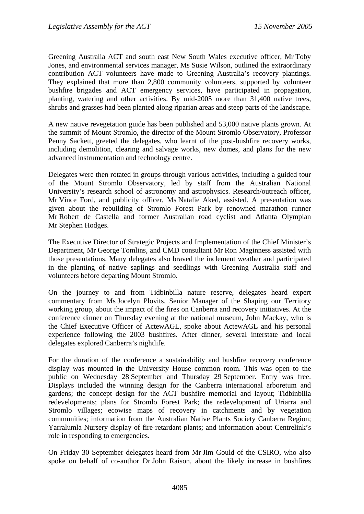Greening Australia ACT and south east New South Wales executive officer, Mr Toby Jones, and environmental services manager, Ms Susie Wilson, outlined the extraordinary contribution ACT volunteers have made to Greening Australia's recovery plantings. They explained that more than 2,800 community volunteers, supported by volunteer bushfire brigades and ACT emergency services, have participated in propagation, planting, watering and other activities. By mid-2005 more than 31,400 native trees, shrubs and grasses had been planted along riparian areas and steep parts of the landscape.

A new native revegetation guide has been published and 53,000 native plants grown. At the summit of Mount Stromlo, the director of the Mount Stromlo Observatory, Professor Penny Sackett, greeted the delegates, who learnt of the post-bushfire recovery works, including demolition, clearing and salvage works, new domes, and plans for the new advanced instrumentation and technology centre.

Delegates were then rotated in groups through various activities, including a guided tour of the Mount Stromlo Observatory, led by staff from the Australian National University's research school of astronomy and astrophysics. Research/outreach officer, Mr Vince Ford, and publicity officer, Ms Natalie Aked, assisted. A presentation was given about the rebuilding of Stromlo Forest Park by renowned marathon runner Mr Robert de Castella and former Australian road cyclist and Atlanta Olympian Mr Stephen Hodges.

The Executive Director of Strategic Projects and Implementation of the Chief Minister's Department, Mr George Tomlins, and CMD consultant Mr Ron Maginness assisted with those presentations. Many delegates also braved the inclement weather and participated in the planting of native saplings and seedlings with Greening Australia staff and volunteers before departing Mount Stromlo.

On the journey to and from Tidbinbilla nature reserve, delegates heard expert commentary from Ms Jocelyn Plovits, Senior Manager of the Shaping our Territory working group, about the impact of the fires on Canberra and recovery initiatives. At the conference dinner on Thursday evening at the national museum, John Mackay, who is the Chief Executive Officer of ActewAGL, spoke about ActewAGL and his personal experience following the 2003 bushfires. After dinner, several interstate and local delegates explored Canberra's nightlife.

For the duration of the conference a sustainability and bushfire recovery conference display was mounted in the University House common room. This was open to the public on Wednesday 28 September and Thursday 29 September. Entry was free. Displays included the winning design for the Canberra international arboretum and gardens; the concept design for the ACT bushfire memorial and layout; Tidbinbilla redevelopments; plans for Stromlo Forest Park; the redevelopment of Uriarra and Stromlo villages; ecowise maps of recovery in catchments and by vegetation communities; information from the Australian Native Plants Society Canberra Region; Yarralumla Nursery display of fire-retardant plants; and information about Centrelink's role in responding to emergencies.

On Friday 30 September delegates heard from Mr Jim Gould of the CSIRO, who also spoke on behalf of co-author Dr John Raison, about the likely increase in bushfires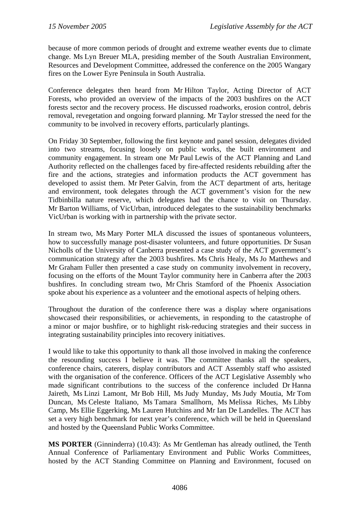because of more common periods of drought and extreme weather events due to climate change. Ms Lyn Breuer MLA, presiding member of the South Australian Environment, Resources and Development Committee, addressed the conference on the 2005 Wangary fires on the Lower Eyre Peninsula in South Australia.

Conference delegates then heard from Mr Hilton Taylor, Acting Director of ACT Forests, who provided an overview of the impacts of the 2003 bushfires on the ACT forests sector and the recovery process. He discussed roadworks, erosion control, debris removal, revegetation and ongoing forward planning. Mr Taylor stressed the need for the community to be involved in recovery efforts, particularly plantings.

On Friday 30 September, following the first keynote and panel session, delegates divided into two streams, focusing loosely on public works, the built environment and community engagement. In stream one Mr Paul Lewis of the ACT Planning and Land Authority reflected on the challenges faced by fire-affected residents rebuilding after the fire and the actions, strategies and information products the ACT government has developed to assist them. Mr Peter Galvin, from the ACT department of arts, heritage and environment, took delegates through the ACT government's vision for the new Tidbinbilla nature reserve, which delegates had the chance to visit on Thursday. Mr Barton Williams, of VicUrban, introduced delegates to the sustainability benchmarks VicUrban is working with in partnership with the private sector.

In stream two, Ms Mary Porter MLA discussed the issues of spontaneous volunteers, how to successfully manage post-disaster volunteers, and future opportunities. Dr Susan Nicholls of the University of Canberra presented a case study of the ACT government's communication strategy after the 2003 bushfires. Ms Chris Healy, Ms Jo Matthews and Mr Graham Fuller then presented a case study on community involvement in recovery, focusing on the efforts of the Mount Taylor community here in Canberra after the 2003 bushfires. In concluding stream two, Mr Chris Stamford of the Phoenix Association spoke about his experience as a volunteer and the emotional aspects of helping others.

Throughout the duration of the conference there was a display where organisations showcased their responsibilities, or achievements, in responding to the catastrophe of a minor or major bushfire, or to highlight risk-reducing strategies and their success in integrating sustainability principles into recovery initiatives.

I would like to take this opportunity to thank all those involved in making the conference the resounding success I believe it was. The committee thanks all the speakers, conference chairs, caterers, display contributors and ACT Assembly staff who assisted with the organisation of the conference. Officers of the ACT Legislative Assembly who made significant contributions to the success of the conference included Dr Hanna Jaireth, Ms Linzi Lamont, Mr Bob Hill, Ms Judy Munday, Ms Judy Moutia, Mr Tom Duncan, Ms Celeste Italiano, Ms Tamara Smallhorn, Ms Melissa Riches, Ms Libby Camp, Ms Ellie Eggerking, Ms Lauren Hutchins and Mr Ian De Landelles. The ACT has set a very high benchmark for next year's conference, which will be held in Queensland and hosted by the Queensland Public Works Committee.

**MS PORTER** (Ginninderra) (10.43): As Mr Gentleman has already outlined, the Tenth Annual Conference of Parliamentary Environment and Public Works Committees, hosted by the ACT Standing Committee on Planning and Environment, focused on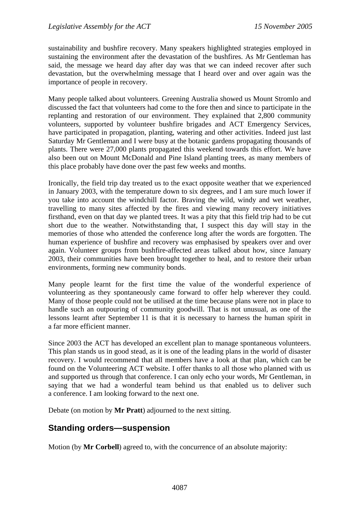<span id="page-6-0"></span>sustainability and bushfire recovery. Many speakers highlighted strategies employed in sustaining the environment after the devastation of the bushfires. As Mr Gentleman has said, the message we heard day after day was that we can indeed recover after such devastation, but the overwhelming message that I heard over and over again was the importance of people in recovery.

Many people talked about volunteers. Greening Australia showed us Mount Stromlo and discussed the fact that volunteers had come to the fore then and since to participate in the replanting and restoration of our environment. They explained that 2,800 community volunteers, supported by volunteer bushfire brigades and ACT Emergency Services, have participated in propagation, planting, watering and other activities. Indeed just last Saturday Mr Gentleman and I were busy at the botanic gardens propagating thousands of plants. There were 27,000 plants propagated this weekend towards this effort. We have also been out on Mount McDonald and Pine Island planting trees, as many members of this place probably have done over the past few weeks and months.

Ironically, the field trip day treated us to the exact opposite weather that we experienced in January 2003, with the temperature down to six degrees, and I am sure much lower if you take into account the windchill factor. Braving the wild, windy and wet weather, travelling to many sites affected by the fires and viewing many recovery initiatives firsthand, even on that day we planted trees. It was a pity that this field trip had to be cut short due to the weather. Notwithstanding that, I suspect this day will stay in the memories of those who attended the conference long after the words are forgotten. The human experience of bushfire and recovery was emphasised by speakers over and over again. Volunteer groups from bushfire-affected areas talked about how, since January 2003, their communities have been brought together to heal, and to restore their urban environments, forming new community bonds.

Many people learnt for the first time the value of the wonderful experience of volunteering as they spontaneously came forward to offer help wherever they could. Many of those people could not be utilised at the time because plans were not in place to handle such an outpouring of community goodwill. That is not unusual, as one of the lessons learnt after September 11 is that it is necessary to harness the human spirit in a far more efficient manner.

Since 2003 the ACT has developed an excellent plan to manage spontaneous volunteers. This plan stands us in good stead, as it is one of the leading plans in the world of disaster recovery. I would recommend that all members have a look at that plan, which can be found on the Volunteering ACT website. I offer thanks to all those who planned with us and supported us through that conference. I can only echo your words, Mr Gentleman, in saying that we had a wonderful team behind us that enabled us to deliver such a conference. I am looking forward to the next one.

Debate (on motion by **Mr Pratt**) adjourned to the next sitting.

## **Standing orders—suspension**

Motion (by **Mr Corbell**) agreed to, with the concurrence of an absolute majority: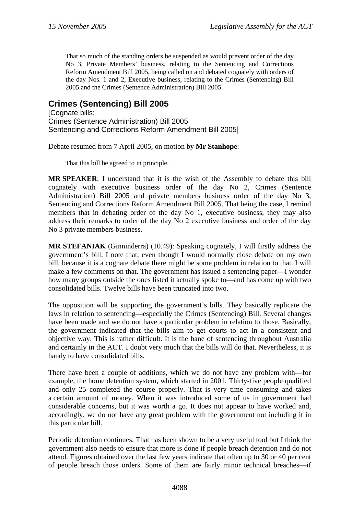<span id="page-7-0"></span>That so much of the standing orders be suspended as would prevent order of the day No 3, Private Members' business, relating to the Sentencing and Corrections Reform Amendment Bill 2005, being called on and debated cognately with orders of the day Nos. 1 and 2, Executive business, relating to the Crimes (Sentencing) Bill 2005 and the Crimes (Sentence Administration) Bill 2005.

# **Crimes (Sentencing) Bill 2005**

**[Cognate bills:** Crimes (Sentence Administration) Bill 2005 Sentencing and Corrections Reform Amendment Bill 2005]

Debate resumed from 7 April 2005, on motion by **Mr Stanhope**:

That this bill be agreed to in principle.

**MR SPEAKER**: I understand that it is the wish of the Assembly to debate this bill cognately with executive business order of the day No 2, Crimes (Sentence Administration) Bill 2005 and private members business order of the day No 3, Sentencing and Corrections Reform Amendment Bill 2005. That being the case, I remind members that in debating order of the day No 1, executive business, they may also address their remarks to order of the day No 2 executive business and order of the day No 3 private members business.

**MR STEFANIAK** (Ginninderra) (10.49): Speaking cognately, I will firstly address the government's bill. I note that, even though I would normally close debate on my own bill, because it is a cognate debate there might be some problem in relation to that. I will make a few comments on that. The government has issued a sentencing paper—I wonder how many groups outside the ones listed it actually spoke to—and has come up with two consolidated bills. Twelve bills have been truncated into two.

The opposition will be supporting the government's bills. They basically replicate the laws in relation to sentencing—especially the Crimes (Sentencing) Bill. Several changes have been made and we do not have a particular problem in relation to those. Basically, the government indicated that the bills aim to get courts to act in a consistent and objective way. This is rather difficult. It is the bane of sentencing throughout Australia and certainly in the ACT. I doubt very much that the bills will do that. Nevertheless, it is handy to have consolidated bills.

There have been a couple of additions, which we do not have any problem with—for example, the home detention system, which started in 2001. Thirty-five people qualified and only 25 completed the course properly. That is very time consuming and takes a certain amount of money. When it was introduced some of us in government had considerable concerns, but it was worth a go. It does not appear to have worked and, accordingly, we do not have any great problem with the government not including it in this particular bill.

Periodic detention continues. That has been shown to be a very useful tool but I think the government also needs to ensure that more is done if people breach detention and do not attend. Figures obtained over the last few years indicate that often up to 30 or 40 per cent of people breach those orders. Some of them are fairly minor technical breaches—if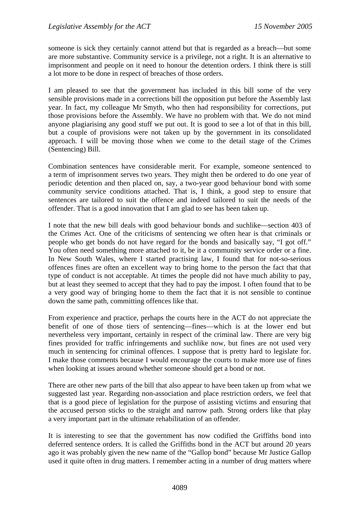someone is sick they certainly cannot attend but that is regarded as a breach—but some are more substantive. Community service is a privilege, not a right. It is an alternative to imprisonment and people on it need to honour the detention orders. I think there is still a lot more to be done in respect of breaches of those orders.

I am pleased to see that the government has included in this bill some of the very sensible provisions made in a corrections bill the opposition put before the Assembly last year. In fact, my colleague Mr Smyth, who then had responsibility for corrections, put those provisions before the Assembly. We have no problem with that. We do not mind anyone plagiarising any good stuff we put out. It is good to see a lot of that in this bill, but a couple of provisions were not taken up by the government in its consolidated approach. I will be moving those when we come to the detail stage of the Crimes (Sentencing) Bill.

Combination sentences have considerable merit. For example, someone sentenced to a term of imprisonment serves two years. They might then be ordered to do one year of periodic detention and then placed on, say, a two-year good behaviour bond with some community service conditions attached. That is, I think, a good step to ensure that sentences are tailored to suit the offence and indeed tailored to suit the needs of the offender. That is a good innovation that I am glad to see has been taken up.

I note that the new bill deals with good behaviour bonds and suchlike—section 403 of the Crimes Act. One of the criticisms of sentencing we often hear is that criminals or people who get bonds do not have regard for the bonds and basically say, "I got off." You often need something more attached to it, be it a community service order or a fine. In New South Wales, where I started practising law, I found that for not-so-serious offences fines are often an excellent way to bring home to the person the fact that that type of conduct is not acceptable. At times the people did not have much ability to pay, but at least they seemed to accept that they had to pay the impost. I often found that to be a very good way of bringing home to them the fact that it is not sensible to continue down the same path, committing offences like that.

From experience and practice, perhaps the courts here in the ACT do not appreciate the benefit of one of those tiers of sentencing—fines—which is at the lower end but nevertheless very important, certainly in respect of the criminal law. There are very big fines provided for traffic infringements and suchlike now, but fines are not used very much in sentencing for criminal offences. I suppose that is pretty hard to legislate for. I make those comments because I would encourage the courts to make more use of fines when looking at issues around whether someone should get a bond or not.

There are other new parts of the bill that also appear to have been taken up from what we suggested last year. Regarding non-association and place restriction orders, we feel that that is a good piece of legislation for the purpose of assisting victims and ensuring that the accused person sticks to the straight and narrow path. Strong orders like that play a very important part in the ultimate rehabilitation of an offender.

It is interesting to see that the government has now codified the Griffiths bond into deferred sentence orders. It is called the Griffiths bond in the ACT but around 20 years ago it was probably given the new name of the "Gallop bond" because Mr Justice Gallop used it quite often in drug matters. I remember acting in a number of drug matters where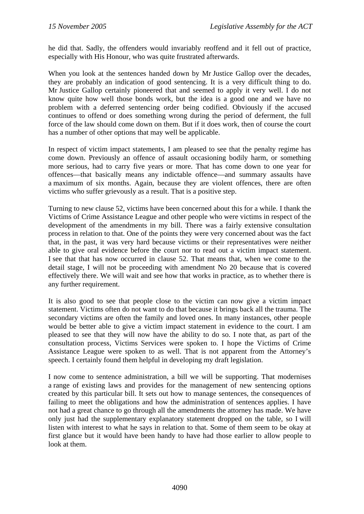he did that. Sadly, the offenders would invariably reoffend and it fell out of practice, especially with His Honour, who was quite frustrated afterwards.

When you look at the sentences handed down by Mr Justice Gallop over the decades, they are probably an indication of good sentencing. It is a very difficult thing to do. Mr Justice Gallop certainly pioneered that and seemed to apply it very well. I do not know quite how well those bonds work, but the idea is a good one and we have no problem with a deferred sentencing order being codified. Obviously if the accused continues to offend or does something wrong during the period of deferment, the full force of the law should come down on them. But if it does work, then of course the court has a number of other options that may well be applicable.

In respect of victim impact statements, I am pleased to see that the penalty regime has come down. Previously an offence of assault occasioning bodily harm, or something more serious, had to carry five years or more. That has come down to one year for offences—that basically means any indictable offence—and summary assaults have a maximum of six months. Again, because they are violent offences, there are often victims who suffer grievously as a result. That is a positive step.

Turning to new clause 52, victims have been concerned about this for a while. I thank the Victims of Crime Assistance League and other people who were victims in respect of the development of the amendments in my bill. There was a fairly extensive consultation process in relation to that. One of the points they were very concerned about was the fact that, in the past, it was very hard because victims or their representatives were neither able to give oral evidence before the court nor to read out a victim impact statement. I see that that has now occurred in clause 52. That means that, when we come to the detail stage, I will not be proceeding with amendment No 20 because that is covered effectively there. We will wait and see how that works in practice, as to whether there is any further requirement.

It is also good to see that people close to the victim can now give a victim impact statement. Victims often do not want to do that because it brings back all the trauma. The secondary victims are often the family and loved ones. In many instances, other people would be better able to give a victim impact statement in evidence to the court. I am pleased to see that they will now have the ability to do so. I note that, as part of the consultation process, Victims Services were spoken to. I hope the Victims of Crime Assistance League were spoken to as well. That is not apparent from the Attorney's speech. I certainly found them helpful in developing my draft legislation.

I now come to sentence administration, a bill we will be supporting. That modernises a range of existing laws and provides for the management of new sentencing options created by this particular bill. It sets out how to manage sentences, the consequences of failing to meet the obligations and how the administration of sentences applies. I have not had a great chance to go through all the amendments the attorney has made. We have only just had the supplementary explanatory statement dropped on the table, so I will listen with interest to what he says in relation to that. Some of them seem to be okay at first glance but it would have been handy to have had those earlier to allow people to look at them.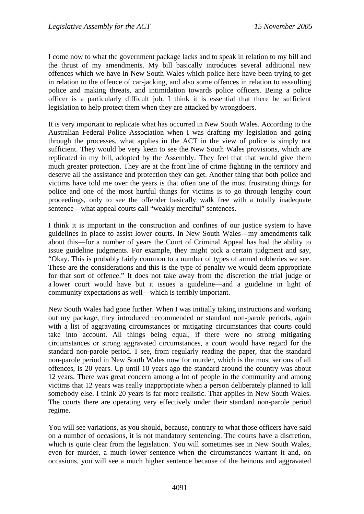I come now to what the government package lacks and to speak in relation to my bill and the thrust of my amendments. My bill basically introduces several additional new offences which we have in New South Wales which police here have been trying to get in relation to the offence of car-jacking, and also some offences in relation to assaulting police and making threats, and intimidation towards police officers. Being a police officer is a particularly difficult job. I think it is essential that there be sufficient legislation to help protect them when they are attacked by wrongdoers.

It is very important to replicate what has occurred in New South Wales. According to the Australian Federal Police Association when I was drafting my legislation and going through the processes, what applies in the ACT in the view of police is simply not sufficient. They would be very keen to see the New South Wales provisions, which are replicated in my bill, adopted by the Assembly. They feel that that would give them much greater protection. They are at the front line of crime fighting in the territory and deserve all the assistance and protection they can get. Another thing that both police and victims have told me over the years is that often one of the most frustrating things for police and one of the most hurtful things for victims is to go through lengthy court proceedings, only to see the offender basically walk free with a totally inadequate sentence—what appeal courts call "weakly merciful" sentences.

I think it is important in the construction and confines of our justice system to have guidelines in place to assist lower courts. In New South Wales—my amendments talk about this—for a number of years the Court of Criminal Appeal has had the ability to issue guideline judgments. For example, they might pick a certain judgment and say, "Okay. This is probably fairly common to a number of types of armed robberies we see. These are the considerations and this is the type of penalty we would deem appropriate for that sort of offence." It does not take away from the discretion the trial judge or a lower court would have but it issues a guideline—and a guideline in light of community expectations as well—which is terribly important.

New South Wales had gone further. When I was initially taking instructions and working out my package, they introduced recommended or standard non-parole periods, again with a list of aggravating circumstances or mitigating circumstances that courts could take into account. All things being equal, if there were no strong mitigating circumstances or strong aggravated circumstances, a court would have regard for the standard non-parole period. I see, from regularly reading the paper, that the standard non-parole period in New South Wales now for murder, which is the most serious of all offences, is 20 years. Up until 10 years ago the standard around the country was about 12 years. There was great concern among a lot of people in the community and among victims that 12 years was really inappropriate when a person deliberately planned to kill somebody else. I think 20 years is far more realistic. That applies in New South Wales. The courts there are operating very effectively under their standard non-parole period regime.

You will see variations, as you should, because, contrary to what those officers have said on a number of occasions, it is not mandatory sentencing. The courts have a discretion, which is quite clear from the legislation. You will sometimes see in New South Wales, even for murder, a much lower sentence when the circumstances warrant it and, on occasions, you will see a much higher sentence because of the heinous and aggravated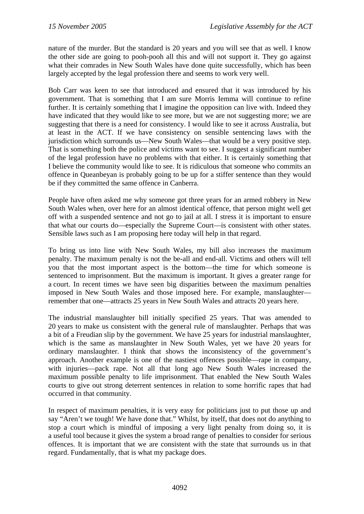nature of the murder. But the standard is 20 years and you will see that as well. I know the other side are going to pooh-pooh all this and will not support it. They go against what their comrades in New South Wales have done quite successfully, which has been largely accepted by the legal profession there and seems to work very well.

Bob Carr was keen to see that introduced and ensured that it was introduced by his government. That is something that I am sure Morris Iemma will continue to refine further. It is certainly something that I imagine the opposition can live with. Indeed they have indicated that they would like to see more, but we are not suggesting more; we are suggesting that there is a need for consistency. I would like to see it across Australia, but at least in the ACT. If we have consistency on sensible sentencing laws with the jurisdiction which surrounds us—New South Wales—that would be a very positive step. That is something both the police and victims want to see. I suggest a significant number of the legal profession have no problems with that either. It is certainly something that I believe the community would like to see. It is ridiculous that someone who commits an offence in Queanbeyan is probably going to be up for a stiffer sentence than they would be if they committed the same offence in Canberra.

People have often asked me why someone got three years for an armed robbery in New South Wales when, over here for an almost identical offence, that person might well get off with a suspended sentence and not go to jail at all. I stress it is important to ensure that what our courts do—especially the Supreme Court—is consistent with other states. Sensible laws such as I am proposing here today will help in that regard.

To bring us into line with New South Wales, my bill also increases the maximum penalty. The maximum penalty is not the be-all and end-all. Victims and others will tell you that the most important aspect is the bottom—the time for which someone is sentenced to imprisonment. But the maximum is important. It gives a greater range for a court. In recent times we have seen big disparities between the maximum penalties imposed in New South Wales and those imposed here. For example, manslaughter remember that one—attracts 25 years in New South Wales and attracts 20 years here.

The industrial manslaughter bill initially specified 25 years. That was amended to 20 years to make us consistent with the general rule of manslaughter. Perhaps that was a bit of a Freudian slip by the government. We have 25 years for industrial manslaughter, which is the same as manslaughter in New South Wales, yet we have 20 years for ordinary manslaughter. I think that shows the inconsistency of the government's approach. Another example is one of the nastiest offences possible—rape in company, with injuries—pack rape. Not all that long ago New South Wales increased the maximum possible penalty to life imprisonment. That enabled the New South Wales courts to give out strong deterrent sentences in relation to some horrific rapes that had occurred in that community.

In respect of maximum penalties, it is very easy for politicians just to put those up and say "Aren't we tough! We have done that." Whilst, by itself, that does not do anything to stop a court which is mindful of imposing a very light penalty from doing so, it is a useful tool because it gives the system a broad range of penalties to consider for serious offences. It is important that we are consistent with the state that surrounds us in that regard. Fundamentally, that is what my package does.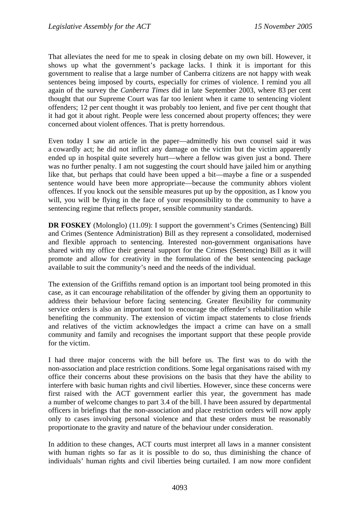That alleviates the need for me to speak in closing debate on my own bill. However, it shows up what the government's package lacks. I think it is important for this government to realise that a large number of Canberra citizens are not happy with weak sentences being imposed by courts, especially for crimes of violence. I remind you all again of the survey the *Canberra Times* did in late September 2003, where 83 per cent thought that our Supreme Court was far too lenient when it came to sentencing violent offenders; 12 per cent thought it was probably too lenient, and five per cent thought that it had got it about right. People were less concerned about property offences; they were concerned about violent offences. That is pretty horrendous.

Even today I saw an article in the paper—admittedly his own counsel said it was a cowardly act; he did not inflict any damage on the victim but the victim apparently ended up in hospital quite severely hurt—where a fellow was given just a bond. There was no further penalty. I am not suggesting the court should have jailed him or anything like that, but perhaps that could have been upped a bit—maybe a fine or a suspended sentence would have been more appropriate—because the community abhors violent offences. If you knock out the sensible measures put up by the opposition, as I know you will, you will be flying in the face of your responsibility to the community to have a sentencing regime that reflects proper, sensible community standards.

**DR FOSKEY** (Molonglo) (11.09): I support the government's Crimes (Sentencing) Bill and Crimes (Sentence Administration) Bill as they represent a consolidated, modernised and flexible approach to sentencing. Interested non-government organisations have shared with my office their general support for the Crimes (Sentencing) Bill as it will promote and allow for creativity in the formulation of the best sentencing package available to suit the community's need and the needs of the individual.

The extension of the Griffiths remand option is an important tool being promoted in this case, as it can encourage rehabilitation of the offender by giving them an opportunity to address their behaviour before facing sentencing. Greater flexibility for community service orders is also an important tool to encourage the offender's rehabilitation while benefiting the community. The extension of victim impact statements to close friends and relatives of the victim acknowledges the impact a crime can have on a small community and family and recognises the important support that these people provide for the victim.

I had three major concerns with the bill before us. The first was to do with the non-association and place restriction conditions. Some legal organisations raised with my office their concerns about these provisions on the basis that they have the ability to interfere with basic human rights and civil liberties. However, since these concerns were first raised with the ACT government earlier this year, the government has made a number of welcome changes to part 3.4 of the bill. I have been assured by departmental officers in briefings that the non-association and place restriction orders will now apply only to cases involving personal violence and that these orders must be reasonably proportionate to the gravity and nature of the behaviour under consideration.

In addition to these changes, ACT courts must interpret all laws in a manner consistent with human rights so far as it is possible to do so, thus diminishing the chance of individuals' human rights and civil liberties being curtailed. I am now more confident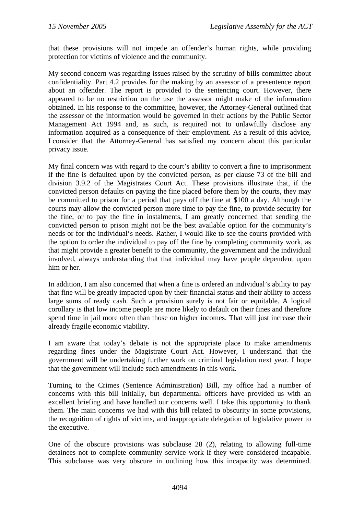that these provisions will not impede an offender's human rights, while providing protection for victims of violence and the community.

My second concern was regarding issues raised by the scrutiny of bills committee about confidentiality. Part 4.2 provides for the making by an assessor of a presentence report about an offender. The report is provided to the sentencing court. However, there appeared to be no restriction on the use the assessor might make of the information obtained. In his response to the committee, however, the Attorney-General outlined that the assessor of the information would be governed in their actions by the Public Sector Management Act 1994 and, as such, is required not to unlawfully disclose any information acquired as a consequence of their employment. As a result of this advice, I consider that the Attorney-General has satisfied my concern about this particular privacy issue.

My final concern was with regard to the court's ability to convert a fine to imprisonment if the fine is defaulted upon by the convicted person, as per clause 73 of the bill and division 3.9.2 of the Magistrates Court Act. These provisions illustrate that, if the convicted person defaults on paying the fine placed before them by the courts, they may be committed to prison for a period that pays off the fine at \$100 a day. Although the courts may allow the convicted person more time to pay the fine, to provide security for the fine, or to pay the fine in instalments, I am greatly concerned that sending the convicted person to prison might not be the best available option for the community's needs or for the individual's needs. Rather, I would like to see the courts provided with the option to order the individual to pay off the fine by completing community work, as that might provide a greater benefit to the community, the government and the individual involved, always understanding that that individual may have people dependent upon him or her.

In addition, I am also concerned that when a fine is ordered an individual's ability to pay that fine will be greatly impacted upon by their financial status and their ability to access large sums of ready cash. Such a provision surely is not fair or equitable. A logical corollary is that low income people are more likely to default on their fines and therefore spend time in jail more often than those on higher incomes. That will just increase their already fragile economic viability.

I am aware that today's debate is not the appropriate place to make amendments regarding fines under the Magistrate Court Act. However, I understand that the government will be undertaking further work on criminal legislation next year. I hope that the government will include such amendments in this work.

Turning to the Crimes (Sentence Administration) Bill, my office had a number of concerns with this bill initially, but departmental officers have provided us with an excellent briefing and have handled our concerns well. I take this opportunity to thank them. The main concerns we had with this bill related to obscurity in some provisions, the recognition of rights of victims, and inappropriate delegation of legislative power to the executive.

One of the obscure provisions was subclause 28 (2), relating to allowing full-time detainees not to complete community service work if they were considered incapable. This subclause was very obscure in outlining how this incapacity was determined.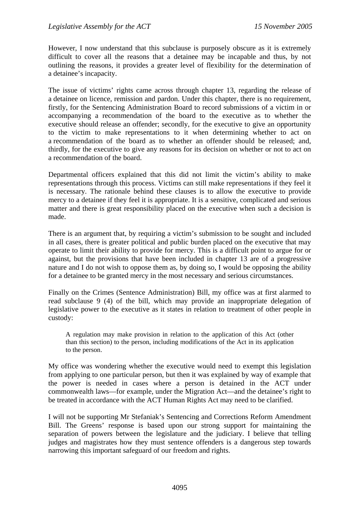However, I now understand that this subclause is purposely obscure as it is extremely difficult to cover all the reasons that a detainee may be incapable and thus, by not outlining the reasons, it provides a greater level of flexibility for the determination of a detainee's incapacity.

The issue of victims' rights came across through chapter 13, regarding the release of a detainee on licence, remission and pardon. Under this chapter, there is no requirement, firstly, for the Sentencing Administration Board to record submissions of a victim in or accompanying a recommendation of the board to the executive as to whether the executive should release an offender; secondly, for the executive to give an opportunity to the victim to make representations to it when determining whether to act on a recommendation of the board as to whether an offender should be released; and, thirdly, for the executive to give any reasons for its decision on whether or not to act on a recommendation of the board.

Departmental officers explained that this did not limit the victim's ability to make representations through this process. Victims can still make representations if they feel it is necessary. The rationale behind these clauses is to allow the executive to provide mercy to a detainee if they feel it is appropriate. It is a sensitive, complicated and serious matter and there is great responsibility placed on the executive when such a decision is made.

There is an argument that, by requiring a victim's submission to be sought and included in all cases, there is greater political and public burden placed on the executive that may operate to limit their ability to provide for mercy. This is a difficult point to argue for or against, but the provisions that have been included in chapter 13 are of a progressive nature and I do not wish to oppose them as, by doing so, I would be opposing the ability for a detainee to be granted mercy in the most necessary and serious circumstances.

Finally on the Crimes (Sentence Administration) Bill, my office was at first alarmed to read subclause 9 (4) of the bill, which may provide an inappropriate delegation of legislative power to the executive as it states in relation to treatment of other people in custody:

A regulation may make provision in relation to the application of this Act (other than this section) to the person, including modifications of the Act in its application to the person.

My office was wondering whether the executive would need to exempt this legislation from applying to one particular person, but then it was explained by way of example that the power is needed in cases where a person is detained in the ACT under commonwealth laws—for example, under the Migration Act—and the detainee's right to be treated in accordance with the ACT Human Rights Act may need to be clarified.

I will not be supporting Mr Stefaniak's Sentencing and Corrections Reform Amendment Bill. The Greens' response is based upon our strong support for maintaining the separation of powers between the legislature and the judiciary. I believe that telling judges and magistrates how they must sentence offenders is a dangerous step towards narrowing this important safeguard of our freedom and rights.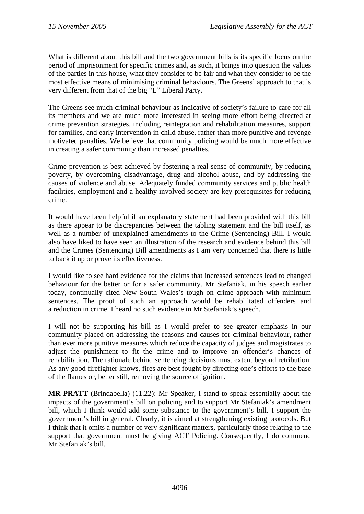What is different about this bill and the two government bills is its specific focus on the period of imprisonment for specific crimes and, as such, it brings into question the values of the parties in this house, what they consider to be fair and what they consider to be the most effective means of minimising criminal behaviours. The Greens' approach to that is very different from that of the big "L" Liberal Party.

The Greens see much criminal behaviour as indicative of society's failure to care for all its members and we are much more interested in seeing more effort being directed at crime prevention strategies, including reintegration and rehabilitation measures, support for families, and early intervention in child abuse, rather than more punitive and revenge motivated penalties. We believe that community policing would be much more effective in creating a safer community than increased penalties.

Crime prevention is best achieved by fostering a real sense of community, by reducing poverty, by overcoming disadvantage, drug and alcohol abuse, and by addressing the causes of violence and abuse. Adequately funded community services and public health facilities, employment and a healthy involved society are key prerequisites for reducing crime.

It would have been helpful if an explanatory statement had been provided with this bill as there appear to be discrepancies between the tabling statement and the bill itself, as well as a number of unexplained amendments to the Crime (Sentencing) Bill. I would also have liked to have seen an illustration of the research and evidence behind this bill and the Crimes (Sentencing) Bill amendments as I am very concerned that there is little to back it up or prove its effectiveness.

I would like to see hard evidence for the claims that increased sentences lead to changed behaviour for the better or for a safer community. Mr Stefaniak, in his speech earlier today, continually cited New South Wales's tough on crime approach with minimum sentences. The proof of such an approach would be rehabilitated offenders and a reduction in crime. I heard no such evidence in Mr Stefaniak's speech.

I will not be supporting his bill as I would prefer to see greater emphasis in our community placed on addressing the reasons and causes for criminal behaviour, rather than ever more punitive measures which reduce the capacity of judges and magistrates to adjust the punishment to fit the crime and to improve an offender's chances of rehabilitation. The rationale behind sentencing decisions must extent beyond retribution. As any good firefighter knows, fires are best fought by directing one's efforts to the base of the flames or, better still, removing the source of ignition.

**MR PRATT** (Brindabella) (11.22): Mr Speaker, I stand to speak essentially about the impacts of the government's bill on policing and to support Mr Stefaniak's amendment bill, which I think would add some substance to the government's bill. I support the government's bill in general. Clearly, it is aimed at strengthening existing protocols. But I think that it omits a number of very significant matters, particularly those relating to the support that government must be giving ACT Policing. Consequently, I do commend Mr Stefaniak's bill.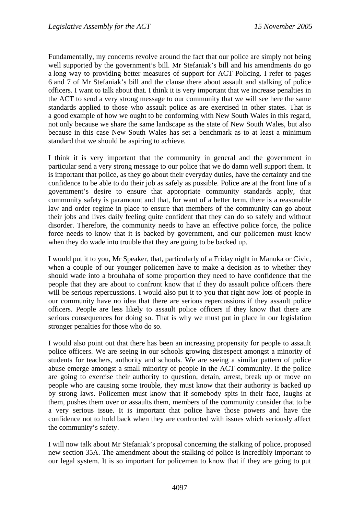Fundamentally, my concerns revolve around the fact that our police are simply not being well supported by the government's bill. Mr Stefaniak's bill and his amendments do go a long way to providing better measures of support for ACT Policing. I refer to pages 6 and 7 of Mr Stefaniak's bill and the clause there about assault and stalking of police officers. I want to talk about that. I think it is very important that we increase penalties in the ACT to send a very strong message to our community that we will see here the same standards applied to those who assault police as are exercised in other states. That is a good example of how we ought to be conforming with New South Wales in this regard, not only because we share the same landscape as the state of New South Wales, but also because in this case New South Wales has set a benchmark as to at least a minimum standard that we should be aspiring to achieve.

I think it is very important that the community in general and the government in particular send a very strong message to our police that we do damn well support them. It is important that police, as they go about their everyday duties, have the certainty and the confidence to be able to do their job as safely as possible. Police are at the front line of a government's desire to ensure that appropriate community standards apply, that community safety is paramount and that, for want of a better term, there is a reasonable law and order regime in place to ensure that members of the community can go about their jobs and lives daily feeling quite confident that they can do so safely and without disorder. Therefore, the community needs to have an effective police force, the police force needs to know that it is backed by government, and our policemen must know when they do wade into trouble that they are going to be backed up.

I would put it to you, Mr Speaker, that, particularly of a Friday night in Manuka or Civic, when a couple of our younger policemen have to make a decision as to whether they should wade into a brouhaha of some proportion they need to have confidence that the people that they are about to confront know that if they do assault police officers there will be serious repercussions. I would also put it to you that right now lots of people in our community have no idea that there are serious repercussions if they assault police officers. People are less likely to assault police officers if they know that there are serious consequences for doing so. That is why we must put in place in our legislation stronger penalties for those who do so.

I would also point out that there has been an increasing propensity for people to assault police officers. We are seeing in our schools growing disrespect amongst a minority of students for teachers, authority and schools. We are seeing a similar pattern of police abuse emerge amongst a small minority of people in the ACT community. If the police are going to exercise their authority to question, detain, arrest, break up or move on people who are causing some trouble, they must know that their authority is backed up by strong laws. Policemen must know that if somebody spits in their face, laughs at them, pushes them over or assaults them, members of the community consider that to be a very serious issue. It is important that police have those powers and have the confidence not to hold back when they are confronted with issues which seriously affect the community's safety.

I will now talk about Mr Stefaniak's proposal concerning the stalking of police, proposed new section 35A. The amendment about the stalking of police is incredibly important to our legal system. It is so important for policemen to know that if they are going to put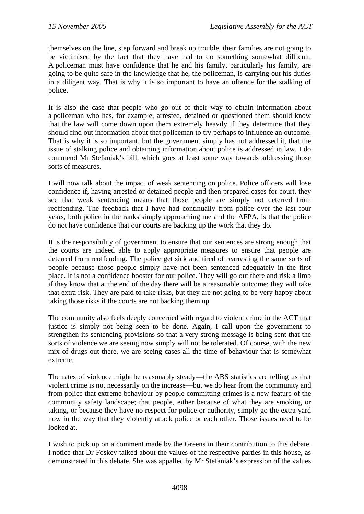themselves on the line, step forward and break up trouble, their families are not going to be victimised by the fact that they have had to do something somewhat difficult. A policeman must have confidence that he and his family, particularly his family, are going to be quite safe in the knowledge that he, the policeman, is carrying out his duties in a diligent way. That is why it is so important to have an offence for the stalking of police.

It is also the case that people who go out of their way to obtain information about a policeman who has, for example, arrested, detained or questioned them should know that the law will come down upon them extremely heavily if they determine that they should find out information about that policeman to try perhaps to influence an outcome. That is why it is so important, but the government simply has not addressed it, that the issue of stalking police and obtaining information about police is addressed in law. I do commend Mr Stefaniak's bill, which goes at least some way towards addressing those sorts of measures.

I will now talk about the impact of weak sentencing on police. Police officers will lose confidence if, having arrested or detained people and then prepared cases for court, they see that weak sentencing means that those people are simply not deterred from reoffending. The feedback that I have had continually from police over the last four years, both police in the ranks simply approaching me and the AFPA, is that the police do not have confidence that our courts are backing up the work that they do.

It is the responsibility of government to ensure that our sentences are strong enough that the courts are indeed able to apply appropriate measures to ensure that people are deterred from reoffending. The police get sick and tired of rearresting the same sorts of people because those people simply have not been sentenced adequately in the first place. It is not a confidence booster for our police. They will go out there and risk a limb if they know that at the end of the day there will be a reasonable outcome; they will take that extra risk. They are paid to take risks, but they are not going to be very happy about taking those risks if the courts are not backing them up.

The community also feels deeply concerned with regard to violent crime in the ACT that justice is simply not being seen to be done. Again, I call upon the government to strengthen its sentencing provisions so that a very strong message is being sent that the sorts of violence we are seeing now simply will not be tolerated. Of course, with the new mix of drugs out there, we are seeing cases all the time of behaviour that is somewhat extreme.

The rates of violence might be reasonably steady—the ABS statistics are telling us that violent crime is not necessarily on the increase—but we do hear from the community and from police that extreme behaviour by people committing crimes is a new feature of the community safety landscape; that people, either because of what they are smoking or taking, or because they have no respect for police or authority, simply go the extra yard now in the way that they violently attack police or each other. Those issues need to be looked at.

I wish to pick up on a comment made by the Greens in their contribution to this debate. I notice that Dr Foskey talked about the values of the respective parties in this house, as demonstrated in this debate. She was appalled by Mr Stefaniak's expression of the values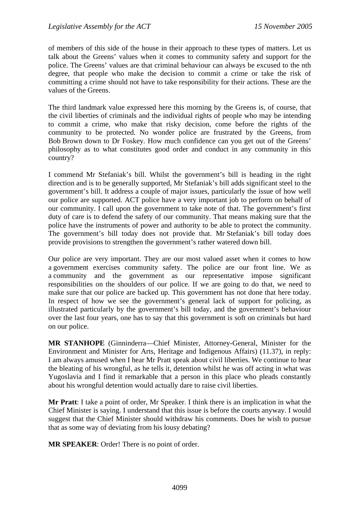of members of this side of the house in their approach to these types of matters. Let us talk about the Greens' values when it comes to community safety and support for the police. The Greens' values are that criminal behaviour can always be excused to the nth degree, that people who make the decision to commit a crime or take the risk of committing a crime should not have to take responsibility for their actions. These are the values of the Greens.

The third landmark value expressed here this morning by the Greens is, of course, that the civil liberties of criminals and the individual rights of people who may be intending to commit a crime, who make that risky decision, come before the rights of the community to be protected. No wonder police are frustrated by the Greens, from Bob Brown down to Dr Foskey. How much confidence can you get out of the Greens' philosophy as to what constitutes good order and conduct in any community in this country?

I commend Mr Stefaniak's bill. Whilst the government's bill is heading in the right direction and is to be generally supported, Mr Stefaniak's bill adds significant steel to the government's bill. It address a couple of major issues, particularly the issue of how well our police are supported. ACT police have a very important job to perform on behalf of our community. I call upon the government to take note of that. The government's first duty of care is to defend the safety of our community. That means making sure that the police have the instruments of power and authority to be able to protect the community. The government's bill today does not provide that. Mr Stefaniak's bill today does provide provisions to strengthen the government's rather watered down bill.

Our police are very important. They are our most valued asset when it comes to how a government exercises community safety. The police are our front line. We as a community and the government as our representative impose significant responsibilities on the shoulders of our police. If we are going to do that, we need to make sure that our police are backed up. This government has not done that here today. In respect of how we see the government's general lack of support for policing, as illustrated particularly by the government's bill today, and the government's behaviour over the last four years, one has to say that this government is soft on criminals but hard on our police.

**MR STANHOPE** (Ginninderra—Chief Minister, Attorney-General, Minister for the Environment and Minister for Arts, Heritage and Indigenous Affairs) (11.37), in reply: I am always amused when I hear Mr Pratt speak about civil liberties. We continue to hear the bleating of his wrongful, as he tells it, detention whilst he was off acting in what was Yugoslavia and I find it remarkable that a person in this place who pleads constantly about his wrongful detention would actually dare to raise civil liberties.

**Mr Pratt**: I take a point of order, Mr Speaker. I think there is an implication in what the Chief Minister is saying. I understand that this issue is before the courts anyway. I would suggest that the Chief Minister should withdraw his comments. Does he wish to pursue that as some way of deviating from his lousy debating?

**MR SPEAKER**: Order! There is no point of order.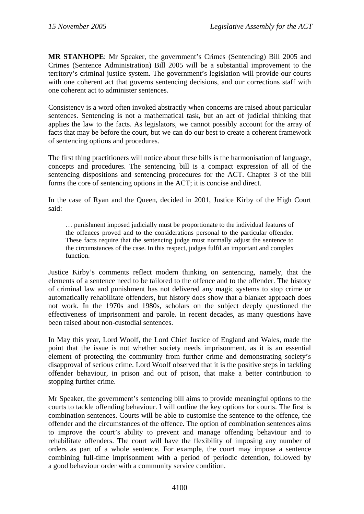**MR STANHOPE**: Mr Speaker, the government's Crimes (Sentencing) Bill 2005 and Crimes (Sentence Administration) Bill 2005 will be a substantial improvement to the territory's criminal justice system. The government's legislation will provide our courts with one coherent act that governs sentencing decisions, and our corrections staff with one coherent act to administer sentences.

Consistency is a word often invoked abstractly when concerns are raised about particular sentences. Sentencing is not a mathematical task, but an act of judicial thinking that applies the law to the facts. As legislators, we cannot possibly account for the array of facts that may be before the court, but we can do our best to create a coherent framework of sentencing options and procedures.

The first thing practitioners will notice about these bills is the harmonisation of language, concepts and procedures. The sentencing bill is a compact expression of all of the sentencing dispositions and sentencing procedures for the ACT. Chapter 3 of the bill forms the core of sentencing options in the ACT; it is concise and direct.

In the case of Ryan and the Queen, decided in 2001, Justice Kirby of the High Court said:

… punishment imposed judicially must be proportionate to the individual features of the offences proved and to the considerations personal to the particular offender. These facts require that the sentencing judge must normally adjust the sentence to the circumstances of the case. In this respect, judges fulfil an important and complex function.

Justice Kirby's comments reflect modern thinking on sentencing, namely, that the elements of a sentence need to be tailored to the offence and to the offender. The history of criminal law and punishment has not delivered any magic systems to stop crime or automatically rehabilitate offenders, but history does show that a blanket approach does not work. In the 1970s and 1980s, scholars on the subject deeply questioned the effectiveness of imprisonment and parole. In recent decades, as many questions have been raised about non-custodial sentences.

In May this year, Lord Woolf, the Lord Chief Justice of England and Wales, made the point that the issue is not whether society needs imprisonment, as it is an essential element of protecting the community from further crime and demonstrating society's disapproval of serious crime. Lord Woolf observed that it is the positive steps in tackling offender behaviour, in prison and out of prison, that make a better contribution to stopping further crime.

Mr Speaker, the government's sentencing bill aims to provide meaningful options to the courts to tackle offending behaviour. I will outline the key options for courts. The first is combination sentences. Courts will be able to customise the sentence to the offence, the offender and the circumstances of the offence. The option of combination sentences aims to improve the court's ability to prevent and manage offending behaviour and to rehabilitate offenders. The court will have the flexibility of imposing any number of orders as part of a whole sentence. For example, the court may impose a sentence combining full-time imprisonment with a period of periodic detention, followed by a good behaviour order with a community service condition.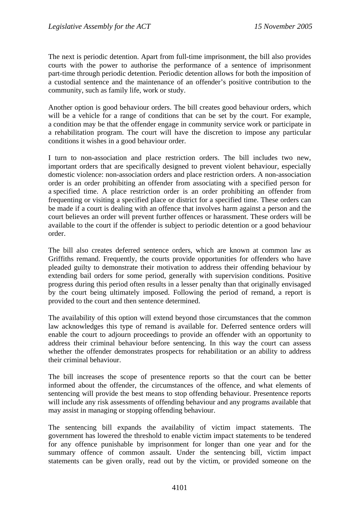The next is periodic detention. Apart from full-time imprisonment, the bill also provides courts with the power to authorise the performance of a sentence of imprisonment part-time through periodic detention. Periodic detention allows for both the imposition of a custodial sentence and the maintenance of an offender's positive contribution to the community, such as family life, work or study.

Another option is good behaviour orders. The bill creates good behaviour orders, which will be a vehicle for a range of conditions that can be set by the court. For example, a condition may be that the offender engage in community service work or participate in a rehabilitation program. The court will have the discretion to impose any particular conditions it wishes in a good behaviour order.

I turn to non-association and place restriction orders. The bill includes two new, important orders that are specifically designed to prevent violent behaviour, especially domestic violence: non-association orders and place restriction orders. A non-association order is an order prohibiting an offender from associating with a specified person for a specified time. A place restriction order is an order prohibiting an offender from frequenting or visiting a specified place or district for a specified time. These orders can be made if a court is dealing with an offence that involves harm against a person and the court believes an order will prevent further offences or harassment. These orders will be available to the court if the offender is subject to periodic detention or a good behaviour order.

The bill also creates deferred sentence orders, which are known at common law as Griffiths remand. Frequently, the courts provide opportunities for offenders who have pleaded guilty to demonstrate their motivation to address their offending behaviour by extending bail orders for some period, generally with supervision conditions. Positive progress during this period often results in a lesser penalty than that originally envisaged by the court being ultimately imposed. Following the period of remand, a report is provided to the court and then sentence determined.

The availability of this option will extend beyond those circumstances that the common law acknowledges this type of remand is available for. Deferred sentence orders will enable the court to adjourn proceedings to provide an offender with an opportunity to address their criminal behaviour before sentencing. In this way the court can assess whether the offender demonstrates prospects for rehabilitation or an ability to address their criminal behaviour.

The bill increases the scope of presentence reports so that the court can be better informed about the offender, the circumstances of the offence, and what elements of sentencing will provide the best means to stop offending behaviour. Presentence reports will include any risk assessments of offending behaviour and any programs available that may assist in managing or stopping offending behaviour.

The sentencing bill expands the availability of victim impact statements. The government has lowered the threshold to enable victim impact statements to be tendered for any offence punishable by imprisonment for longer than one year and for the summary offence of common assault. Under the sentencing bill, victim impact statements can be given orally, read out by the victim, or provided someone on the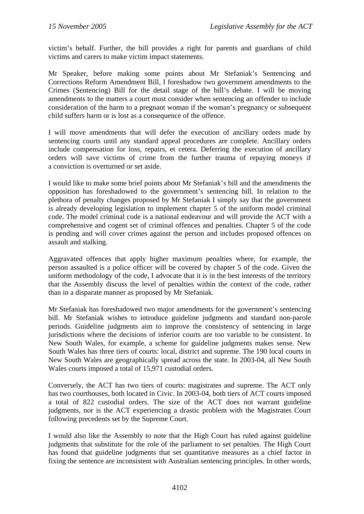victim's behalf. Further, the bill provides a right for parents and guardians of child victims and carers to make victim impact statements.

Mr Speaker, before making some points about Mr Stefaniak's Sentencing and Corrections Reform Amendment Bill, I foreshadow two government amendments to the Crimes (Sentencing) Bill for the detail stage of the bill's debate. I will be moving amendments to the matters a court must consider when sentencing an offender to include consideration of the harm to a pregnant woman if the woman's pregnancy or subsequent child suffers harm or is lost as a consequence of the offence.

I will move amendments that will defer the execution of ancillary orders made by sentencing courts until any standard appeal procedures are complete. Ancillary orders include compensation for loss, repairs, et cetera. Deferring the execution of ancillary orders will save victims of crime from the further trauma of repaying moneys if a conviction is overturned or set aside.

I would like to make some brief points about Mr Stefaniak's bill and the amendments the opposition has foreshadowed to the government's sentencing bill. In relation to the plethora of penalty changes proposed by Mr Stefaniak I simply say that the government is already developing legislation to implement chapter 5 of the uniform model criminal code. The model criminal code is a national endeavour and will provide the ACT with a comprehensive and cogent set of criminal offences and penalties. Chapter 5 of the code is pending and will cover crimes against the person and includes proposed offences on assault and stalking.

Aggravated offences that apply higher maximum penalties where, for example, the person assaulted is a police officer will be covered by chapter 5 of the code. Given the uniform methodology of the code, I advocate that it is in the best interests of the territory that the Assembly discuss the level of penalties within the context of the code, rather than in a disparate manner as proposed by Mr Stefaniak.

Mr Stefaniak has foreshadowed two major amendments for the government's sentencing bill. Mr Stefaniak wishes to introduce guideline judgments and standard non-parole periods. Guideline judgments aim to improve the consistency of sentencing in large jurisdictions where the decisions of inferior courts are too variable to be consistent. In New South Wales, for example, a scheme for guideline judgments makes sense. New South Wales has three tiers of courts: local, district and supreme. The 190 local courts in New South Wales are geographically spread across the state. In 2003-04, all New South Wales courts imposed a total of 15,971 custodial orders.

Conversely, the ACT has two tiers of courts: magistrates and supreme. The ACT only has two courthouses, both located in Civic. In 2003-04, both tiers of ACT courts imposed a total of 822 custodial orders. The size of the ACT does not warrant guideline judgments, nor is the ACT experiencing a drastic problem with the Magistrates Court following precedents set by the Supreme Court.

I would also like the Assembly to note that the High Court has ruled against guideline judgments that substitute for the role of the parliament to set penalties. The High Court has found that guideline judgments that set quantitative measures as a chief factor in fixing the sentence are inconsistent with Australian sentencing principles. In other words,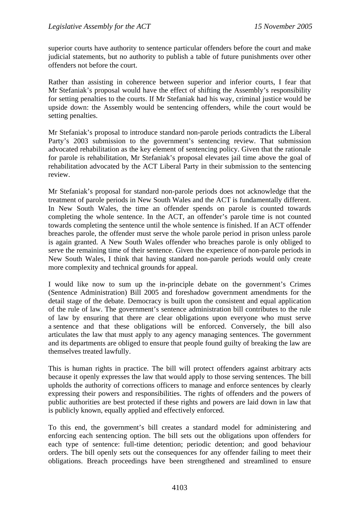superior courts have authority to sentence particular offenders before the court and make judicial statements, but no authority to publish a table of future punishments over other offenders not before the court.

Rather than assisting in coherence between superior and inferior courts, I fear that Mr Stefaniak's proposal would have the effect of shifting the Assembly's responsibility for setting penalties to the courts. If Mr Stefaniak had his way, criminal justice would be upside down: the Assembly would be sentencing offenders, while the court would be setting penalties.

Mr Stefaniak's proposal to introduce standard non-parole periods contradicts the Liberal Party's 2003 submission to the government's sentencing review. That submission advocated rehabilitation as the key element of sentencing policy. Given that the rationale for parole is rehabilitation, Mr Stefaniak's proposal elevates jail time above the goal of rehabilitation advocated by the ACT Liberal Party in their submission to the sentencing review.

Mr Stefaniak's proposal for standard non-parole periods does not acknowledge that the treatment of parole periods in New South Wales and the ACT is fundamentally different. In New South Wales, the time an offender spends on parole is counted towards completing the whole sentence. In the ACT, an offender's parole time is not counted towards completing the sentence until the whole sentence is finished. If an ACT offender breaches parole, the offender must serve the whole parole period in prison unless parole is again granted. A New South Wales offender who breaches parole is only obliged to serve the remaining time of their sentence. Given the experience of non-parole periods in New South Wales, I think that having standard non-parole periods would only create more complexity and technical grounds for appeal.

I would like now to sum up the in-principle debate on the government's Crimes (Sentence Administration) Bill 2005 and foreshadow government amendments for the detail stage of the debate. Democracy is built upon the consistent and equal application of the rule of law. The government's sentence administration bill contributes to the rule of law by ensuring that there are clear obligations upon everyone who must serve a sentence and that these obligations will be enforced. Conversely, the bill also articulates the law that must apply to any agency managing sentences. The government and its departments are obliged to ensure that people found guilty of breaking the law are themselves treated lawfully.

This is human rights in practice. The bill will protect offenders against arbitrary acts because it openly expresses the law that would apply to those serving sentences. The bill upholds the authority of corrections officers to manage and enforce sentences by clearly expressing their powers and responsibilities. The rights of offenders and the powers of public authorities are best protected if these rights and powers are laid down in law that is publicly known, equally applied and effectively enforced.

To this end, the government's bill creates a standard model for administering and enforcing each sentencing option. The bill sets out the obligations upon offenders for each type of sentence: full-time detention; periodic detention; and good behaviour orders. The bill openly sets out the consequences for any offender failing to meet their obligations. Breach proceedings have been strengthened and streamlined to ensure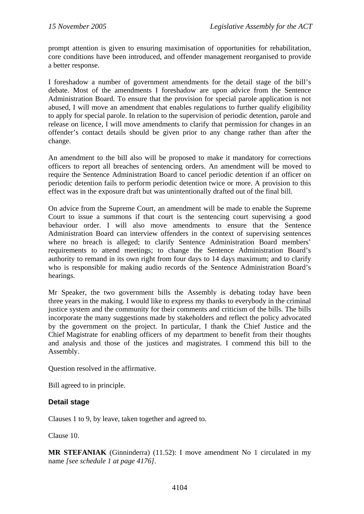prompt attention is given to ensuring maximisation of opportunities for rehabilitation, core conditions have been introduced, and offender management reorganised to provide a better response.

I foreshadow a number of government amendments for the detail stage of the bill's debate. Most of the amendments I foreshadow are upon advice from the Sentence Administration Board. To ensure that the provision for special parole application is not abused, I will move an amendment that enables regulations to further qualify eligibility to apply for special parole. In relation to the supervision of periodic detention, parole and release on licence, I will move amendments to clarify that permission for changes in an offender's contact details should be given prior to any change rather than after the change.

An amendment to the bill also will be proposed to make it mandatory for corrections officers to report all breaches of sentencing orders. An amendment will be moved to require the Sentence Administration Board to cancel periodic detention if an officer on periodic detention fails to perform periodic detention twice or more. A provision to this effect was in the exposure draft but was unintentionally drafted out of the final bill.

On advice from the Supreme Court, an amendment will be made to enable the Supreme Court to issue a summons if that court is the sentencing court supervising a good behaviour order. I will also move amendments to ensure that the Sentence Administration Board can interview offenders in the context of supervising sentences where no breach is alleged; to clarify Sentence Administration Board members' requirements to attend meetings; to change the Sentence Administration Board's authority to remand in its own right from four days to 14 days maximum; and to clarify who is responsible for making audio records of the Sentence Administration Board's hearings.

Mr Speaker, the two government bills the Assembly is debating today have been three years in the making. I would like to express my thanks to everybody in the criminal justice system and the community for their comments and criticism of the bills. The bills incorporate the many suggestions made by stakeholders and reflect the policy advocated by the government on the project. In particular, I thank the Chief Justice and the Chief Magistrate for enabling officers of my department to benefit from their thoughts and analysis and those of the justices and magistrates. I commend this bill to the Assembly.

Question resolved in the affirmative.

Bill agreed to in principle.

### **Detail stage**

Clauses 1 to 9, by leave, taken together and agreed to.

Clause 10.

**MR STEFANIAK** (Ginninderra) (11.52): I move amendment No 1 circulated in my name *[see schedule 1 at page 4176]*.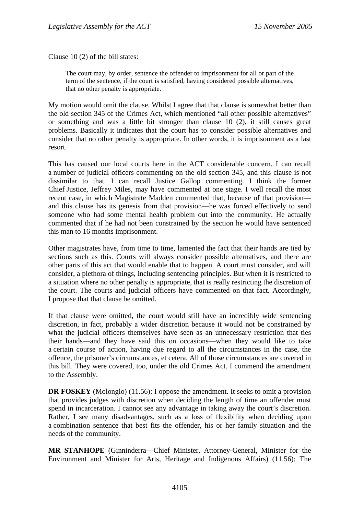Clause 10 (2) of the bill states:

The court may, by order, sentence the offender to imprisonment for all or part of the term of the sentence, if the court is satisfied, having considered possible alternatives, that no other penalty is appropriate.

My motion would omit the clause. Whilst I agree that that clause is somewhat better than the old section 345 of the Crimes Act, which mentioned "all other possible alternatives" or something and was a little bit stronger than clause 10 (2), it still causes great problems. Basically it indicates that the court has to consider possible alternatives and consider that no other penalty is appropriate. In other words, it is imprisonment as a last resort.

This has caused our local courts here in the ACT considerable concern. I can recall a number of judicial officers commenting on the old section 345, and this clause is not dissimilar to that. I can recall Justice Gallop commenting. I think the former Chief Justice, Jeffrey Miles, may have commented at one stage. I well recall the most recent case, in which Magistrate Madden commented that, because of that provision and this clause has its genesis from that provision—he was forced effectively to send someone who had some mental health problem out into the community. He actually commented that if he had not been constrained by the section he would have sentenced this man to 16 months imprisonment.

Other magistrates have, from time to time, lamented the fact that their hands are tied by sections such as this. Courts will always consider possible alternatives, and there are other parts of this act that would enable that to happen. A court must consider, and will consider, a plethora of things, including sentencing principles. But when it is restricted to a situation where no other penalty is appropriate, that is really restricting the discretion of the court. The courts and judicial officers have commented on that fact. Accordingly, I propose that that clause be omitted.

If that clause were omitted, the court would still have an incredibly wide sentencing discretion, in fact, probably a wider discretion because it would not be constrained by what the judicial officers themselves have seen as an unnecessary restriction that ties their hands—and they have said this on occasions—when they would like to take a certain course of action, having due regard to all the circumstances in the case, the offence, the prisoner's circumstances, et cetera. All of those circumstances are covered in this bill. They were covered, too, under the old Crimes Act. I commend the amendment to the Assembly.

**DR FOSKEY** (Molonglo) (11.56): I oppose the amendment. It seeks to omit a provision that provides judges with discretion when deciding the length of time an offender must spend in incarceration. I cannot see any advantage in taking away the court's discretion. Rather, I see many disadvantages, such as a loss of flexibility when deciding upon a combination sentence that best fits the offender, his or her family situation and the needs of the community.

**MR STANHOPE** (Ginninderra—Chief Minister, Attorney-General, Minister for the Environment and Minister for Arts, Heritage and Indigenous Affairs) (11.56): The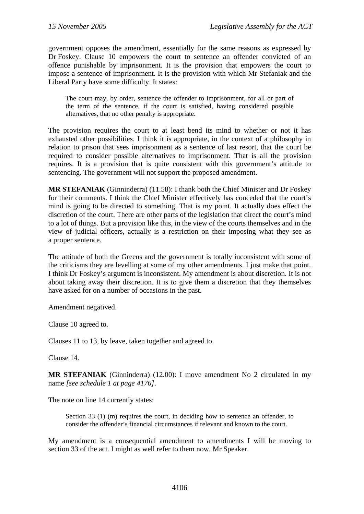government opposes the amendment, essentially for the same reasons as expressed by Dr Foskey. Clause 10 empowers the court to sentence an offender convicted of an offence punishable by imprisonment. It is the provision that empowers the court to impose a sentence of imprisonment. It is the provision with which Mr Stefaniak and the Liberal Party have some difficulty. It states:

The court may, by order, sentence the offender to imprisonment, for all or part of the term of the sentence, if the court is satisfied, having considered possible alternatives, that no other penalty is appropriate.

The provision requires the court to at least bend its mind to whether or not it has exhausted other possibilities. I think it is appropriate, in the context of a philosophy in relation to prison that sees imprisonment as a sentence of last resort, that the court be required to consider possible alternatives to imprisonment. That is all the provision requires. It is a provision that is quite consistent with this government's attitude to sentencing. The government will not support the proposed amendment.

**MR STEFANIAK** (Ginninderra) (11.58): I thank both the Chief Minister and Dr Foskey for their comments. I think the Chief Minister effectively has conceded that the court's mind is going to be directed to something. That is my point. It actually does effect the discretion of the court. There are other parts of the legislation that direct the court's mind to a lot of things. But a provision like this, in the view of the courts themselves and in the view of judicial officers, actually is a restriction on their imposing what they see as a proper sentence.

The attitude of both the Greens and the government is totally inconsistent with some of the criticisms they are levelling at some of my other amendments. I just make that point. I think Dr Foskey's argument is inconsistent. My amendment is about discretion. It is not about taking away their discretion. It is to give them a discretion that they themselves have asked for on a number of occasions in the past.

Amendment negatived.

Clause 10 agreed to.

Clauses 11 to 13, by leave, taken together and agreed to.

Clause 14.

**MR STEFANIAK** (Ginninderra) (12.00): I move amendment No 2 circulated in my name *[see schedule 1 at page 4176]*.

The note on line 14 currently states:

Section 33 (1) (m) requires the court, in deciding how to sentence an offender, to consider the offender's financial circumstances if relevant and known to the court.

My amendment is a consequential amendment to amendments I will be moving to section 33 of the act. I might as well refer to them now, Mr Speaker.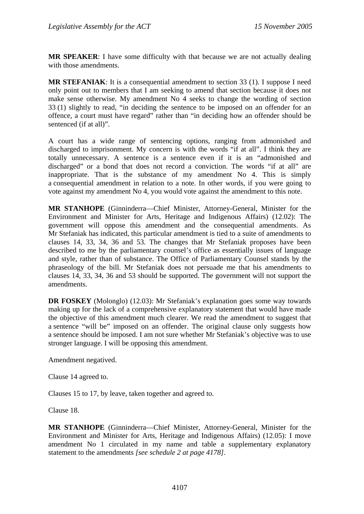**MR SPEAKER**: I have some difficulty with that because we are not actually dealing with those amendments.

**MR STEFANIAK**: It is a consequential amendment to section 33 (1). I suppose I need only point out to members that I am seeking to amend that section because it does not make sense otherwise. My amendment No 4 seeks to change the wording of section 33 (1) slightly to read, "in deciding the sentence to be imposed on an offender for an offence, a court must have regard" rather than "in deciding how an offender should be sentenced (if at all)".

A court has a wide range of sentencing options, ranging from admonished and discharged to imprisonment. My concern is with the words "if at all". I think they are totally unnecessary. A sentence is a sentence even if it is an "admonished and discharged" or a bond that does not record a conviction. The words "if at all" are inappropriate. That is the substance of my amendment No 4. This is simply a consequential amendment in relation to a note. In other words, if you were going to vote against my amendment No 4, you would vote against the amendment to this note.

**MR STANHOPE** (Ginninderra—Chief Minister, Attorney-General, Minister for the Environment and Minister for Arts, Heritage and Indigenous Affairs) (12.02): The government will oppose this amendment and the consequential amendments. As Mr Stefaniak has indicated, this particular amendment is tied to a suite of amendments to clauses 14, 33, 34, 36 and 53. The changes that Mr Stefaniak proposes have been described to me by the parliamentary counsel's office as essentially issues of language and style, rather than of substance. The Office of Parliamentary Counsel stands by the phraseology of the bill. Mr Stefaniak does not persuade me that his amendments to clauses 14, 33, 34, 36 and 53 should be supported. The government will not support the amendments.

**DR FOSKEY** (Molonglo) (12.03): Mr Stefaniak's explanation goes some way towards making up for the lack of a comprehensive explanatory statement that would have made the objective of this amendment much clearer. We read the amendment to suggest that a sentence "will be" imposed on an offender. The original clause only suggests how a sentence should be imposed. I am not sure whether Mr Stefaniak's objective was to use stronger language. I will be opposing this amendment.

Amendment negatived.

Clause 14 agreed to.

Clauses 15 to 17, by leave, taken together and agreed to.

Clause 18.

**MR STANHOPE** (Ginninderra—Chief Minister, Attorney-General, Minister for the Environment and Minister for Arts, Heritage and Indigenous Affairs) (12.05): I move amendment No 1 circulated in my name and table a supplementary explanatory statement to the amendments *[see schedule 2 at page 4178]*.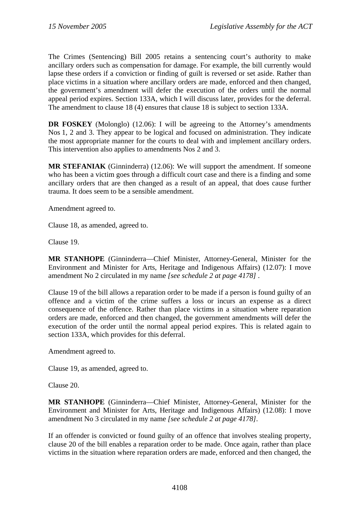The Crimes (Sentencing) Bill 2005 retains a sentencing court's authority to make ancillary orders such as compensation for damage. For example, the bill currently would lapse these orders if a conviction or finding of guilt is reversed or set aside. Rather than place victims in a situation where ancillary orders are made, enforced and then changed, the government's amendment will defer the execution of the orders until the normal appeal period expires. Section 133A, which I will discuss later, provides for the deferral. The amendment to clause 18 (4) ensures that clause 18 is subject to section 133A.

**DR FOSKEY** (Molonglo) (12.06): I will be agreeing to the Attorney's amendments Nos 1, 2 and 3. They appear to be logical and focused on administration. They indicate the most appropriate manner for the courts to deal with and implement ancillary orders. This intervention also applies to amendments Nos 2 and 3.

**MR STEFANIAK** (Ginninderra) (12.06): We will support the amendment. If someone who has been a victim goes through a difficult court case and there is a finding and some ancillary orders that are then changed as a result of an appeal, that does cause further trauma. It does seem to be a sensible amendment.

Amendment agreed to.

Clause 18, as amended, agreed to.

Clause 19.

**MR STANHOPE** (Ginninderra—Chief Minister, Attorney-General, Minister for the Environment and Minister for Arts, Heritage and Indigenous Affairs) (12.07): I move amendment No 2 circulated in my name *[see schedule 2 at page 4178]* .

Clause 19 of the bill allows a reparation order to be made if a person is found guilty of an offence and a victim of the crime suffers a loss or incurs an expense as a direct consequence of the offence. Rather than place victims in a situation where reparation orders are made, enforced and then changed, the government amendments will defer the execution of the order until the normal appeal period expires. This is related again to section 133A, which provides for this deferral.

Amendment agreed to.

Clause 19, as amended, agreed to.

Clause 20.

**MR STANHOPE** (Ginninderra—Chief Minister, Attorney-General, Minister for the Environment and Minister for Arts, Heritage and Indigenous Affairs) (12.08): I move amendment No 3 circulated in my name *[see schedule 2 at page 4178]*.

If an offender is convicted or found guilty of an offence that involves stealing property, clause 20 of the bill enables a reparation order to be made. Once again, rather than place victims in the situation where reparation orders are made, enforced and then changed, the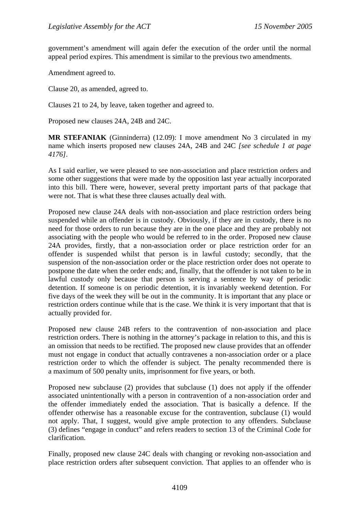government's amendment will again defer the execution of the order until the normal appeal period expires. This amendment is similar to the previous two amendments.

Amendment agreed to.

Clause 20, as amended, agreed to.

Clauses 21 to 24, by leave, taken together and agreed to.

Proposed new clauses 24A, 24B and 24C.

**MR STEFANIAK** (Ginninderra) (12.09): I move amendment No 3 circulated in my name which inserts proposed new clauses 24A, 24B and 24C *[see schedule 1 at page 4176]*.

As I said earlier, we were pleased to see non-association and place restriction orders and some other suggestions that were made by the opposition last year actually incorporated into this bill. There were, however, several pretty important parts of that package that were not. That is what these three clauses actually deal with.

Proposed new clause 24A deals with non-association and place restriction orders being suspended while an offender is in custody. Obviously, if they are in custody, there is no need for those orders to run because they are in the one place and they are probably not associating with the people who would be referred to in the order. Proposed new clause 24A provides, firstly, that a non-association order or place restriction order for an offender is suspended whilst that person is in lawful custody; secondly, that the suspension of the non-association order or the place restriction order does not operate to postpone the date when the order ends; and, finally, that the offender is not taken to be in lawful custody only because that person is serving a sentence by way of periodic detention. If someone is on periodic detention, it is invariably weekend detention. For five days of the week they will be out in the community. It is important that any place or restriction orders continue while that is the case. We think it is very important that that is actually provided for.

Proposed new clause 24B refers to the contravention of non-association and place restriction orders. There is nothing in the attorney's package in relation to this, and this is an omission that needs to be rectified. The proposed new clause provides that an offender must not engage in conduct that actually contravenes a non-association order or a place restriction order to which the offender is subject. The penalty recommended there is a maximum of 500 penalty units, imprisonment for five years, or both.

Proposed new subclause (2) provides that subclause (1) does not apply if the offender associated unintentionally with a person in contravention of a non-association order and the offender immediately ended the association. That is basically a defence. If the offender otherwise has a reasonable excuse for the contravention, subclause (1) would not apply. That, I suggest, would give ample protection to any offenders. Subclause (3) defines "engage in conduct" and refers readers to section 13 of the Criminal Code for clarification.

Finally, proposed new clause 24C deals with changing or revoking non-association and place restriction orders after subsequent conviction. That applies to an offender who is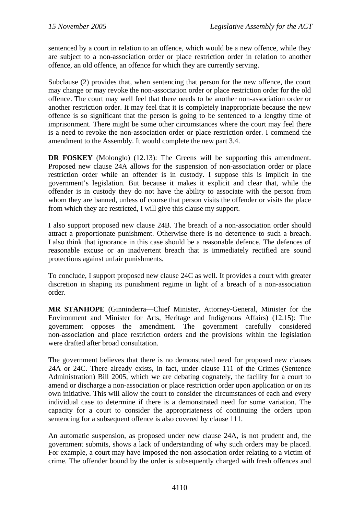sentenced by a court in relation to an offence, which would be a new offence, while they are subject to a non-association order or place restriction order in relation to another offence, an old offence, an offence for which they are currently serving.

Subclause (2) provides that, when sentencing that person for the new offence, the court may change or may revoke the non-association order or place restriction order for the old offence. The court may well feel that there needs to be another non-association order or another restriction order. It may feel that it is completely inappropriate because the new offence is so significant that the person is going to be sentenced to a lengthy time of imprisonment. There might be some other circumstances where the court may feel there is a need to revoke the non-association order or place restriction order. I commend the amendment to the Assembly. It would complete the new part 3.4.

**DR FOSKEY** (Molonglo) (12.13): The Greens will be supporting this amendment. Proposed new clause 24A allows for the suspension of non-association order or place restriction order while an offender is in custody. I suppose this is implicit in the government's legislation. But because it makes it explicit and clear that, while the offender is in custody they do not have the ability to associate with the person from whom they are banned, unless of course that person visits the offender or visits the place from which they are restricted, I will give this clause my support.

I also support proposed new clause 24B. The breach of a non-association order should attract a proportionate punishment. Otherwise there is no deterrence to such a breach. I also think that ignorance in this case should be a reasonable defence. The defences of reasonable excuse or an inadvertent breach that is immediately rectified are sound protections against unfair punishments.

To conclude, I support proposed new clause 24C as well. It provides a court with greater discretion in shaping its punishment regime in light of a breach of a non-association order.

**MR STANHOPE** (Ginninderra—Chief Minister, Attorney-General, Minister for the Environment and Minister for Arts, Heritage and Indigenous Affairs) (12.15): The government opposes the amendment. The government carefully considered non-association and place restriction orders and the provisions within the legislation were drafted after broad consultation.

The government believes that there is no demonstrated need for proposed new clauses 24A or 24C. There already exists, in fact, under clause 111 of the Crimes (Sentence Administration) Bill 2005, which we are debating cognately, the facility for a court to amend or discharge a non-association or place restriction order upon application or on its own initiative. This will allow the court to consider the circumstances of each and every individual case to determine if there is a demonstrated need for some variation. The capacity for a court to consider the appropriateness of continuing the orders upon sentencing for a subsequent offence is also covered by clause 111.

An automatic suspension, as proposed under new clause 24A, is not prudent and, the government submits, shows a lack of understanding of why such orders may be placed. For example, a court may have imposed the non-association order relating to a victim of crime. The offender bound by the order is subsequently charged with fresh offences and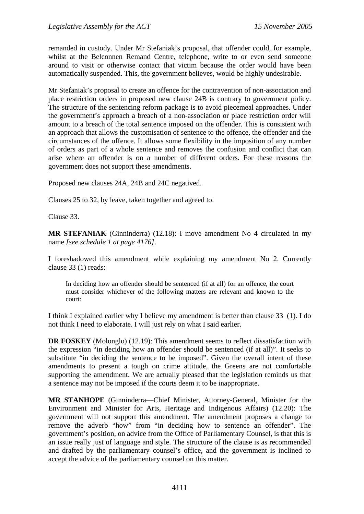remanded in custody. Under Mr Stefaniak's proposal, that offender could, for example, whilst at the Belconnen Remand Centre, telephone, write to or even send someone around to visit or otherwise contact that victim because the order would have been automatically suspended. This, the government believes, would be highly undesirable.

Mr Stefaniak's proposal to create an offence for the contravention of non-association and place restriction orders in proposed new clause 24B is contrary to government policy. The structure of the sentencing reform package is to avoid piecemeal approaches. Under the government's approach a breach of a non-association or place restriction order will amount to a breach of the total sentence imposed on the offender. This is consistent with an approach that allows the customisation of sentence to the offence, the offender and the circumstances of the offence. It allows some flexibility in the imposition of any number of orders as part of a whole sentence and removes the confusion and conflict that can arise where an offender is on a number of different orders. For these reasons the government does not support these amendments.

Proposed new clauses 24A, 24B and 24C negatived.

Clauses 25 to 32, by leave, taken together and agreed to.

Clause 33.

**MR STEFANIAK** (Ginninderra) (12.18): I move amendment No 4 circulated in my name *[see schedule 1 at page 4176]*.

I foreshadowed this amendment while explaining my amendment No 2. Currently clause 33 (1) reads:

In deciding how an offender should be sentenced (if at all) for an offence, the court must consider whichever of the following matters are relevant and known to the court:

I think I explained earlier why I believe my amendment is better than clause 33 (1). I do not think I need to elaborate. I will just rely on what I said earlier.

**DR FOSKEY** (Molonglo) (12.19): This amendment seems to reflect dissatisfaction with the expression "in deciding how an offender should be sentenced (if at all)". It seeks to substitute "in deciding the sentence to be imposed". Given the overall intent of these amendments to present a tough on crime attitude, the Greens are not comfortable supporting the amendment. We are actually pleased that the legislation reminds us that a sentence may not be imposed if the courts deem it to be inappropriate.

**MR STANHOPE** (Ginninderra—Chief Minister, Attorney-General, Minister for the Environment and Minister for Arts, Heritage and Indigenous Affairs) (12.20): The government will not support this amendment. The amendment proposes a change to remove the adverb "how" from "in deciding how to sentence an offender". The government's position, on advice from the Office of Parliamentary Counsel, is that this is an issue really just of language and style. The structure of the clause is as recommended and drafted by the parliamentary counsel's office, and the government is inclined to accept the advice of the parliamentary counsel on this matter.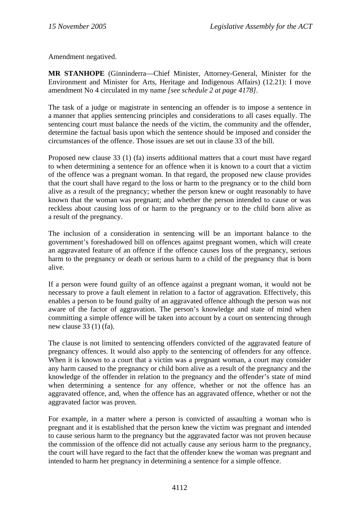Amendment negatived.

**MR STANHOPE** (Ginninderra—Chief Minister, Attorney-General, Minister for the Environment and Minister for Arts, Heritage and Indigenous Affairs) (12.21): I move amendment No 4 circulated in my name *[see schedule 2 at page 4178]*.

The task of a judge or magistrate in sentencing an offender is to impose a sentence in a manner that applies sentencing principles and considerations to all cases equally. The sentencing court must balance the needs of the victim, the community and the offender, determine the factual basis upon which the sentence should be imposed and consider the circumstances of the offence. Those issues are set out in clause 33 of the bill.

Proposed new clause 33 (1) (fa) inserts additional matters that a court must have regard to when determining a sentence for an offence when it is known to a court that a victim of the offence was a pregnant woman. In that regard, the proposed new clause provides that the court shall have regard to the loss or harm to the pregnancy or to the child born alive as a result of the pregnancy; whether the person knew or ought reasonably to have known that the woman was pregnant; and whether the person intended to cause or was reckless about causing loss of or harm to the pregnancy or to the child born alive as a result of the pregnancy.

The inclusion of a consideration in sentencing will be an important balance to the government's foreshadowed bill on offences against pregnant women, which will create an aggravated feature of an offence if the offence causes loss of the pregnancy, serious harm to the pregnancy or death or serious harm to a child of the pregnancy that is born alive.

If a person were found guilty of an offence against a pregnant woman, it would not be necessary to prove a fault element in relation to a factor of aggravation. Effectively, this enables a person to be found guilty of an aggravated offence although the person was not aware of the factor of aggravation. The person's knowledge and state of mind when committing a simple offence will be taken into account by a court on sentencing through new clause 33 (1) (fa).

The clause is not limited to sentencing offenders convicted of the aggravated feature of pregnancy offences. It would also apply to the sentencing of offenders for any offence. When it is known to a court that a victim was a pregnant woman, a court may consider any harm caused to the pregnancy or child born alive as a result of the pregnancy and the knowledge of the offender in relation to the pregnancy and the offender's state of mind when determining a sentence for any offence, whether or not the offence has an aggravated offence, and, when the offence has an aggravated offence, whether or not the aggravated factor was proven.

For example, in a matter where a person is convicted of assaulting a woman who is pregnant and it is established that the person knew the victim was pregnant and intended to cause serious harm to the pregnancy but the aggravated factor was not proven because the commission of the offence did not actually cause any serious harm to the pregnancy, the court will have regard to the fact that the offender knew the woman was pregnant and intended to harm her pregnancy in determining a sentence for a simple offence.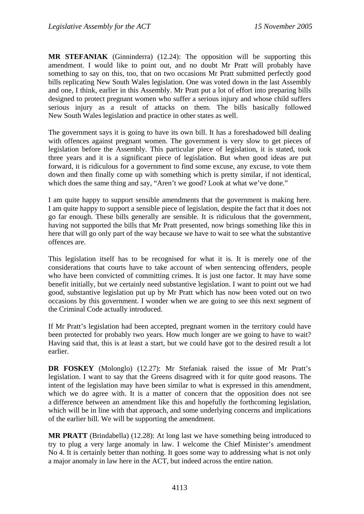**MR STEFANIAK** (Ginninderra) (12.24): The opposition will be supporting this amendment. I would like to point out, and no doubt Mr Pratt will probably have something to say on this, too, that on two occasions Mr Pratt submitted perfectly good bills replicating New South Wales legislation. One was voted down in the last Assembly and one, I think, earlier in this Assembly. Mr Pratt put a lot of effort into preparing bills designed to protect pregnant women who suffer a serious injury and whose child suffers serious injury as a result of attacks on them. The bills basically followed New South Wales legislation and practice in other states as well.

The government says it is going to have its own bill. It has a foreshadowed bill dealing with offences against pregnant women. The government is very slow to get pieces of legislation before the Assembly. This particular piece of legislation, it is stated, took three years and it is a significant piece of legislation. But when good ideas are put forward, it is ridiculous for a government to find some excuse, any excuse, to vote them down and then finally come up with something which is pretty similar, if not identical, which does the same thing and say, "Aren't we good? Look at what we've done."

I am quite happy to support sensible amendments that the government is making here. I am quite happy to support a sensible piece of legislation, despite the fact that it does not go far enough. These bills generally are sensible. It is ridiculous that the government, having not supported the bills that Mr Pratt presented, now brings something like this in here that will go only part of the way because we have to wait to see what the substantive offences are.

This legislation itself has to be recognised for what it is. It is merely one of the considerations that courts have to take account of when sentencing offenders, people who have been convicted of committing crimes. It is just one factor. It may have some benefit initially, but we certainly need substantive legislation. I want to point out we had good, substantive legislation put up by Mr Pratt which has now been voted out on two occasions by this government. I wonder when we are going to see this next segment of the Criminal Code actually introduced.

If Mr Pratt's legislation had been accepted, pregnant women in the territory could have been protected for probably two years. How much longer are we going to have to wait? Having said that, this is at least a start, but we could have got to the desired result a lot earlier.

**DR FOSKEY** (Molonglo) (12.27): Mr Stefaniak raised the issue of Mr Pratt's legislation. I want to say that the Greens disagreed with it for quite good reasons. The intent of the legislation may have been similar to what is expressed in this amendment, which we do agree with. It is a matter of concern that the opposition does not see a difference between an amendment like this and hopefully the forthcoming legislation, which will be in line with that approach, and some underlying concerns and implications of the earlier bill. We will be supporting the amendment.

**MR PRATT** (Brindabella) (12.28): At long last we have something being introduced to try to plug a very large anomaly in law. I welcome the Chief Minister's amendment No 4. It is certainly better than nothing. It goes some way to addressing what is not only a major anomaly in law here in the ACT, but indeed across the entire nation.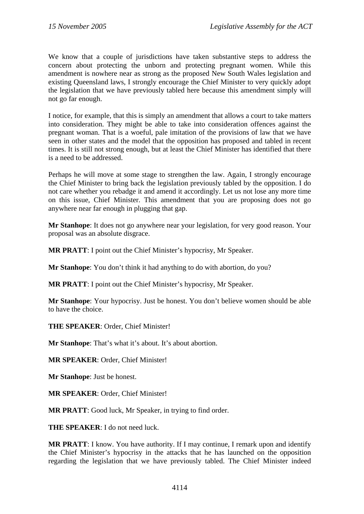We know that a couple of jurisdictions have taken substantive steps to address the concern about protecting the unborn and protecting pregnant women. While this amendment is nowhere near as strong as the proposed New South Wales legislation and existing Queensland laws, I strongly encourage the Chief Minister to very quickly adopt the legislation that we have previously tabled here because this amendment simply will not go far enough.

I notice, for example, that this is simply an amendment that allows a court to take matters into consideration. They might be able to take into consideration offences against the pregnant woman. That is a woeful, pale imitation of the provisions of law that we have seen in other states and the model that the opposition has proposed and tabled in recent times. It is still not strong enough, but at least the Chief Minister has identified that there is a need to be addressed.

Perhaps he will move at some stage to strengthen the law. Again, I strongly encourage the Chief Minister to bring back the legislation previously tabled by the opposition. I do not care whether you rebadge it and amend it accordingly. Let us not lose any more time on this issue, Chief Minister. This amendment that you are proposing does not go anywhere near far enough in plugging that gap.

**Mr Stanhope**: It does not go anywhere near your legislation, for very good reason. Your proposal was an absolute disgrace.

**MR PRATT**: I point out the Chief Minister's hypocrisy, Mr Speaker.

**Mr Stanhope**: You don't think it had anything to do with abortion, do you?

**MR PRATT**: I point out the Chief Minister's hypocrisy, Mr Speaker.

**Mr Stanhope**: Your hypocrisy. Just be honest. You don't believe women should be able to have the choice.

**THE SPEAKER**: Order, Chief Minister!

**Mr Stanhope**: That's what it's about. It's about abortion.

**MR SPEAKER**: Order, Chief Minister!

**Mr Stanhope**: Just be honest.

**MR SPEAKER**: Order, Chief Minister!

**MR PRATT**: Good luck, Mr Speaker, in trying to find order.

**THE SPEAKER**: I do not need luck.

**MR PRATT**: I know. You have authority. If I may continue, I remark upon and identify the Chief Minister's hypocrisy in the attacks that he has launched on the opposition regarding the legislation that we have previously tabled. The Chief Minister indeed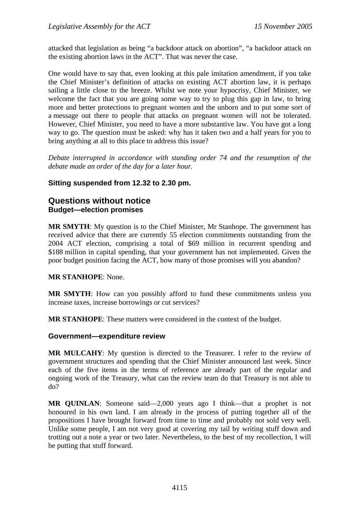<span id="page-34-0"></span>attacked that legislation as being "a backdoor attack on abortion", "a backdoor attack on the existing abortion laws in the ACT". That was never the case.

One would have to say that, even looking at this pale imitation amendment, if you take the Chief Minister's definition of attacks on existing ACT abortion law, it is perhaps sailing a little close to the breeze. Whilst we note your hypocrisy, Chief Minister, we welcome the fact that you are going some way to try to plug this gap in law, to bring more and better protections to pregnant women and the unborn and to put some sort of a message out there to people that attacks on pregnant women will not be tolerated. However, Chief Minister, you need to have a more substantive law. You have got a long way to go. The question must be asked: why has it taken two and a half years for you to bring anything at all to this place to address this issue?

*Debate interrupted in accordance with standing order 74 and the resumption of the debate made an order of the day for a later hour.* 

### **Sitting suspended from 12.32 to 2.30 pm.**

### **Questions without notice Budget—election promises**

**MR SMYTH**: My question is to the Chief Minister, Mr Stanhope. The government has received advice that there are currently 55 election commitments outstanding from the 2004 ACT election, comprising a total of \$69 million in recurrent spending and \$188 million in capital spending, that your government has not implemented. Given the poor budget position facing the ACT, how many of those promises will you abandon?

**MR STANHOPE**: None.

**MR SMYTH**: How can you possibly afford to fund these commitments unless you increase taxes, increase borrowings or cut services?

**MR STANHOPE**: These matters were considered in the context of the budget.

### **Government—expenditure review**

**MR MULCAHY**: My question is directed to the Treasurer. I refer to the review of government structures and spending that the Chief Minister announced last week. Since each of the five items in the terms of reference are already part of the regular and ongoing work of the Treasury, what can the review team do that Treasury is not able to do?

**MR QUINLAN**: Someone said—2,000 years ago I think—that a prophet is not honoured in his own land. I am already in the process of putting together all of the propositions I have brought forward from time to time and probably not sold very well. Unlike some people, I am not very good at covering my tail by writing stuff down and trotting out a note a year or two later. Nevertheless, to the best of my recollection, I will be putting that stuff forward.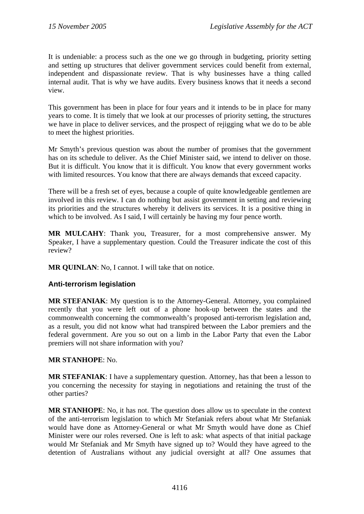<span id="page-35-0"></span>It is undeniable: a process such as the one we go through in budgeting, priority setting and setting up structures that deliver government services could benefit from external, independent and dispassionate review. That is why businesses have a thing called internal audit. That is why we have audits. Every business knows that it needs a second view.

This government has been in place for four years and it intends to be in place for many years to come. It is timely that we look at our processes of priority setting, the structures we have in place to deliver services, and the prospect of rejigging what we do to be able to meet the highest priorities.

Mr Smyth's previous question was about the number of promises that the government has on its schedule to deliver. As the Chief Minister said, we intend to deliver on those. But it is difficult. You know that it is difficult. You know that every government works with limited resources. You know that there are always demands that exceed capacity.

There will be a fresh set of eyes, because a couple of quite knowledgeable gentlemen are involved in this review. I can do nothing but assist government in setting and reviewing its priorities and the structures whereby it delivers its services. It is a positive thing in which to be involved. As I said, I will certainly be having my four pence worth.

**MR MULCAHY**: Thank you, Treasurer, for a most comprehensive answer. My Speaker, I have a supplementary question. Could the Treasurer indicate the cost of this review?

**MR QUINLAN:** No, I cannot. I will take that on notice.

### **Anti-terrorism legislation**

**MR STEFANIAK**: My question is to the Attorney-General. Attorney, you complained recently that you were left out of a phone hook-up between the states and the commonwealth concerning the commonwealth's proposed anti-terrorism legislation and, as a result, you did not know what had transpired between the Labor premiers and the federal government. Are you so out on a limb in the Labor Party that even the Labor premiers will not share information with you?

### **MR STANHOPE**: No.

**MR STEFANIAK**: I have a supplementary question. Attorney, has that been a lesson to you concerning the necessity for staying in negotiations and retaining the trust of the other parties?

**MR STANHOPE**: No, it has not. The question does allow us to speculate in the context of the anti-terrorism legislation to which Mr Stefaniak refers about what Mr Stefaniak would have done as Attorney-General or what Mr Smyth would have done as Chief Minister were our roles reversed. One is left to ask: what aspects of that initial package would Mr Stefaniak and Mr Smyth have signed up to? Would they have agreed to the detention of Australians without any judicial oversight at all? One assumes that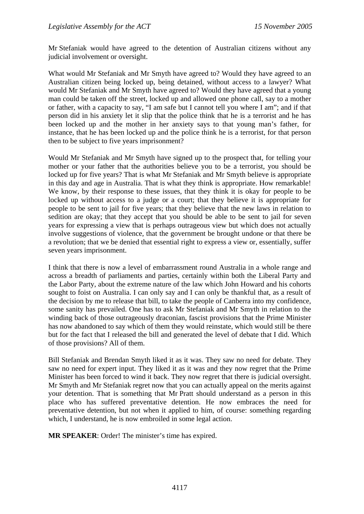Mr Stefaniak would have agreed to the detention of Australian citizens without any judicial involvement or oversight.

What would Mr Stefaniak and Mr Smyth have agreed to? Would they have agreed to an Australian citizen being locked up, being detained, without access to a lawyer? What would Mr Stefaniak and Mr Smyth have agreed to? Would they have agreed that a young man could be taken off the street, locked up and allowed one phone call, say to a mother or father, with a capacity to say, "I am safe but I cannot tell you where I am"; and if that person did in his anxiety let it slip that the police think that he is a terrorist and he has been locked up and the mother in her anxiety says to that young man's father, for instance, that he has been locked up and the police think he is a terrorist, for that person then to be subject to five years imprisonment?

Would Mr Stefaniak and Mr Smyth have signed up to the prospect that, for telling your mother or your father that the authorities believe you to be a terrorist, you should be locked up for five years? That is what Mr Stefaniak and Mr Smyth believe is appropriate in this day and age in Australia. That is what they think is appropriate. How remarkable! We know, by their response to these issues, that they think it is okay for people to be locked up without access to a judge or a court; that they believe it is appropriate for people to be sent to jail for five years; that they believe that the new laws in relation to sedition are okay; that they accept that you should be able to be sent to jail for seven years for expressing a view that is perhaps outrageous view but which does not actually involve suggestions of violence, that the government be brought undone or that there be a revolution; that we be denied that essential right to express a view or, essentially, suffer seven years imprisonment.

I think that there is now a level of embarrassment round Australia in a whole range and across a breadth of parliaments and parties, certainly within both the Liberal Party and the Labor Party, about the extreme nature of the law which John Howard and his cohorts sought to foist on Australia. I can only say and I can only be thankful that, as a result of the decision by me to release that bill, to take the people of Canberra into my confidence, some sanity has prevailed. One has to ask Mr Stefaniak and Mr Smyth in relation to the winding back of those outrageously draconian, fascist provisions that the Prime Minister has now abandoned to say which of them they would reinstate, which would still be there but for the fact that I released the bill and generated the level of debate that I did. Which of those provisions? All of them.

Bill Stefaniak and Brendan Smyth liked it as it was. They saw no need for debate. They saw no need for expert input. They liked it as it was and they now regret that the Prime Minister has been forced to wind it back. They now regret that there is judicial oversight. Mr Smyth and Mr Stefaniak regret now that you can actually appeal on the merits against your detention. That is something that Mr Pratt should understand as a person in this place who has suffered preventative detention. He now embraces the need for preventative detention, but not when it applied to him, of course: something regarding which, I understand, he is now embroiled in some legal action.

**MR SPEAKER**: Order! The minister's time has expired.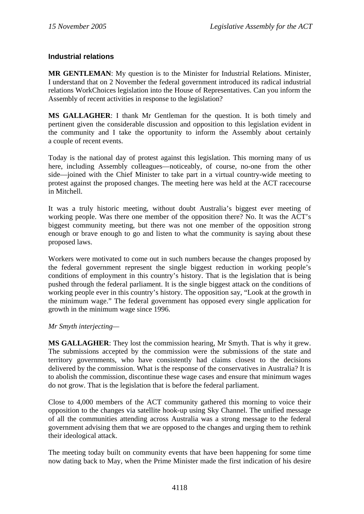### **Industrial relations**

**MR GENTLEMAN**: My question is to the Minister for Industrial Relations. Minister, I understand that on 2 November the federal government introduced its radical industrial relations WorkChoices legislation into the House of Representatives. Can you inform the Assembly of recent activities in response to the legislation?

**MS GALLAGHER**: I thank Mr Gentleman for the question. It is both timely and pertinent given the considerable discussion and opposition to this legislation evident in the community and I take the opportunity to inform the Assembly about certainly a couple of recent events.

Today is the national day of protest against this legislation. This morning many of us here, including Assembly colleagues—noticeably, of course, no-one from the other side—joined with the Chief Minister to take part in a virtual country-wide meeting to protest against the proposed changes. The meeting here was held at the ACT racecourse in Mitchell.

It was a truly historic meeting, without doubt Australia's biggest ever meeting of working people. Was there one member of the opposition there? No. It was the ACT's biggest community meeting, but there was not one member of the opposition strong enough or brave enough to go and listen to what the community is saying about these proposed laws.

Workers were motivated to come out in such numbers because the changes proposed by the federal government represent the single biggest reduction in working people's conditions of employment in this country's history. That is the legislation that is being pushed through the federal parliament. It is the single biggest attack on the conditions of working people ever in this country's history. The opposition say, "Look at the growth in the minimum wage." The federal government has opposed every single application for growth in the minimum wage since 1996.

### *Mr Smyth interjecting—*

**MS GALLAGHER**: They lost the commission hearing, Mr Smyth. That is why it grew. The submissions accepted by the commission were the submissions of the state and territory governments, who have consistently had claims closest to the decisions delivered by the commission. What is the response of the conservatives in Australia? It is to abolish the commission, discontinue these wage cases and ensure that minimum wages do not grow. That is the legislation that is before the federal parliament.

Close to 4,000 members of the ACT community gathered this morning to voice their opposition to the changes via satellite hook-up using Sky Channel. The unified message of all the communities attending across Australia was a strong message to the federal government advising them that we are opposed to the changes and urging them to rethink their ideological attack.

The meeting today built on community events that have been happening for some time now dating back to May, when the Prime Minister made the first indication of his desire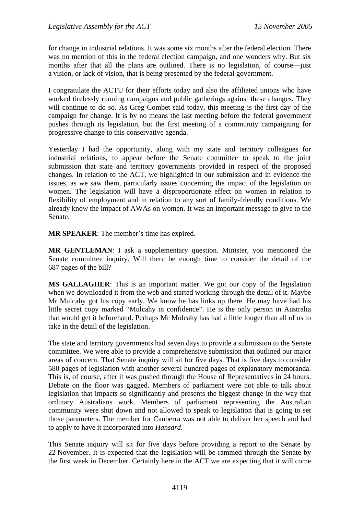for change in industrial relations. It was some six months after the federal election. There was no mention of this in the federal election campaign, and one wonders why. But six months after that all the plans are outlined. There is no legislation, of course—just a vision, or lack of vision, that is being presented by the federal government.

I congratulate the ACTU for their efforts today and also the affiliated unions who have worked tirelessly running campaigns and public gatherings against these changes. They will continue to do so. As Greg Combet said today, this meeting is the first day of the campaign for change. It is by no means the last meeting before the federal government pushes through its legislation, but the first meeting of a community campaigning for progressive change to this conservative agenda.

Yesterday I had the opportunity, along with my state and territory colleagues for industrial relations, to appear before the Senate committee to speak to the joint submission that state and territory governments provided in respect of the proposed changes. In relation to the ACT, we highlighted in our submission and in evidence the issues, as we saw them, particularly issues concerning the impact of the legislation on women. The legislation will have a disproportionate effect on women in relation to flexibility of employment and in relation to any sort of family-friendly conditions. We already know the impact of AWAs on women. It was an important message to give to the Senate.

**MR SPEAKER**: The member's time has expired.

**MR GENTLEMAN**: I ask a supplementary question. Minister, you mentioned the Senate committee inquiry. Will there be enough time to consider the detail of the 687 pages of the bill?

**MS GALLAGHER**: This is an important matter. We got our copy of the legislation when we downloaded it from the web and started working through the detail of it. Maybe Mr Mulcahy got his copy early. We know he has links up there. He may have had his little secret copy marked "Mulcahy in confidence". He is the only person in Australia that would get it beforehand. Perhaps Mr Mulcahy has had a little longer than all of us to take in the detail of the legislation.

The state and territory governments had seven days to provide a submission to the Senate committee. We were able to provide a comprehensive submission that outlined our major areas of concern. That Senate inquiry will sit for five days. That is five days to consider 580 pages of legislation with another several hundred pages of explanatory memoranda. This is, of course, after it was pushed through the House of Representatives in 24 hours. Debate on the floor was gagged. Members of parliament were not able to talk about legislation that impacts so significantly and presents the biggest change in the way that ordinary Australians work. Members of parliament representing the Australian community were shut down and not allowed to speak to legislation that is going to set those parameters. The member for Canberra was not able to deliver her speech and had to apply to have it incorporated into *Hansard*.

This Senate inquiry will sit for five days before providing a report to the Senate by 22 November. It is expected that the legislation will be rammed through the Senate by the first week in December. Certainly here in the ACT we are expecting that it will come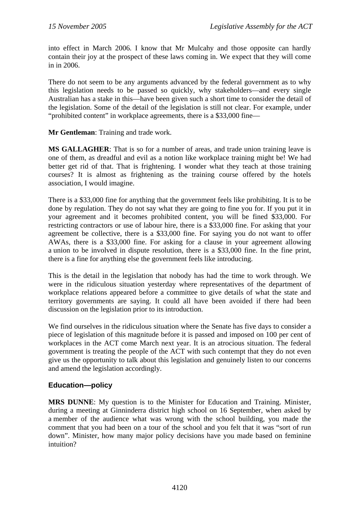into effect in March 2006. I know that Mr Mulcahy and those opposite can hardly contain their joy at the prospect of these laws coming in. We expect that they will come in in 2006.

There do not seem to be any arguments advanced by the federal government as to why this legislation needs to be passed so quickly, why stakeholders—and every single Australian has a stake in this—have been given such a short time to consider the detail of the legislation. Some of the detail of the legislation is still not clear. For example, under "prohibited content" in workplace agreements, there is a \$33,000 fine—

**Mr Gentleman**: Training and trade work.

**MS GALLAGHER**: That is so for a number of areas, and trade union training leave is one of them, as dreadful and evil as a notion like workplace training might be! We had better get rid of that. That is frightening. I wonder what they teach at those training courses? It is almost as frightening as the training course offered by the hotels association, I would imagine.

There is a \$33,000 fine for anything that the government feels like prohibiting. It is to be done by regulation. They do not say what they are going to fine you for. If you put it in your agreement and it becomes prohibited content, you will be fined \$33,000. For restricting contractors or use of labour hire, there is a \$33,000 fine. For asking that your agreement be collective, there is a \$33,000 fine. For saying you do not want to offer AWAs, there is a \$33,000 fine. For asking for a clause in your agreement allowing a union to be involved in dispute resolution, there is a \$33,000 fine. In the fine print, there is a fine for anything else the government feels like introducing.

This is the detail in the legislation that nobody has had the time to work through. We were in the ridiculous situation yesterday where representatives of the department of workplace relations appeared before a committee to give details of what the state and territory governments are saying. It could all have been avoided if there had been discussion on the legislation prior to its introduction.

We find ourselves in the ridiculous situation where the Senate has five days to consider a piece of legislation of this magnitude before it is passed and imposed on 100 per cent of workplaces in the ACT come March next year. It is an atrocious situation. The federal government is treating the people of the ACT with such contempt that they do not even give us the opportunity to talk about this legislation and genuinely listen to our concerns and amend the legislation accordingly.

### **Education—policy**

**MRS DUNNE**: My question is to the Minister for Education and Training. Minister, during a meeting at Ginninderra district high school on 16 September, when asked by a member of the audience what was wrong with the school building, you made the comment that you had been on a tour of the school and you felt that it was "sort of run down". Minister, how many major policy decisions have you made based on feminine intuition?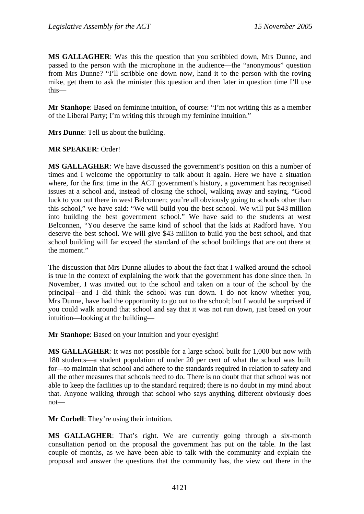**MS GALLAGHER**: Was this the question that you scribbled down, Mrs Dunne, and passed to the person with the microphone in the audience—the "anonymous" question from Mrs Dunne? "I'll scribble one down now, hand it to the person with the roving mike, get them to ask the minister this question and then later in question time I'll use this—

**Mr Stanhope**: Based on feminine intuition, of course: "I'm not writing this as a member of the Liberal Party; I'm writing this through my feminine intuition."

**Mrs Dunne**: Tell us about the building.

### **MR SPEAKER**: Order!

**MS GALLAGHER**: We have discussed the government's position on this a number of times and I welcome the opportunity to talk about it again. Here we have a situation where, for the first time in the ACT government's history, a government has recognised issues at a school and, instead of closing the school, walking away and saying, "Good luck to you out there in west Belconnen; you're all obviously going to schools other than this school," we have said: "We will build you the best school. We will put \$43 million into building the best government school." We have said to the students at west Belconnen, "You deserve the same kind of school that the kids at Radford have. You deserve the best school. We will give \$43 million to build you the best school, and that school building will far exceed the standard of the school buildings that are out there at the moment."

The discussion that Mrs Dunne alludes to about the fact that I walked around the school is true in the context of explaining the work that the government has done since then. In November, I was invited out to the school and taken on a tour of the school by the principal—and I did think the school was run down. I do not know whether you, Mrs Dunne, have had the opportunity to go out to the school; but I would be surprised if you could walk around that school and say that it was not run down, just based on your intuition—looking at the building—

**Mr Stanhope**: Based on your intuition and your eyesight!

**MS GALLAGHER**: It was not possible for a large school built for 1,000 but now with 180 students—a student population of under 20 per cent of what the school was built for—to maintain that school and adhere to the standards required in relation to safety and all the other measures that schools need to do. There is no doubt that that school was not able to keep the facilities up to the standard required; there is no doubt in my mind about that. Anyone walking through that school who says anything different obviously does not—

**Mr Corbell**: They're using their intuition.

**MS GALLAGHER**: That's right. We are currently going through a six-month consultation period on the proposal the government has put on the table. In the last couple of months, as we have been able to talk with the community and explain the proposal and answer the questions that the community has, the view out there in the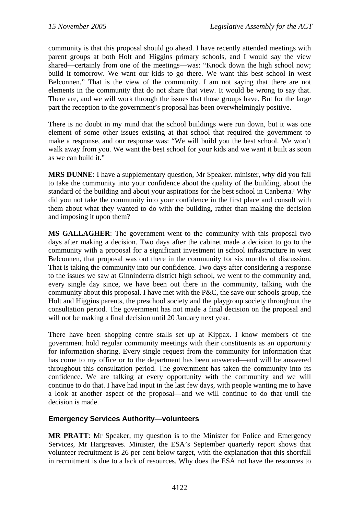community is that this proposal should go ahead. I have recently attended meetings with parent groups at both Holt and Higgins primary schools, and I would say the view shared—certainly from one of the meetings—was: "Knock down the high school now; build it tomorrow. We want our kids to go there. We want this best school in west Belconnen." That is the view of the community. I am not saying that there are not elements in the community that do not share that view. It would be wrong to say that. There are, and we will work through the issues that those groups have. But for the large part the reception to the government's proposal has been overwhelmingly positive.

There is no doubt in my mind that the school buildings were run down, but it was one element of some other issues existing at that school that required the government to make a response, and our response was: "We will build you the best school. We won't walk away from you. We want the best school for your kids and we want it built as soon as we can build it."

**MRS DUNNE**: I have a supplementary question, Mr Speaker. minister, why did you fail to take the community into your confidence about the quality of the building, about the standard of the building and about your aspirations for the best school in Canberra? Why did you not take the community into your confidence in the first place and consult with them about what they wanted to do with the building, rather than making the decision and imposing it upon them?

**MS GALLAGHER**: The government went to the community with this proposal two days after making a decision. Two days after the cabinet made a decision to go to the community with a proposal for a significant investment in school infrastructure in west Belconnen, that proposal was out there in the community for six months of discussion. That is taking the community into our confidence. Two days after considering a response to the issues we saw at Ginninderra district high school, we went to the community and, every single day since, we have been out there in the community, talking with the community about this proposal. I have met with the P&C, the save our schools group, the Holt and Higgins parents, the preschool society and the playgroup society throughout the consultation period. The government has not made a final decision on the proposal and will not be making a final decision until 20 January next year.

There have been shopping centre stalls set up at Kippax. I know members of the government hold regular community meetings with their constituents as an opportunity for information sharing. Every single request from the community for information that has come to my office or to the department has been answered—and will be answered throughout this consultation period. The government has taken the community into its confidence. We are talking at every opportunity with the community and we will continue to do that. I have had input in the last few days, with people wanting me to have a look at another aspect of the proposal—and we will continue to do that until the decision is made.

### **Emergency Services Authority—volunteers**

**MR PRATT**: Mr Speaker, my question is to the Minister for Police and Emergency Services, Mr Hargreaves. Minister, the ESA's September quarterly report shows that volunteer recruitment is 26 per cent below target, with the explanation that this shortfall in recruitment is due to a lack of resources. Why does the ESA not have the resources to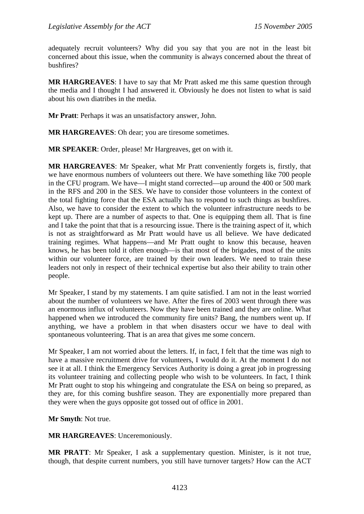adequately recruit volunteers? Why did you say that you are not in the least bit concerned about this issue, when the community is always concerned about the threat of bushfires?

**MR HARGREAVES**: I have to say that Mr Pratt asked me this same question through the media and I thought I had answered it. Obviously he does not listen to what is said about his own diatribes in the media.

**Mr Pratt**: Perhaps it was an unsatisfactory answer, John.

**MR HARGREAVES**: Oh dear; you are tiresome sometimes.

**MR SPEAKER**: Order, please! Mr Hargreaves, get on with it.

**MR HARGREAVES**: Mr Speaker, what Mr Pratt conveniently forgets is, firstly, that we have enormous numbers of volunteers out there. We have something like 700 people in the CFU program. We have—I might stand corrected—up around the 400 or 500 mark in the RFS and 200 in the SES. We have to consider those volunteers in the context of the total fighting force that the ESA actually has to respond to such things as bushfires. Also, we have to consider the extent to which the volunteer infrastructure needs to be kept up. There are a number of aspects to that. One is equipping them all. That is fine and I take the point that that is a resourcing issue. There is the training aspect of it, which is not as straightforward as Mr Pratt would have us all believe. We have dedicated training regimes. What happens—and Mr Pratt ought to know this because, heaven knows, he has been told it often enough—is that most of the brigades, most of the units within our volunteer force, are trained by their own leaders. We need to train these leaders not only in respect of their technical expertise but also their ability to train other people.

Mr Speaker, I stand by my statements. I am quite satisfied. I am not in the least worried about the number of volunteers we have. After the fires of 2003 went through there was an enormous influx of volunteers. Now they have been trained and they are online. What happened when we introduced the community fire units? Bang, the numbers went up. If anything, we have a problem in that when disasters occur we have to deal with spontaneous volunteering. That is an area that gives me some concern.

Mr Speaker, I am not worried about the letters. If, in fact, I felt that the time was nigh to have a massive recruitment drive for volunteers, I would do it. At the moment I do not see it at all. I think the Emergency Services Authority is doing a great job in progressing its volunteer training and collecting people who wish to be volunteers. In fact, I think Mr Pratt ought to stop his whingeing and congratulate the ESA on being so prepared, as they are, for this coming bushfire season. They are exponentially more prepared than they were when the guys opposite got tossed out of office in 2001.

**Mr Smyth**: Not true.

**MR HARGREAVES**: Unceremoniously.

**MR PRATT**: Mr Speaker, I ask a supplementary question. Minister, is it not true, though, that despite current numbers, you still have turnover targets? How can the ACT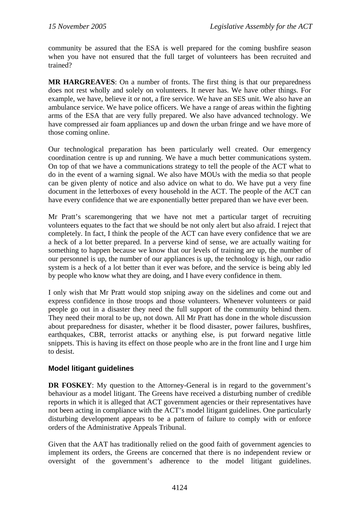community be assured that the ESA is well prepared for the coming bushfire season when you have not ensured that the full target of volunteers has been recruited and trained?

**MR HARGREAVES**: On a number of fronts. The first thing is that our preparedness does not rest wholly and solely on volunteers. It never has. We have other things. For example, we have, believe it or not, a fire service. We have an SES unit. We also have an ambulance service. We have police officers. We have a range of areas within the fighting arms of the ESA that are very fully prepared. We also have advanced technology. We have compressed air foam appliances up and down the urban fringe and we have more of those coming online.

Our technological preparation has been particularly well created. Our emergency coordination centre is up and running. We have a much better communications system. On top of that we have a communications strategy to tell the people of the ACT what to do in the event of a warning signal. We also have MOUs with the media so that people can be given plenty of notice and also advice on what to do. We have put a very fine document in the letterboxes of every household in the ACT. The people of the ACT can have every confidence that we are exponentially better prepared than we have ever been.

Mr Pratt's scaremongering that we have not met a particular target of recruiting volunteers equates to the fact that we should be not only alert but also afraid. I reject that completely. In fact, I think the people of the ACT can have every confidence that we are a heck of a lot better prepared. In a perverse kind of sense, we are actually waiting for something to happen because we know that our levels of training are up, the number of our personnel is up, the number of our appliances is up, the technology is high, our radio system is a heck of a lot better than it ever was before, and the service is being ably led by people who know what they are doing, and I have every confidence in them.

I only wish that Mr Pratt would stop sniping away on the sidelines and come out and express confidence in those troops and those volunteers. Whenever volunteers or paid people go out in a disaster they need the full support of the community behind them. They need their moral to be up, not down. All Mr Pratt has done in the whole discussion about preparedness for disaster, whether it be flood disaster, power failures, bushfires, earthquakes, CBR, terrorist attacks or anything else, is put forward negative little snippets. This is having its effect on those people who are in the front line and I urge him to desist.

### **Model litigant guidelines**

**DR FOSKEY:** My question to the Attorney-General is in regard to the government's behaviour as a model litigant. The Greens have received a disturbing number of credible reports in which it is alleged that ACT government agencies or their representatives have not been acting in compliance with the ACT's model litigant guidelines. One particularly disturbing development appears to be a pattern of failure to comply with or enforce orders of the Administrative Appeals Tribunal.

Given that the AAT has traditionally relied on the good faith of government agencies to implement its orders, the Greens are concerned that there is no independent review or oversight of the government's adherence to the model litigant guidelines.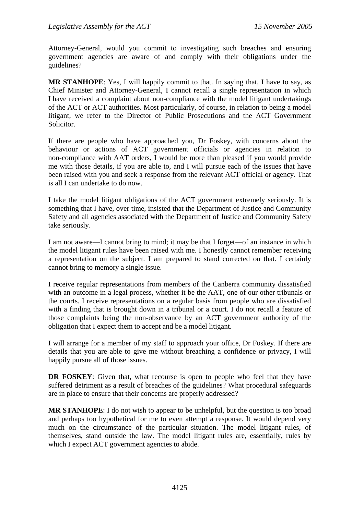Attorney-General, would you commit to investigating such breaches and ensuring government agencies are aware of and comply with their obligations under the guidelines?

**MR STANHOPE**: Yes, I will happily commit to that. In saying that, I have to say, as Chief Minister and Attorney-General, I cannot recall a single representation in which I have received a complaint about non-compliance with the model litigant undertakings of the ACT or ACT authorities. Most particularly, of course, in relation to being a model litigant, we refer to the Director of Public Prosecutions and the ACT Government Solicitor.

If there are people who have approached you, Dr Foskey, with concerns about the behaviour or actions of ACT government officials or agencies in relation to non-compliance with AAT orders, I would be more than pleased if you would provide me with those details, if you are able to, and I will pursue each of the issues that have been raised with you and seek a response from the relevant ACT official or agency. That is all I can undertake to do now.

I take the model litigant obligations of the ACT government extremely seriously. It is something that I have, over time, insisted that the Department of Justice and Community Safety and all agencies associated with the Department of Justice and Community Safety take seriously.

I am not aware—I cannot bring to mind; it may be that I forget—of an instance in which the model litigant rules have been raised with me. I honestly cannot remember receiving a representation on the subject. I am prepared to stand corrected on that. I certainly cannot bring to memory a single issue.

I receive regular representations from members of the Canberra community dissatisfied with an outcome in a legal process, whether it be the AAT, one of our other tribunals or the courts. I receive representations on a regular basis from people who are dissatisfied with a finding that is brought down in a tribunal or a court. I do not recall a feature of those complaints being the non-observance by an ACT government authority of the obligation that I expect them to accept and be a model litigant.

I will arrange for a member of my staff to approach your office, Dr Foskey. If there are details that you are able to give me without breaching a confidence or privacy, I will happily pursue all of those issues.

**DR FOSKEY**: Given that, what recourse is open to people who feel that they have suffered detriment as a result of breaches of the guidelines? What procedural safeguards are in place to ensure that their concerns are properly addressed?

**MR STANHOPE**: I do not wish to appear to be unhelpful, but the question is too broad and perhaps too hypothetical for me to even attempt a response. It would depend very much on the circumstance of the particular situation. The model litigant rules, of themselves, stand outside the law. The model litigant rules are, essentially, rules by which I expect ACT government agencies to abide.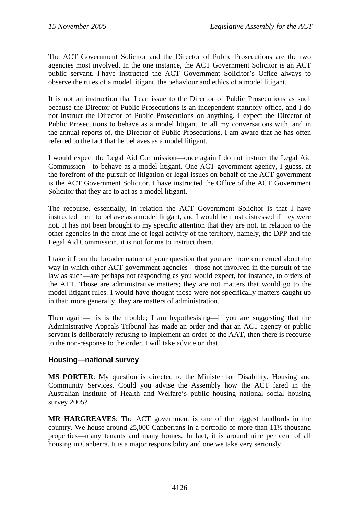The ACT Government Solicitor and the Director of Public Prosecutions are the two agencies most involved. In the one instance, the ACT Government Solicitor is an ACT public servant. I have instructed the ACT Government Solicitor's Office always to observe the rules of a model litigant, the behaviour and ethics of a model litigant.

It is not an instruction that I can issue to the Director of Public Prosecutions as such because the Director of Public Prosecutions is an independent statutory office, and I do not instruct the Director of Public Prosecutions on anything. I expect the Director of Public Prosecutions to behave as a model litigant. In all my conversations with, and in the annual reports of, the Director of Public Prosecutions, I am aware that he has often referred to the fact that he behaves as a model litigant.

I would expect the Legal Aid Commission—once again I do not instruct the Legal Aid Commission—to behave as a model litigant. One ACT government agency, I guess, at the forefront of the pursuit of litigation or legal issues on behalf of the ACT government is the ACT Government Solicitor. I have instructed the Office of the ACT Government Solicitor that they are to act as a model litigant.

The recourse, essentially, in relation the ACT Government Solicitor is that I have instructed them to behave as a model litigant, and I would be most distressed if they were not. It has not been brought to my specific attention that they are not. In relation to the other agencies in the front line of legal activity of the territory, namely, the DPP and the Legal Aid Commission, it is not for me to instruct them.

I take it from the broader nature of your question that you are more concerned about the way in which other ACT government agencies—those not involved in the pursuit of the law as such—are perhaps not responding as you would expect, for instance, to orders of the ATT. Those are administrative matters; they are not matters that would go to the model litigant rules. I would have thought those were not specifically matters caught up in that; more generally, they are matters of administration.

Then again—this is the trouble; I am hypothesising—if you are suggesting that the Administrative Appeals Tribunal has made an order and that an ACT agency or public servant is deliberately refusing to implement an order of the AAT, then there is recourse to the non-response to the order. I will take advice on that.

### **Housing—national survey**

**MS PORTER**: My question is directed to the Minister for Disability, Housing and Community Services. Could you advise the Assembly how the ACT fared in the Australian Institute of Health and Welfare's public housing national social housing survey 2005?

**MR HARGREAVES**: The ACT government is one of the biggest landlords in the country. We house around 25,000 Canberrans in a portfolio of more than 11½ thousand properties—many tenants and many homes. In fact, it is around nine per cent of all housing in Canberra. It is a major responsibility and one we take very seriously.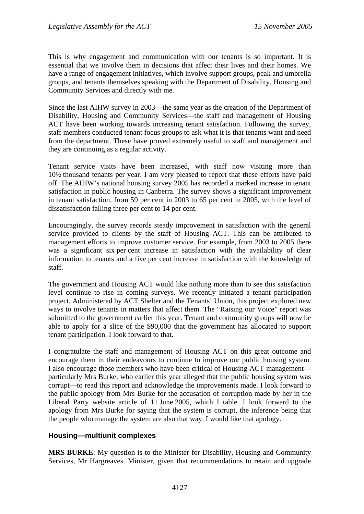This is why engagement and communication with our tenants is so important. It is essential that we involve them in decisions that affect their lives and their homes. We have a range of engagement initiatives, which involve support groups, peak and umbrella groups, and tenants themselves speaking with the Department of Disability, Housing and Community Services and directly with me.

Since the last AIHW survey in 2003—the same year as the creation of the Department of Disability, Housing and Community Services—the staff and management of Housing ACT have been working towards increasing tenant satisfaction. Following the survey, staff members conducted tenant focus groups to ask what it is that tenants want and need from the department. These have proved extremely useful to staff and management and they are continuing as a regular activity.

Tenant service visits have been increased, with staff now visiting more than 10½ thousand tenants per year. I am very pleased to report that these efforts have paid off. The AIHW's national housing survey 2005 has recorded a marked increase in tenant satisfaction in public housing in Canberra. The survey shows a significant improvement in tenant satisfaction, from 59 per cent in 2003 to 65 per cent in 2005, with the level of dissatisfaction falling three per cent to 14 per cent.

Encouragingly, the survey records steady improvement in satisfaction with the general service provided to clients by the staff of Housing ACT. This can be attributed to management efforts to improve customer service. For example, from 2003 to 2005 there was a significant six per cent increase in satisfaction with the availability of clear information to tenants and a five per cent increase in satisfaction with the knowledge of staff.

The government and Housing ACT would like nothing more than to see this satisfaction level continue to rise in coming surveys. We recently initiated a tenant participation project. Administered by ACT Shelter and the Tenants' Union, this project explored new ways to involve tenants in matters that affect them. The "Raising our Voice" report was submitted to the government earlier this year. Tenant and community groups will now be able to apply for a slice of the \$90,000 that the government has allocated to support tenant participation. I look forward to that.

I congratulate the staff and management of Housing ACT on this great outcome and encourage them in their endeavours to continue to improve our public housing system. I also encourage those members who have been critical of Housing ACT management particularly Mrs Burke, who earlier this year alleged that the public housing system was corrupt—to read this report and acknowledge the improvements made. I look forward to the public apology from Mrs Burke for the accusation of corruption made by her in the Liberal Party website article of 11 June 2005, which I table. I look forward to the apology from Mrs Burke for saying that the system is corrupt, the inference being that the people who manage the system are also that way. I would like that apology.

### **Housing—multiunit complexes**

**MRS BURKE**: My question is to the Minister for Disability, Housing and Community Services, Mr Hargreaves. Minister, given that recommendations to retain and upgrade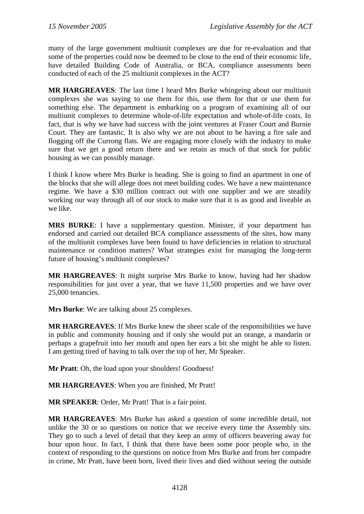many of the large government multiunit complexes are due for re-evaluation and that some of the properties could now be deemed to be close to the end of their economic life, have detailed Building Code of Australia, or BCA, compliance assessments been conducted of each of the 25 multiunit complexes in the ACT?

**MR HARGREAVES**: The last time I heard Mrs Burke whingeing about our multiunit complexes she was saying to use them for this, use them for that or use them for something else. The department is embarking on a program of examining all of our multiunit complexes to determine whole-of-life expectation and whole-of-life costs. In fact, that is why we have had success with the joint ventures at Fraser Court and Burnie Court. They are fantastic. It is also why we are not about to be having a fire sale and flogging off the Currong flats. We are engaging more closely with the industry to make sure that we get a good return there and we retain as much of that stock for public housing as we can possibly manage.

I think I know where Mrs Burke is heading. She is going to find an apartment in one of the blocks that she will allege does not meet building codes. We have a new maintenance regime. We have a \$30 million contract out with one supplier and we are steadily working our way through all of our stock to make sure that it is as good and liveable as we like.

**MRS BURKE**: I have a supplementary question. Minister, if your department has endorsed and carried out detailed BCA compliance assessments of the sites, how many of the multiunit complexes have been found to have deficiencies in relation to structural maintenance or condition matters? What strategies exist for managing the long-term future of housing's multiunit complexes?

**MR HARGREAVES**: It might surprise Mrs Burke to know, having had her shadow responsibilities for just over a year, that we have 11,500 properties and we have over 25,000 tenancies.

**Mrs Burke**: We are talking about 25 complexes.

**MR HARGREAVES**: If Mrs Burke knew the sheer scale of the responsibilities we have in public and community housing and if only she would put an orange, a mandarin or perhaps a grapefruit into her mouth and open her ears a bit she might be able to listen. I am getting tired of having to talk over the top of her, Mr Speaker.

**Mr Pratt:** Oh, the load upon your shoulders! Goodness!

**MR HARGREAVES**: When you are finished, Mr Pratt!

**MR SPEAKER**: Order, Mr Pratt! That is a fair point.

**MR HARGREAVES**: Mrs Burke has asked a question of some incredible detail, not unlike the 30 or so questions on notice that we receive every time the Assembly sits. They go to such a level of detail that they keep an army of officers beavering away for hour upon hour. In fact, I think that there have been some poor people who, in the context of responding to the questions on notice from Mrs Burke and from her compadre in crime, Mr Pratt, have been born, lived their lives and died without seeing the outside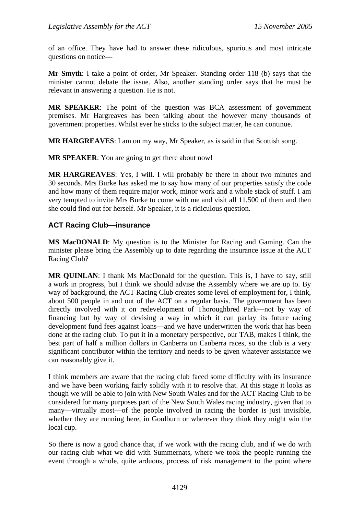of an office. They have had to answer these ridiculous, spurious and most intricate questions on notice—

**Mr Smyth**: I take a point of order, Mr Speaker. Standing order 118 (b) says that the minister cannot debate the issue. Also, another standing order says that he must be relevant in answering a question. He is not.

**MR SPEAKER**: The point of the question was BCA assessment of government premises. Mr Hargreaves has been talking about the however many thousands of government properties. Whilst ever he sticks to the subject matter, he can continue.

**MR HARGREAVES**: I am on my way, Mr Speaker, as is said in that Scottish song.

**MR SPEAKER**: You are going to get there about now!

**MR HARGREAVES**: Yes, I will. I will probably be there in about two minutes and 30 seconds. Mrs Burke has asked me to say how many of our properties satisfy the code and how many of them require major work, minor work and a whole stack of stuff. I am very tempted to invite Mrs Burke to come with me and visit all 11,500 of them and then she could find out for herself. Mr Speaker, it is a ridiculous question.

### **ACT Racing Club—insurance**

**MS MacDONALD**: My question is to the Minister for Racing and Gaming. Can the minister please bring the Assembly up to date regarding the insurance issue at the ACT Racing Club?

**MR QUINLAN**: I thank Ms MacDonald for the question. This is, I have to say, still a work in progress, but I think we should advise the Assembly where we are up to. By way of background, the ACT Racing Club creates some level of employment for, I think, about 500 people in and out of the ACT on a regular basis. The government has been directly involved with it on redevelopment of Thoroughbred Park—not by way of financing but by way of devising a way in which it can parlay its future racing development fund fees against loans—and we have underwritten the work that has been done at the racing club. To put it in a monetary perspective, our TAB, makes I think, the best part of half a million dollars in Canberra on Canberra races, so the club is a very significant contributor within the territory and needs to be given whatever assistance we can reasonably give it.

I think members are aware that the racing club faced some difficulty with its insurance and we have been working fairly solidly with it to resolve that. At this stage it looks as though we will be able to join with New South Wales and for the ACT Racing Club to be considered for many purposes part of the New South Wales racing industry, given that to many—virtually most—of the people involved in racing the border is just invisible, whether they are running here, in Goulburn or wherever they think they might win the local cup.

So there is now a good chance that, if we work with the racing club, and if we do with our racing club what we did with Summernats, where we took the people running the event through a whole, quite arduous, process of risk management to the point where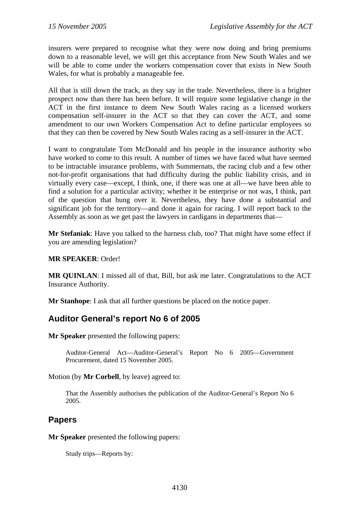insurers were prepared to recognise what they were now doing and bring premiums down to a reasonable level, we will get this acceptance from New South Wales and we will be able to come under the workers compensation cover that exists in New South Wales, for what is probably a manageable fee.

All that is still down the track, as they say in the trade. Nevertheless, there is a brighter prospect now than there has been before. It will require some legislative change in the ACT in the first instance to deem New South Wales racing as a licensed workers compensation self-insurer in the ACT so that they can cover the ACT, and some amendment to our own Workers Compensation Act to define particular employees so that they can then be covered by New South Wales racing as a self-insurer in the ACT.

I want to congratulate Tom McDonald and his people in the insurance authority who have worked to come to this result. A number of times we have faced what have seemed to be intractable insurance problems, with Summernats, the racing club and a few other not-for-profit organisations that had difficulty during the public liability crisis, and in virtually every case—except, I think, one, if there was one at all—we have been able to find a solution for a particular activity; whether it be enterprise or not was, I think, part of the question that hung over it. Nevertheless, they have done a substantial and significant job for the territory—and done it again for racing. I will report back to the Assembly as soon as we get past the lawyers in cardigans in departments that—

**Mr Stefaniak**: Have you talked to the harness club, too? That might have some effect if you are amending legislation?

### **MR SPEAKER**: Order!

**MR QUINLAN**: I missed all of that, Bill, but ask me later. Congratulations to the ACT Insurance Authority.

**Mr Stanhope**: I ask that all further questions be placed on the notice paper.

# **Auditor General's report No 6 of 2005**

**Mr Speaker** presented the following papers:

Auditor-General Act—Auditor-General's Report No 6 2005—Government Procurement, dated 15 November 2005.

Motion (by **Mr Corbell**, by leave) agreed to:

That the Assembly authorises the publication of the Auditor-General's Report No 6 2005.

## **Papers**

**Mr Speaker** presented the following papers:

Study trips—Reports by: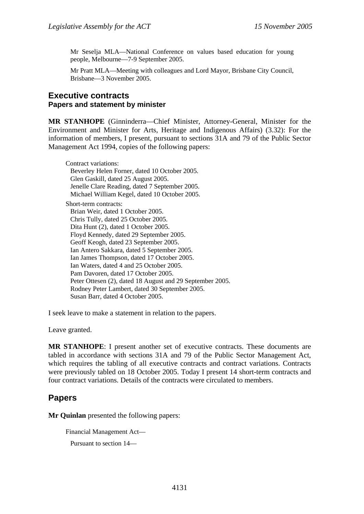Mr Seselja MLA—National Conference on values based education for young people, Melbourne—7-9 September 2005.

Mr Pratt MLA—Meeting with colleagues and Lord Mayor, Brisbane City Council, Brisbane—3 November 2005.

### **Executive contracts Papers and statement by minister**

**MR STANHOPE** (Ginninderra—Chief Minister, Attorney-General, Minister for the Environment and Minister for Arts, Heritage and Indigenous Affairs) (3.32): For the information of members, I present, pursuant to sections 31A and 79 of the Public Sector Management Act 1994, copies of the following papers:

Contract variations: Beverley Helen Forner, dated 10 October 2005. Glen Gaskill, dated 25 August 2005. Jenelle Clare Reading, dated 7 September 2005. Michael William Kegel, dated 10 October 2005. Short-term contracts: Brian Weir, dated 1 October 2005. Chris Tully, dated 25 October 2005. Dita Hunt (2), dated 1 October 2005. Floyd Kennedy, dated 29 September 2005. Geoff Keogh, dated 23 September 2005. Ian Antero Sakkara, dated 5 September 2005. Ian James Thompson, dated 17 October 2005. Ian Waters, dated 4 and 25 October 2005. Pam Davoren, dated 17 October 2005. Peter Ottesen (2), dated 18 August and 29 September 2005. Rodney Peter Lambert, dated 30 September 2005. Susan Barr, dated 4 October 2005.

I seek leave to make a statement in relation to the papers.

Leave granted.

**MR STANHOPE**: I present another set of executive contracts. These documents are tabled in accordance with sections 31A and 79 of the Public Sector Management Act, which requires the tabling of all executive contracts and contract variations. Contracts were previously tabled on 18 October 2005. Today I present 14 short-term contracts and four contract variations. Details of the contracts were circulated to members.

# **Papers**

**Mr Quinlan** presented the following papers:

```
Financial Management Act— 
Pursuant to section 14—
```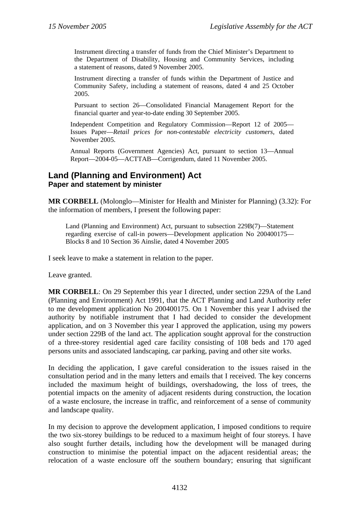Instrument directing a transfer of funds from the Chief Minister's Department to the Department of Disability, Housing and Community Services, including a statement of reasons, dated 9 November 2005.

Instrument directing a transfer of funds within the Department of Justice and Community Safety, including a statement of reasons, dated 4 and 25 October 2005.

Pursuant to section 26—Consolidated Financial Management Report for the financial quarter and year-to-date ending 30 September 2005.

Independent Competition and Regulatory Commission—Report 12 of 2005— Issues Paper—*Retail prices for non-contestable electricity customers*, dated November 2005.

Annual Reports (Government Agencies) Act, pursuant to section 13—Annual Report—2004-05—ACTTAB—Corrigendum, dated 11 November 2005.

# **Land (Planning and Environment) Act Paper and statement by minister**

**MR CORBELL** (Molonglo—Minister for Health and Minister for Planning) (3.32): For the information of members, I present the following paper:

Land (Planning and Environment) Act, pursuant to subsection 229B(7)—Statement regarding exercise of call-in powers—Development application No 200400175— Blocks 8 and 10 Section 36 Ainslie, dated 4 November 2005

I seek leave to make a statement in relation to the paper.

Leave granted.

**MR CORBELL**: On 29 September this year I directed, under section 229A of the Land (Planning and Environment) Act 1991, that the ACT Planning and Land Authority refer to me development application No 200400175. On 1 November this year I advised the authority by notifiable instrument that I had decided to consider the development application, and on 3 November this year I approved the application, using my powers under section 229B of the land act. The application sought approval for the construction of a three-storey residential aged care facility consisting of 108 beds and 170 aged persons units and associated landscaping, car parking, paving and other site works.

In deciding the application, I gave careful consideration to the issues raised in the consultation period and in the many letters and emails that I received. The key concerns included the maximum height of buildings, overshadowing, the loss of trees, the potential impacts on the amenity of adjacent residents during construction, the location of a waste enclosure, the increase in traffic, and reinforcement of a sense of community and landscape quality.

In my decision to approve the development application, I imposed conditions to require the two six-storey buildings to be reduced to a maximum height of four storeys. I have also sought further details, including how the development will be managed during construction to minimise the potential impact on the adjacent residential areas; the relocation of a waste enclosure off the southern boundary; ensuring that significant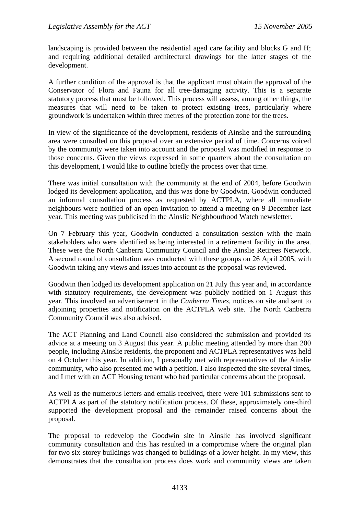landscaping is provided between the residential aged care facility and blocks G and H; and requiring additional detailed architectural drawings for the latter stages of the development.

A further condition of the approval is that the applicant must obtain the approval of the Conservator of Flora and Fauna for all tree-damaging activity. This is a separate statutory process that must be followed. This process will assess, among other things, the measures that will need to be taken to protect existing trees, particularly where groundwork is undertaken within three metres of the protection zone for the trees.

In view of the significance of the development, residents of Ainslie and the surrounding area were consulted on this proposal over an extensive period of time. Concerns voiced by the community were taken into account and the proposal was modified in response to those concerns. Given the views expressed in some quarters about the consultation on this development, I would like to outline briefly the process over that time.

There was initial consultation with the community at the end of 2004, before Goodwin lodged its development application, and this was done by Goodwin. Goodwin conducted an informal consultation process as requested by ACTPLA, where all immediate neighbours were notified of an open invitation to attend a meeting on 9 December last year. This meeting was publicised in the Ainslie Neighbourhood Watch newsletter.

On 7 February this year, Goodwin conducted a consultation session with the main stakeholders who were identified as being interested in a retirement facility in the area. These were the North Canberra Community Council and the Ainslie Retirees Network. A second round of consultation was conducted with these groups on 26 April 2005, with Goodwin taking any views and issues into account as the proposal was reviewed.

Goodwin then lodged its development application on 21 July this year and, in accordance with statutory requirements, the development was publicly notified on 1 August this year. This involved an advertisement in the *Canberra Times*, notices on site and sent to adjoining properties and notification on the ACTPLA web site. The North Canberra Community Council was also advised.

The ACT Planning and Land Council also considered the submission and provided its advice at a meeting on 3 August this year. A public meeting attended by more than 200 people, including Ainslie residents, the proponent and ACTPLA representatives was held on 4 October this year. In addition, I personally met with representatives of the Ainslie community, who also presented me with a petition. I also inspected the site several times, and I met with an ACT Housing tenant who had particular concerns about the proposal.

As well as the numerous letters and emails received, there were 101 submissions sent to ACTPLA as part of the statutory notification process. Of these, approximately one-third supported the development proposal and the remainder raised concerns about the proposal.

The proposal to redevelop the Goodwin site in Ainslie has involved significant community consultation and this has resulted in a compromise where the original plan for two six-storey buildings was changed to buildings of a lower height. In my view, this demonstrates that the consultation process does work and community views are taken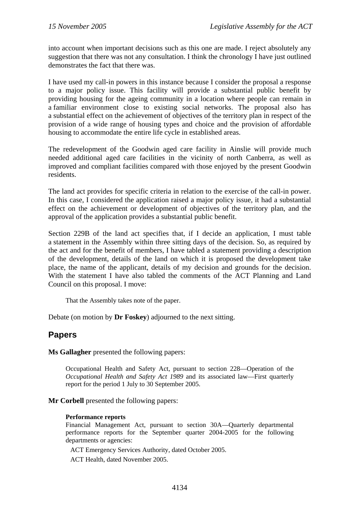into account when important decisions such as this one are made. I reject absolutely any suggestion that there was not any consultation. I think the chronology I have just outlined demonstrates the fact that there was.

I have used my call-in powers in this instance because I consider the proposal a response to a major policy issue. This facility will provide a substantial public benefit by providing housing for the ageing community in a location where people can remain in a familiar environment close to existing social networks. The proposal also has a substantial effect on the achievement of objectives of the territory plan in respect of the provision of a wide range of housing types and choice and the provision of affordable housing to accommodate the entire life cycle in established areas.

The redevelopment of the Goodwin aged care facility in Ainslie will provide much needed additional aged care facilities in the vicinity of north Canberra, as well as improved and compliant facilities compared with those enjoyed by the present Goodwin residents.

The land act provides for specific criteria in relation to the exercise of the call-in power. In this case, I considered the application raised a major policy issue, it had a substantial effect on the achievement or development of objectives of the territory plan, and the approval of the application provides a substantial public benefit.

Section 229B of the land act specifies that, if I decide an application, I must table a statement in the Assembly within three sitting days of the decision. So, as required by the act and for the benefit of members, I have tabled a statement providing a description of the development, details of the land on which it is proposed the development take place, the name of the applicant, details of my decision and grounds for the decision. With the statement I have also tabled the comments of the ACT Planning and Land Council on this proposal. I move:

That the Assembly takes note of the paper.

Debate (on motion by **Dr Foskey**) adjourned to the next sitting.

# **Papers**

**Ms Gallagher** presented the following papers:

Occupational Health and Safety Act, pursuant to section 228—Operation of the *Occupational Health and Safety Act 1989* and its associated law—First quarterly report for the period 1 July to 30 September 2005.

**Mr Corbell** presented the following papers:

#### **Performance reports**

Financial Management Act, pursuant to section 30A—Quarterly departmental performance reports for the September quarter 2004-2005 for the following departments or agencies:

ACT Emergency Services Authority, dated October 2005.

ACT Health, dated November 2005.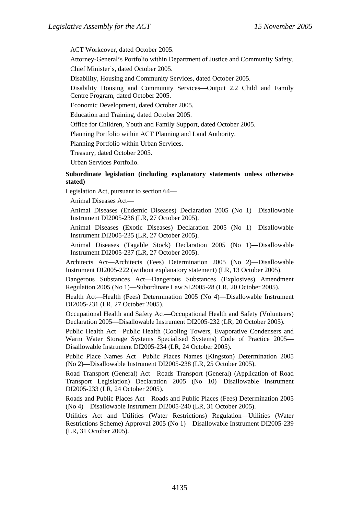ACT Workcover, dated October 2005.

Attorney-General's Portfolio within Department of Justice and Community Safety.

Chief Minister's, dated October 2005.

Disability, Housing and Community Services, dated October 2005.

Disability Housing and Community Services—Output 2.2 Child and Family Centre Program, dated October 2005.

Economic Development, dated October 2005.

Education and Training, dated October 2005.

Office for Children, Youth and Family Support, dated October 2005.

Planning Portfolio within ACT Planning and Land Authority.

Planning Portfolio within Urban Services.

Treasury, dated October 2005.

Urban Services Portfolio.

#### **Subordinate legislation (including explanatory statements unless otherwise stated)**

Legislation Act, pursuant to section 64—

Animal Diseases Act—

Animal Diseases (Endemic Diseases) Declaration 2005 (No 1)—Disallowable Instrument DI2005-236 (LR, 27 October 2005).

Animal Diseases (Exotic Diseases) Declaration 2005 (No 1)—Disallowable Instrument DI2005-235 (LR, 27 October 2005).

Animal Diseases (Tagable Stock) Declaration 2005 (No 1)—Disallowable Instrument DI2005-237 (LR, 27 October 2005).

Architects Act—Architects (Fees) Determination 2005 (No 2)—Disallowable Instrument DI2005-222 (without explanatory statement) (LR, 13 October 2005).

Dangerous Substances Act—Dangerous Substances (Explosives) Amendment Regulation 2005 (No 1)—Subordinate Law SL2005-28 (LR, 20 October 2005).

Health Act—Health (Fees) Determination 2005 (No 4)—Disallowable Instrument DI2005-231 (LR, 27 October 2005).

Occupational Health and Safety Act—Occupational Health and Safety (Volunteers) Declaration 2005—Disallowable Instrument DI2005-232 (LR, 20 October 2005).

Public Health Act—Public Health (Cooling Towers, Evaporative Condensers and Warm Water Storage Systems Specialised Systems) Code of Practice 2005— Disallowable Instrument DI2005-234 (LR, 24 October 2005).

Public Place Names Act—Public Places Names (Kingston) Determination 2005 (No 2)—Disallowable Instrument DI2005-238 (LR, 25 October 2005).

Road Transport (General) Act—Roads Transport (General) (Application of Road Transport Legislation) Declaration 2005 (No 10)—Disallowable Instrument DI2005-233 (LR, 24 October 2005).

Roads and Public Places Act—Roads and Public Places (Fees) Determination 2005 (No 4)—Disallowable Instrument DI2005-240 (LR, 31 October 2005).

Utilities Act and Utilities (Water Restrictions) Regulation—Utilities (Water Restrictions Scheme) Approval 2005 (No 1)—Disallowable Instrument DI2005-239 (LR, 31 October 2005).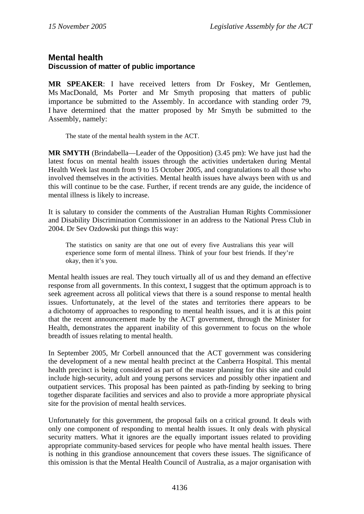## **Mental health Discussion of matter of public importance**

**MR SPEAKER**: I have received letters from Dr Foskey, Mr Gentlemen, Ms MacDonald, Ms Porter and Mr Smyth proposing that matters of public importance be submitted to the Assembly. In accordance with standing order 79, I have determined that the matter proposed by Mr Smyth be submitted to the Assembly, namely:

The state of the mental health system in the ACT.

**MR SMYTH** (Brindabella—Leader of the Opposition) (3.45 pm): We have just had the latest focus on mental health issues through the activities undertaken during Mental Health Week last month from 9 to 15 October 2005, and congratulations to all those who involved themselves in the activities. Mental health issues have always been with us and this will continue to be the case. Further, if recent trends are any guide, the incidence of mental illness is likely to increase.

It is salutary to consider the comments of the Australian Human Rights Commissioner and Disability Discrimination Commissioner in an address to the National Press Club in 2004. Dr Sev Ozdowski put things this way:

The statistics on sanity are that one out of every five Australians this year will experience some form of mental illness. Think of your four best friends. If they're okay, then it's you.

Mental health issues are real. They touch virtually all of us and they demand an effective response from all governments. In this context, I suggest that the optimum approach is to seek agreement across all political views that there is a sound response to mental health issues. Unfortunately, at the level of the states and territories there appears to be a dichotomy of approaches to responding to mental health issues, and it is at this point that the recent announcement made by the ACT government, through the Minister for Health, demonstrates the apparent inability of this government to focus on the whole breadth of issues relating to mental health.

In September 2005, Mr Corbell announced that the ACT government was considering the development of a new mental health precinct at the Canberra Hospital. This mental health precinct is being considered as part of the master planning for this site and could include high-security, adult and young persons services and possibly other inpatient and outpatient services. This proposal has been painted as path-finding by seeking to bring together disparate facilities and services and also to provide a more appropriate physical site for the provision of mental health services.

Unfortunately for this government, the proposal fails on a critical ground. It deals with only one component of responding to mental health issues. It only deals with physical security matters. What it ignores are the equally important issues related to providing appropriate community-based services for people who have mental health issues. There is nothing in this grandiose announcement that covers these issues. The significance of this omission is that the Mental Health Council of Australia, as a major organisation with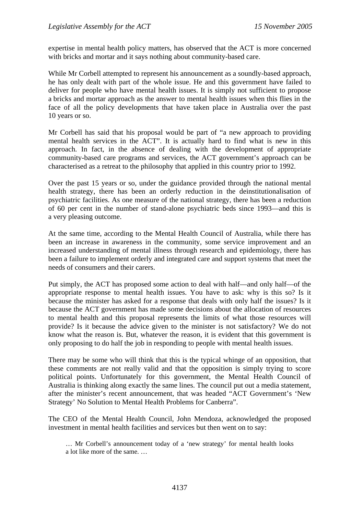expertise in mental health policy matters, has observed that the ACT is more concerned with bricks and mortar and it says nothing about community-based care.

While Mr Corbell attempted to represent his announcement as a soundly-based approach, he has only dealt with part of the whole issue. He and this government have failed to deliver for people who have mental health issues. It is simply not sufficient to propose a bricks and mortar approach as the answer to mental health issues when this flies in the face of all the policy developments that have taken place in Australia over the past 10 years or so.

Mr Corbell has said that his proposal would be part of "a new approach to providing mental health services in the ACT". It is actually hard to find what is new in this approach. In fact, in the absence of dealing with the development of appropriate community-based care programs and services, the ACT government's approach can be characterised as a retreat to the philosophy that applied in this country prior to 1992.

Over the past 15 years or so, under the guidance provided through the national mental health strategy, there has been an orderly reduction in the deinstitutionalisation of psychiatric facilities. As one measure of the national strategy, there has been a reduction of 60 per cent in the number of stand-alone psychiatric beds since 1993—and this is a very pleasing outcome.

At the same time, according to the Mental Health Council of Australia, while there has been an increase in awareness in the community, some service improvement and an increased understanding of mental illness through research and epidemiology, there has been a failure to implement orderly and integrated care and support systems that meet the needs of consumers and their carers.

Put simply, the ACT has proposed some action to deal with half—and only half—of the appropriate response to mental health issues. You have to ask: why is this so? Is it because the minister has asked for a response that deals with only half the issues? Is it because the ACT government has made some decisions about the allocation of resources to mental health and this proposal represents the limits of what those resources will provide? Is it because the advice given to the minister is not satisfactory? We do not know what the reason is. But, whatever the reason, it is evident that this government is only proposing to do half the job in responding to people with mental health issues.

There may be some who will think that this is the typical whinge of an opposition, that these comments are not really valid and that the opposition is simply trying to score political points. Unfortunately for this government, the Mental Health Council of Australia is thinking along exactly the same lines. The council put out a media statement, after the minister's recent announcement, that was headed "ACT Government's 'New Strategy' No Solution to Mental Health Problems for Canberra".

The CEO of the Mental Health Council, John Mendoza, acknowledged the proposed investment in mental health facilities and services but then went on to say:

<sup>…</sup> Mr Corbell's announcement today of a 'new strategy' for mental health looks a lot like more of the same. …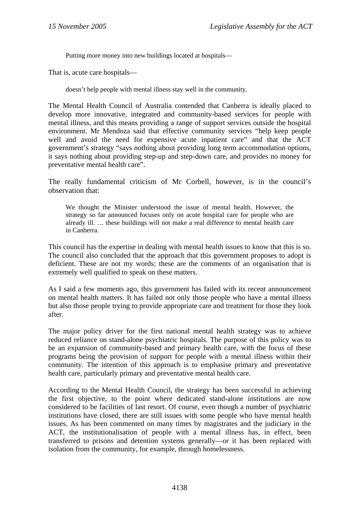Putting more money into new buildings located at hospitals—

That is, acute care hospitals—

doesn't help people with mental illness stay well in the community.

The Mental Health Council of Australia contended that Canberra is ideally placed to develop more innovative, integrated and community-based services for people with mental illness, and this means providing a range of support services outside the hospital environment. Mr Mendoza said that effective community services "help keep people well and avoid the need for expensive acute inpatient care" and that the ACT government's strategy "says nothing about providing long term accommodation options, it says nothing about providing step-up and step-down care, and provides no money for preventative mental health care".

The really fundamental criticism of Mr Corbell, however, is in the council's observation that:

We thought the Minister understood the issue of mental health. However, the strategy so far announced focuses only on acute hospital care for people who are already ill. … these buildings will not make a real difference to mental health care in Canberra.

This council has the expertise in dealing with mental health issues to know that this is so. The council also concluded that the approach that this government proposes to adopt is deficient. These are not my words; these are the comments of an organisation that is extremely well qualified to speak on these matters.

As I said a few moments ago, this government has failed with its recent announcement on mental health matters. It has failed not only those people who have a mental illness but also those people trying to provide appropriate care and treatment for those they look after.

The major policy driver for the first national mental health strategy was to achieve reduced reliance on stand-alone psychiatric hospitals. The purpose of this policy was to be an expansion of community-based and primary health care, with the focus of these programs being the provision of support for people with a mental illness within their community. The intention of this approach is to emphasise primary and preventative health care, particularly primary and preventative mental health care.

According to the Mental Health Council, the strategy has been successful in achieving the first objective, to the point where dedicated stand-alone institutions are now considered to be facilities of last resort. Of course, even though a number of psychiatric institutions have closed, there are still issues with some people who have mental health issues. As has been commented on many times by magistrates and the judiciary in the ACT, the institutionalisation of people with a mental illness has, in effect, been transferred to prisons and detention systems generally—or it has been replaced with isolation from the community, for example, through homelessness.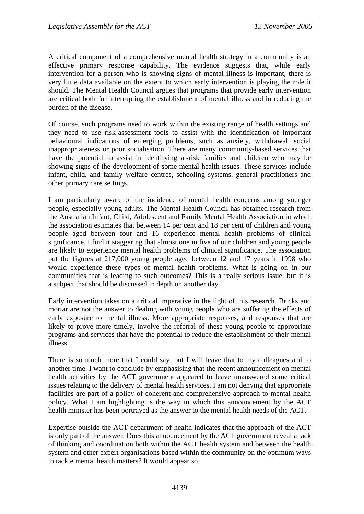A critical component of a comprehensive mental health strategy in a community is an effective primary response capability. The evidence suggests that, while early intervention for a person who is showing signs of mental illness is important, there is very little data available on the extent to which early intervention is playing the role it should. The Mental Health Council argues that programs that provide early intervention are critical both for interrupting the establishment of mental illness and in reducing the burden of the disease.

Of course, such programs need to work within the existing range of health settings and they need to use risk-assessment tools to assist with the identification of important behavioural indications of emerging problems, such as anxiety, withdrawal, social inappropriateness or poor socialisation. There are many community-based services that have the potential to assist in identifying at-risk families and children who may be showing signs of the development of some mental health issues. These services include infant, child, and family welfare centres, schooling systems, general practitioners and other primary care settings.

I am particularly aware of the incidence of mental health concerns among younger people, especially young adults. The Mental Health Council has obtained research from the Australian Infant, Child, Adolescent and Family Mental Health Association in which the association estimates that between 14 per cent and 18 per cent of children and young people aged between four and 16 experience mental health problems of clinical significance. I find it staggering that almost one in five of our children and young people are likely to experience mental health problems of clinical significance. The association put the figures at 217,000 young people aged between 12 and 17 years in 1998 who would experience these types of mental health problems. What is going on in our communities that is leading to such outcomes? This is a really serious issue, but it is a subject that should be discussed in depth on another day.

Early intervention takes on a critical imperative in the light of this research. Bricks and mortar are not the answer to dealing with young people who are suffering the effects of early exposure to mental illness. More appropriate responses, and responses that are likely to prove more timely, involve the referral of these young people to appropriate programs and services that have the potential to reduce the establishment of their mental illness.

There is so much more that I could say, but I will leave that to my colleagues and to another time. I want to conclude by emphasising that the recent announcement on mental health activities by the ACT government appeared to leave unanswered some critical issues relating to the delivery of mental health services. I am not denying that appropriate facilities are part of a policy of coherent and comprehensive approach to mental health policy. What I am highlighting is the way in which this announcement by the ACT health minister has been portrayed as the answer to the mental health needs of the ACT.

Expertise outside the ACT department of health indicates that the approach of the ACT is only part of the answer. Does this announcement by the ACT government reveal a lack of thinking and coordination both within the ACT health system and between the health system and other expert organisations based within the community on the optimum ways to tackle mental health matters? It would appear so.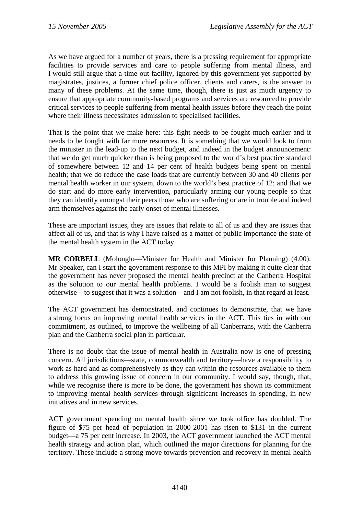As we have argued for a number of years, there is a pressing requirement for appropriate facilities to provide services and care to people suffering from mental illness, and I would still argue that a time-out facility, ignored by this government yet supported by magistrates, justices, a former chief police officer, clients and carers, is the answer to many of these problems. At the same time, though, there is just as much urgency to ensure that appropriate community-based programs and services are resourced to provide critical services to people suffering from mental health issues before they reach the point where their illness necessitates admission to specialised facilities.

That is the point that we make here: this fight needs to be fought much earlier and it needs to be fought with far more resources. It is something that we would look to from the minister in the lead-up to the next budget, and indeed in the budget announcement: that we do get much quicker than is being proposed to the world's best practice standard of somewhere between 12 and 14 per cent of health budgets being spent on mental health; that we do reduce the case loads that are currently between 30 and 40 clients per mental health worker in our system, down to the world's best practice of 12; and that we do start and do more early intervention, particularly arming our young people so that they can identify amongst their peers those who are suffering or are in trouble and indeed arm themselves against the early onset of mental illnesses.

These are important issues, they are issues that relate to all of us and they are issues that affect all of us, and that is why I have raised as a matter of public importance the state of the mental health system in the ACT today.

**MR CORBELL** (Molonglo—Minister for Health and Minister for Planning) (4.00): Mr Speaker, can I start the government response to this MPI by making it quite clear that the government has never proposed the mental health precinct at the Canberra Hospital as the solution to our mental health problems. I would be a foolish man to suggest otherwise—to suggest that it was a solution—and I am not foolish, in that regard at least.

The ACT government has demonstrated, and continues to demonstrate, that we have a strong focus on improving mental health services in the ACT. This ties in with our commitment, as outlined, to improve the wellbeing of all Canberrans, with the Canberra plan and the Canberra social plan in particular.

There is no doubt that the issue of mental health in Australia now is one of pressing concern. All jurisdictions—state, commonwealth and territory—have a responsibility to work as hard and as comprehensively as they can within the resources available to them to address this growing issue of concern in our community. I would say, though, that, while we recognise there is more to be done, the government has shown its commitment to improving mental health services through significant increases in spending, in new initiatives and in new services.

ACT government spending on mental health since we took office has doubled. The figure of \$75 per head of population in 2000-2001 has risen to \$131 in the current budget—a 75 per cent increase. In 2003, the ACT government launched the ACT mental health strategy and action plan, which outlined the major directions for planning for the territory. These include a strong move towards prevention and recovery in mental health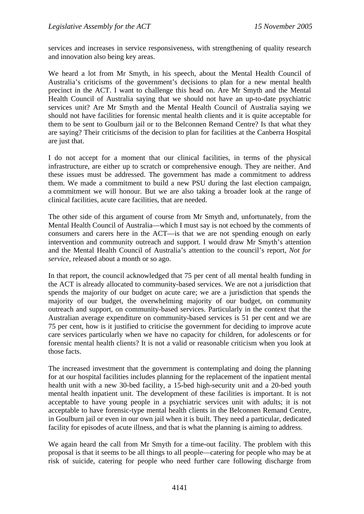services and increases in service responsiveness, with strengthening of quality research and innovation also being key areas.

We heard a lot from Mr Smyth, in his speech, about the Mental Health Council of Australia's criticisms of the government's decisions to plan for a new mental health precinct in the ACT. I want to challenge this head on. Are Mr Smyth and the Mental Health Council of Australia saying that we should not have an up-to-date psychiatric services unit? Are Mr Smyth and the Mental Health Council of Australia saying we should not have facilities for forensic mental health clients and it is quite acceptable for them to be sent to Goulburn jail or to the Belconnen Remand Centre? Is that what they are saying? Their criticisms of the decision to plan for facilities at the Canberra Hospital are just that.

I do not accept for a moment that our clinical facilities, in terms of the physical infrastructure, are either up to scratch or comprehensive enough. They are neither. And these issues must be addressed. The government has made a commitment to address them. We made a commitment to build a new PSU during the last election campaign, a commitment we will honour. But we are also taking a broader look at the range of clinical facilities, acute care facilities, that are needed.

The other side of this argument of course from Mr Smyth and, unfortunately, from the Mental Health Council of Australia—which I must say is not echoed by the comments of consumers and carers here in the ACT—is that we are not spending enough on early intervention and community outreach and support. I would draw Mr Smyth's attention and the Mental Health Council of Australia's attention to the council's report, *Not for service*, released about a month or so ago.

In that report, the council acknowledged that 75 per cent of all mental health funding in the ACT is already allocated to community-based services. We are not a jurisdiction that spends the majority of our budget on acute care; we are a jurisdiction that spends the majority of our budget, the overwhelming majority of our budget, on community outreach and support, on community-based services. Particularly in the context that the Australian average expenditure on community-based services is 51 per cent and we are 75 per cent, how is it justified to criticise the government for deciding to improve acute care services particularly when we have no capacity for children, for adolescents or for forensic mental health clients? It is not a valid or reasonable criticism when you look at those facts.

The increased investment that the government is contemplating and doing the planning for at our hospital facilities includes planning for the replacement of the inpatient mental health unit with a new 30-bed facility, a 15-bed high-security unit and a 20-bed youth mental health inpatient unit. The development of these facilities is important. It is not acceptable to have young people in a psychiatric services unit with adults; it is not acceptable to have forensic-type mental health clients in the Belconnen Remand Centre, in Goulburn jail or even in our own jail when it is built. They need a particular, dedicated facility for episodes of acute illness, and that is what the planning is aiming to address.

We again heard the call from Mr Smyth for a time-out facility. The problem with this proposal is that it seems to be all things to all people—catering for people who may be at risk of suicide, catering for people who need further care following discharge from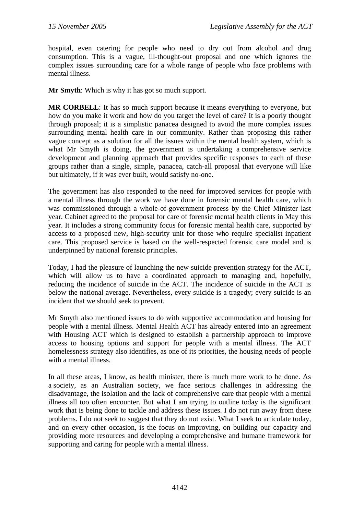hospital, even catering for people who need to dry out from alcohol and drug consumption. This is a vague, ill-thought-out proposal and one which ignores the complex issues surrounding care for a whole range of people who face problems with mental illness.

**Mr Smyth**: Which is why it has got so much support.

**MR CORBELL**: It has so much support because it means everything to everyone, but how do you make it work and how do you target the level of care? It is a poorly thought through proposal; it is a simplistic panacea designed to avoid the more complex issues surrounding mental health care in our community. Rather than proposing this rather vague concept as a solution for all the issues within the mental health system, which is what Mr Smyth is doing, the government is undertaking a comprehensive service development and planning approach that provides specific responses to each of these groups rather than a single, simple, panacea, catch-all proposal that everyone will like but ultimately, if it was ever built, would satisfy no-one.

The government has also responded to the need for improved services for people with a mental illness through the work we have done in forensic mental health care, which was commissioned through a whole-of-government process by the Chief Minister last year. Cabinet agreed to the proposal for care of forensic mental health clients in May this year. It includes a strong community focus for forensic mental health care, supported by access to a proposed new, high-security unit for those who require specialist inpatient care. This proposed service is based on the well-respected forensic care model and is underpinned by national forensic principles.

Today, I had the pleasure of launching the new suicide prevention strategy for the ACT, which will allow us to have a coordinated approach to managing and, hopefully, reducing the incidence of suicide in the ACT. The incidence of suicide in the ACT is below the national average. Nevertheless, every suicide is a tragedy; every suicide is an incident that we should seek to prevent.

Mr Smyth also mentioned issues to do with supportive accommodation and housing for people with a mental illness. Mental Health ACT has already entered into an agreement with Housing ACT which is designed to establish a partnership approach to improve access to housing options and support for people with a mental illness. The ACT homelessness strategy also identifies, as one of its priorities, the housing needs of people with a mental illness.

In all these areas, I know, as health minister, there is much more work to be done. As a society, as an Australian society, we face serious challenges in addressing the disadvantage, the isolation and the lack of comprehensive care that people with a mental illness all too often encounter. But what I am trying to outline today is the significant work that is being done to tackle and address these issues. I do not run away from these problems. I do not seek to suggest that they do not exist. What I seek to articulate today, and on every other occasion, is the focus on improving, on building our capacity and providing more resources and developing a comprehensive and humane framework for supporting and caring for people with a mental illness.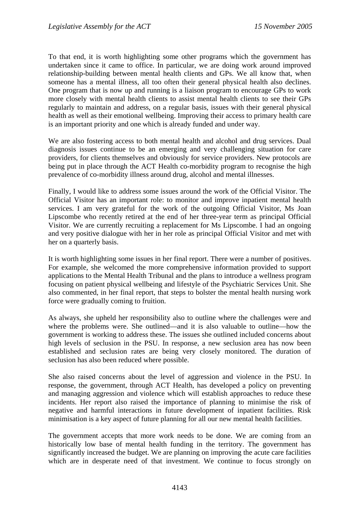To that end, it is worth highlighting some other programs which the government has undertaken since it came to office. In particular, we are doing work around improved relationship-building between mental health clients and GPs. We all know that, when someone has a mental illness, all too often their general physical health also declines. One program that is now up and running is a liaison program to encourage GPs to work more closely with mental health clients to assist mental health clients to see their GPs regularly to maintain and address, on a regular basis, issues with their general physical health as well as their emotional wellbeing. Improving their access to primary health care is an important priority and one which is already funded and under way.

We are also fostering access to both mental health and alcohol and drug services. Dual diagnosis issues continue to be an emerging and very challenging situation for care providers, for clients themselves and obviously for service providers. New protocols are being put in place through the ACT Health co-morbidity program to recognise the high prevalence of co-morbidity illness around drug, alcohol and mental illnesses.

Finally, I would like to address some issues around the work of the Official Visitor. The Official Visitor has an important role: to monitor and improve inpatient mental health services. I am very grateful for the work of the outgoing Official Visitor, Ms Joan Lipscombe who recently retired at the end of her three-year term as principal Official Visitor. We are currently recruiting a replacement for Ms Lipscombe. I had an ongoing and very positive dialogue with her in her role as principal Official Visitor and met with her on a quarterly basis.

It is worth highlighting some issues in her final report. There were a number of positives. For example, she welcomed the more comprehensive information provided to support applications to the Mental Health Tribunal and the plans to introduce a wellness program focusing on patient physical wellbeing and lifestyle of the Psychiatric Services Unit. She also commented, in her final report, that steps to bolster the mental health nursing work force were gradually coming to fruition.

As always, she upheld her responsibility also to outline where the challenges were and where the problems were. She outlined—and it is also valuable to outline—how the government is working to address these. The issues she outlined included concerns about high levels of seclusion in the PSU. In response, a new seclusion area has now been established and seclusion rates are being very closely monitored. The duration of seclusion has also been reduced where possible.

She also raised concerns about the level of aggression and violence in the PSU. In response, the government, through ACT Health, has developed a policy on preventing and managing aggression and violence which will establish approaches to reduce these incidents. Her report also raised the importance of planning to minimise the risk of negative and harmful interactions in future development of inpatient facilities. Risk minimisation is a key aspect of future planning for all our new mental health facilities.

The government accepts that more work needs to be done. We are coming from an historically low base of mental health funding in the territory. The government has significantly increased the budget. We are planning on improving the acute care facilities which are in desperate need of that investment. We continue to focus strongly on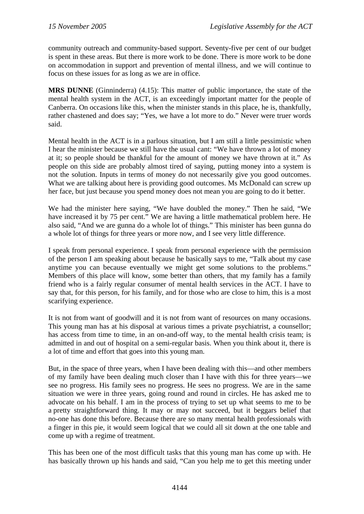community outreach and community-based support. Seventy-five per cent of our budget is spent in these areas. But there is more work to be done. There is more work to be done on accommodation in support and prevention of mental illness, and we will continue to focus on these issues for as long as we are in office.

**MRS DUNNE** (Ginninderra) (4.15): This matter of public importance, the state of the mental health system in the ACT, is an exceedingly important matter for the people of Canberra. On occasions like this, when the minister stands in this place, he is, thankfully, rather chastened and does say; "Yes, we have a lot more to do." Never were truer words said.

Mental health in the ACT is in a parlous situation, but I am still a little pessimistic when I hear the minister because we still have the usual cant: "We have thrown a lot of money at it; so people should be thankful for the amount of money we have thrown at it." As people on this side are probably almost tired of saying, putting money into a system is not the solution. Inputs in terms of money do not necessarily give you good outcomes. What we are talking about here is providing good outcomes. Ms McDonald can screw up her face, but just because you spend money does not mean you are going to do it better.

We had the minister here saying, "We have doubled the money." Then he said, "We have increased it by 75 per cent." We are having a little mathematical problem here. He also said, "And we are gunna do a whole lot of things." This minister has been gunna do a whole lot of things for three years or more now, and I see very little difference.

I speak from personal experience. I speak from personal experience with the permission of the person I am speaking about because he basically says to me, "Talk about my case anytime you can because eventually we might get some solutions to the problems." Members of this place will know, some better than others, that my family has a family friend who is a fairly regular consumer of mental health services in the ACT. I have to say that, for this person, for his family, and for those who are close to him, this is a most scarifying experience.

It is not from want of goodwill and it is not from want of resources on many occasions. This young man has at his disposal at various times a private psychiatrist, a counsellor; has access from time to time, in an on-and-off way, to the mental health crisis team; is admitted in and out of hospital on a semi-regular basis. When you think about it, there is a lot of time and effort that goes into this young man.

But, in the space of three years, when I have been dealing with this—and other members of my family have been dealing much closer than I have with this for three years—we see no progress. His family sees no progress. He sees no progress. We are in the same situation we were in three years, going round and round in circles. He has asked me to advocate on his behalf. I am in the process of trying to set up what seems to me to be a pretty straightforward thing. It may or may not succeed, but it beggars belief that no-one has done this before. Because there are so many mental health professionals with a finger in this pie, it would seem logical that we could all sit down at the one table and come up with a regime of treatment.

This has been one of the most difficult tasks that this young man has come up with. He has basically thrown up his hands and said, "Can you help me to get this meeting under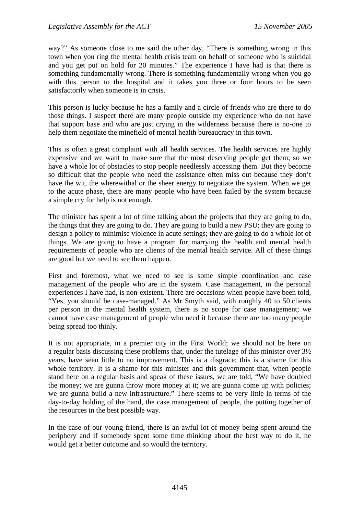way?" As someone close to me said the other day, "There is something wrong in this town when you ring the mental health crisis team on behalf of someone who is suicidal and you get put on hold for 20 minutes." The experience I have had is that there is something fundamentally wrong. There is something fundamentally wrong when you go with this person to the hospital and it takes you three or four hours to be seen satisfactorily when someone is in crisis.

This person is lucky because he has a family and a circle of friends who are there to do those things. I suspect there are many people outside my experience who do not have that support base and who are just crying in the wilderness because there is no-one to help them negotiate the minefield of mental health bureaucracy in this town.

This is often a great complaint with all health services. The health services are highly expensive and we want to make sure that the most deserving people get them; so we have a whole lot of obstacles to stop people needlessly accessing them. But they become so difficult that the people who need the assistance often miss out because they don't have the wit, the wherewithal or the sheer energy to negotiate the system. When we get to the acute phase, there are many people who have been failed by the system because a simple cry for help is not enough.

The minister has spent a lot of time talking about the projects that they are going to do, the things that they are going to do. They are going to build a new PSU; they are going to design a policy to minimise violence in acute settings; they are going to do a whole lot of things. We are going to have a program for marrying the health and mental health requirements of people who are clients of the mental health service. All of these things are good but we need to see them happen.

First and foremost, what we need to see is some simple coordination and case management of the people who are in the system. Case management, in the personal experiences I have had, is non-existent. There are occasions when people have been told, "Yes, you should be case-managed." As Mr Smyth said, with roughly 40 to 50 clients per person in the mental health system, there is no scope for case management; we cannot have case management of people who need it because there are too many people being spread too thinly.

It is not appropriate, in a premier city in the First World; we should not be here on a regular basis discussing these problems that, under the tutelage of this minister over 3½ years, have seen little to no improvement. This is a disgrace; this is a shame for this whole territory. It is a shame for this minister and this government that, when people stand here on a regular basis and speak of these issues, we are told, "We have doubled the money; we are gunna throw more money at it; we are gunna come up with policies; we are gunna build a new infrastructure." There seems to be very little in terms of the day-to-day holding of the hand, the case management of people, the putting together of the resources in the best possible way.

In the case of our young friend, there is an awful lot of money being spent around the periphery and if somebody spent some time thinking about the best way to do it, he would get a better outcome and so would the territory.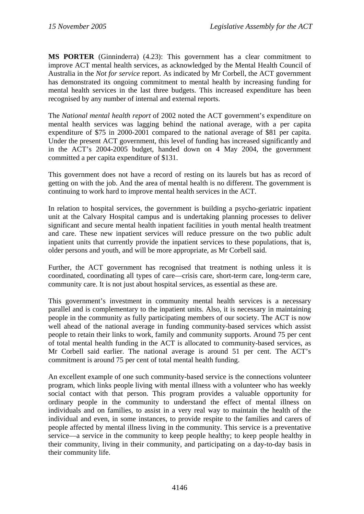**MS PORTER** (Ginninderra) (4.23): This government has a clear commitment to improve ACT mental health services, as acknowledged by the Mental Health Council of Australia in the *Not for service* report. As indicated by Mr Corbell, the ACT government has demonstrated its ongoing commitment to mental health by increasing funding for mental health services in the last three budgets. This increased expenditure has been recognised by any number of internal and external reports.

The *National mental health report* of 2002 noted the ACT government's expenditure on mental health services was lagging behind the national average, with a per capita expenditure of \$75 in 2000-2001 compared to the national average of \$81 per capita. Under the present ACT government, this level of funding has increased significantly and in the ACT's 2004-2005 budget, handed down on 4 May 2004, the government committed a per capita expenditure of \$131.

This government does not have a record of resting on its laurels but has as record of getting on with the job. And the area of mental health is no different. The government is continuing to work hard to improve mental health services in the ACT.

In relation to hospital services, the government is building a psycho-geriatric inpatient unit at the Calvary Hospital campus and is undertaking planning processes to deliver significant and secure mental health inpatient facilities in youth mental health treatment and care. These new inpatient services will reduce pressure on the two public adult inpatient units that currently provide the inpatient services to these populations, that is, older persons and youth, and will be more appropriate, as Mr Corbell said.

Further, the ACT government has recognised that treatment is nothing unless it is coordinated, coordinating all types of care—crisis care, short-term care, long-term care, community care. It is not just about hospital services, as essential as these are.

This government's investment in community mental health services is a necessary parallel and is complementary to the inpatient units. Also, it is necessary in maintaining people in the community as fully participating members of our society. The ACT is now well ahead of the national average in funding community-based services which assist people to retain their links to work, family and community supports. Around 75 per cent of total mental health funding in the ACT is allocated to community-based services, as Mr Corbell said earlier. The national average is around 51 per cent. The ACT's commitment is around 75 per cent of total mental health funding.

An excellent example of one such community-based service is the connections volunteer program, which links people living with mental illness with a volunteer who has weekly social contact with that person. This program provides a valuable opportunity for ordinary people in the community to understand the effect of mental illness on individuals and on families, to assist in a very real way to maintain the health of the individual and even, in some instances, to provide respite to the families and carers of people affected by mental illness living in the community. This service is a preventative service—a service in the community to keep people healthy; to keep people healthy in their community, living in their community, and participating on a day-to-day basis in their community life.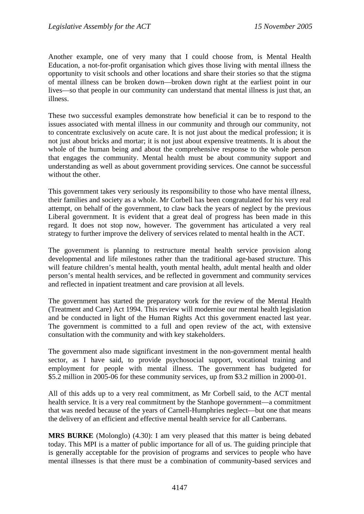Another example, one of very many that I could choose from, is Mental Health Education, a not-for-profit organisation which gives those living with mental illness the opportunity to visit schools and other locations and share their stories so that the stigma of mental illness can be broken down—broken down right at the earliest point in our lives—so that people in our community can understand that mental illness is just that, an illness.

These two successful examples demonstrate how beneficial it can be to respond to the issues associated with mental illness in our community and through our community, not to concentrate exclusively on acute care. It is not just about the medical profession; it is not just about bricks and mortar; it is not just about expensive treatments. It is about the whole of the human being and about the comprehensive response to the whole person that engages the community. Mental health must be about community support and understanding as well as about government providing services. One cannot be successful without the other.

This government takes very seriously its responsibility to those who have mental illness, their families and society as a whole. Mr Corbell has been congratulated for his very real attempt, on behalf of the government, to claw back the years of neglect by the previous Liberal government. It is evident that a great deal of progress has been made in this regard. It does not stop now, however. The government has articulated a very real strategy to further improve the delivery of services related to mental health in the ACT.

The government is planning to restructure mental health service provision along developmental and life milestones rather than the traditional age-based structure. This will feature children's mental health, youth mental health, adult mental health and older person's mental health services, and be reflected in government and community services and reflected in inpatient treatment and care provision at all levels.

The government has started the preparatory work for the review of the Mental Health (Treatment and Care) Act 1994. This review will modernise our mental health legislation and be conducted in light of the Human Rights Act this government enacted last year. The government is committed to a full and open review of the act, with extensive consultation with the community and with key stakeholders.

The government also made significant investment in the non-government mental health sector, as I have said, to provide psychosocial support, vocational training and employment for people with mental illness. The government has budgeted for \$5.2 million in 2005-06 for these community services, up from \$3.2 million in 2000-01.

All of this adds up to a very real commitment, as Mr Corbell said, to the ACT mental health service. It is a very real commitment by the Stanhope government—a commitment that was needed because of the years of Carnell-Humphries neglect—but one that means the delivery of an efficient and effective mental health service for all Canberrans.

**MRS BURKE** (Molonglo) (4.30): I am very pleased that this matter is being debated today. This MPI is a matter of public importance for all of us. The guiding principle that is generally acceptable for the provision of programs and services to people who have mental illnesses is that there must be a combination of community-based services and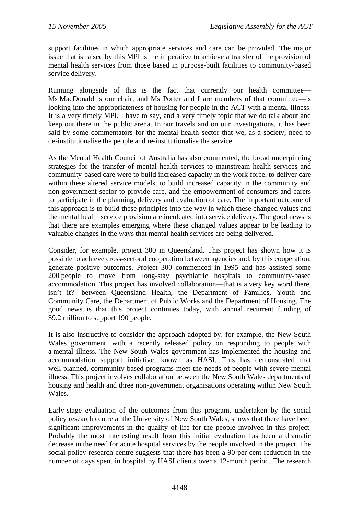support facilities in which appropriate services and care can be provided. The major issue that is raised by this MPI is the imperative to achieve a transfer of the provision of mental health services from those based in purpose-built facilities to community-based service delivery.

Running alongside of this is the fact that currently our health committee— Ms MacDonald is our chair, and Ms Porter and I are members of that committee—is looking into the appropriateness of housing for people in the ACT with a mental illness. It is a very timely MPI, I have to say, and a very timely topic that we do talk about and keep out there in the public arena. In our travels and on our investigations, it has been said by some commentators for the mental health sector that we, as a society, need to de-institutionalise the people and re-institutionalise the service.

As the Mental Health Council of Australia has also commented, the broad underpinning strategies for the transfer of mental health services to mainstream health services and community-based care were to build increased capacity in the work force, to deliver care within these altered service models, to build increased capacity in the community and non-government sector to provide care, and the empowerment of consumers and carers to participate in the planning, delivery and evaluation of care. The important outcome of this approach is to build these principles into the way in which these changed values and the mental health service provision are inculcated into service delivery. The good news is that there are examples emerging where these changed values appear to be leading to valuable changes in the ways that mental health services are being delivered.

Consider, for example, project 300 in Queensland. This project has shown how it is possible to achieve cross-sectoral cooperation between agencies and, by this cooperation, generate positive outcomes. Project 300 commenced in 1995 and has assisted some 200 people to move from long-stay psychiatric hospitals to community-based accommodation. This project has involved collaboration—that is a very key word there, isn't it?—between Queensland Health, the Department of Families, Youth and Community Care, the Department of Public Works and the Department of Housing. The good news is that this project continues today, with annual recurrent funding of \$9.2 million to support 190 people.

It is also instructive to consider the approach adopted by, for example, the New South Wales government, with a recently released policy on responding to people with a mental illness. The New South Wales government has implemented the housing and accommodation support initiative, known as HASI. This has demonstrated that well-planned, community-based programs meet the needs of people with severe mental illness. This project involves collaboration between the New South Wales departments of housing and health and three non-government organisations operating within New South Wales.

Early-stage evaluation of the outcomes from this program, undertaken by the social policy research centre at the University of New South Wales, shows that there have been significant improvements in the quality of life for the people involved in this project. Probably the most interesting result from this initial evaluation has been a dramatic decrease in the need for acute hospital services by the people involved in the project. The social policy research centre suggests that there has been a 90 per cent reduction in the number of days spent in hospital by HASI clients over a 12-month period. The research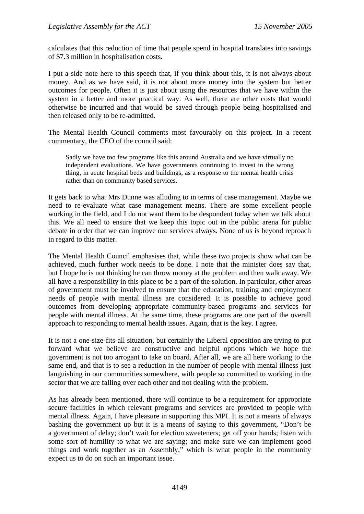calculates that this reduction of time that people spend in hospital translates into savings of \$7.3 million in hospitalisation costs.

I put a side note here to this speech that, if you think about this, it is not always about money. And as we have said, it is not about more money into the system but better outcomes for people. Often it is just about using the resources that we have within the system in a better and more practical way. As well, there are other costs that would otherwise be incurred and that would be saved through people being hospitalised and then released only to be re-admitted.

The Mental Health Council comments most favourably on this project. In a recent commentary, the CEO of the council said:

Sadly we have too few programs like this around Australia and we have virtually no independent evaluations. We have governments continuing to invest in the wrong thing, in acute hospital beds and buildings, as a response to the mental health crisis rather than on community based services.

It gets back to what Mrs Dunne was alluding to in terms of case management. Maybe we need to re-evaluate what case management means. There are some excellent people working in the field, and I do not want them to be despondent today when we talk about this. We all need to ensure that we keep this topic out in the public arena for public debate in order that we can improve our services always. None of us is beyond reproach in regard to this matter.

The Mental Health Council emphasises that, while these two projects show what can be achieved, much further work needs to be done. I note that the minister does say that, but I hope he is not thinking he can throw money at the problem and then walk away. We all have a responsibility in this place to be a part of the solution. In particular, other areas of government must be involved to ensure that the education, training and employment needs of people with mental illness are considered. It is possible to achieve good outcomes from developing appropriate community-based programs and services for people with mental illness. At the same time, these programs are one part of the overall approach to responding to mental health issues. Again, that is the key. I agree.

It is not a one-size-fits-all situation, but certainly the Liberal opposition are trying to put forward what we believe are constructive and helpful options which we hope the government is not too arrogant to take on board. After all, we are all here working to the same end, and that is to see a reduction in the number of people with mental illness just languishing in our communities somewhere, with people so committed to working in the sector that we are falling over each other and not dealing with the problem.

As has already been mentioned, there will continue to be a requirement for appropriate secure facilities in which relevant programs and services are provided to people with mental illness. Again, I have pleasure in supporting this MPI. It is not a means of always bashing the government up but it is a means of saying to this government, "Don't be a government of delay; don't wait for election sweeteners; get off your hands; listen with some sort of humility to what we are saying; and make sure we can implement good things and work together as an Assembly," which is what people in the community expect us to do on such an important issue.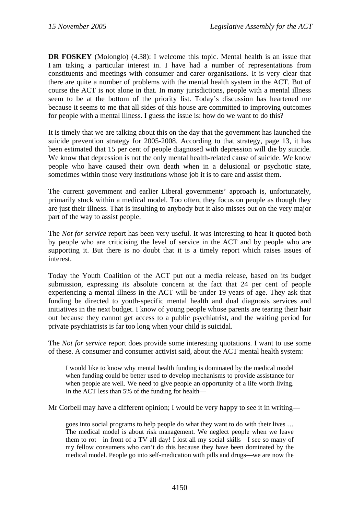**DR FOSKEY** (Molonglo) (4.38): I welcome this topic. Mental health is an issue that I am taking a particular interest in. I have had a number of representations from constituents and meetings with consumer and carer organisations. It is very clear that there are quite a number of problems with the mental health system in the ACT. But of course the ACT is not alone in that. In many jurisdictions, people with a mental illness seem to be at the bottom of the priority list. Today's discussion has heartened me because it seems to me that all sides of this house are committed to improving outcomes for people with a mental illness. I guess the issue is: how do we want to do this?

It is timely that we are talking about this on the day that the government has launched the suicide prevention strategy for 2005-2008. According to that strategy, page 13, it has been estimated that 15 per cent of people diagnosed with depression will die by suicide. We know that depression is not the only mental health-related cause of suicide. We know people who have caused their own death when in a delusional or psychotic state, sometimes within those very institutions whose job it is to care and assist them.

The current government and earlier Liberal governments' approach is, unfortunately, primarily stuck within a medical model. Too often, they focus on people as though they are just their illness. That is insulting to anybody but it also misses out on the very major part of the way to assist people.

The *Not for service* report has been very useful. It was interesting to hear it quoted both by people who are criticising the level of service in the ACT and by people who are supporting it. But there is no doubt that it is a timely report which raises issues of interest.

Today the Youth Coalition of the ACT put out a media release, based on its budget submission, expressing its absolute concern at the fact that 24 per cent of people experiencing a mental illness in the ACT will be under 19 years of age. They ask that funding be directed to youth-specific mental health and dual diagnosis services and initiatives in the next budget. I know of young people whose parents are tearing their hair out because they cannot get access to a public psychiatrist, and the waiting period for private psychiatrists is far too long when your child is suicidal.

The *Not for service* report does provide some interesting quotations. I want to use some of these. A consumer and consumer activist said, about the ACT mental health system:

I would like to know why mental health funding is dominated by the medical model when funding could be better used to develop mechanisms to provide assistance for when people are well. We need to give people an opportunity of a life worth living. In the ACT less than 5% of the funding for health—

Mr Corbell may have a different opinion; I would be very happy to see it in writing—

goes into social programs to help people do what they want to do with their lives … The medical model is about risk management. We neglect people when we leave them to rot—in front of a TV all day! I lost all my social skills—I see so many of my fellow consumers who can't do this because they have been dominated by the medical model. People go into self-medication with pills and drugs—we are now the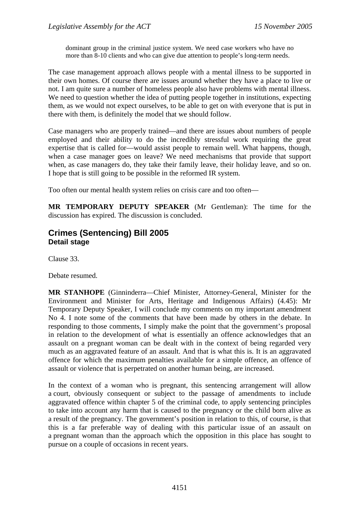dominant group in the criminal justice system. We need case workers who have no more than 8-10 clients and who can give due attention to people's long-term needs.

The case management approach allows people with a mental illness to be supported in their own homes. Of course there are issues around whether they have a place to live or not. I am quite sure a number of homeless people also have problems with mental illness. We need to question whether the idea of putting people together in institutions, expecting them, as we would not expect ourselves, to be able to get on with everyone that is put in there with them, is definitely the model that we should follow.

Case managers who are properly trained—and there are issues about numbers of people employed and their ability to do the incredibly stressful work requiring the great expertise that is called for—would assist people to remain well. What happens, though, when a case manager goes on leave? We need mechanisms that provide that support when, as case managers do, they take their family leave, their holiday leave, and so on. I hope that is still going to be possible in the reformed IR system.

Too often our mental health system relies on crisis care and too often—

**MR TEMPORARY DEPUTY SPEAKER** (Mr Gentleman): The time for the discussion has expired. The discussion is concluded.

## **Crimes (Sentencing) Bill 2005 Detail stage**

Clause 33.

Debate resumed.

**MR STANHOPE** (Ginninderra—Chief Minister, Attorney-General, Minister for the Environment and Minister for Arts, Heritage and Indigenous Affairs) (4.45): Mr Temporary Deputy Speaker, I will conclude my comments on my important amendment No 4. I note some of the comments that have been made by others in the debate. In responding to those comments, I simply make the point that the government's proposal in relation to the development of what is essentially an offence acknowledges that an assault on a pregnant woman can be dealt with in the context of being regarded very much as an aggravated feature of an assault. And that is what this is. It is an aggravated offence for which the maximum penalties available for a simple offence, an offence of assault or violence that is perpetrated on another human being, are increased.

In the context of a woman who is pregnant, this sentencing arrangement will allow a court, obviously consequent or subject to the passage of amendments to include aggravated offence within chapter 5 of the criminal code, to apply sentencing principles to take into account any harm that is caused to the pregnancy or the child born alive as a result of the pregnancy. The government's position in relation to this, of course, is that this is a far preferable way of dealing with this particular issue of an assault on a pregnant woman than the approach which the opposition in this place has sought to pursue on a couple of occasions in recent years.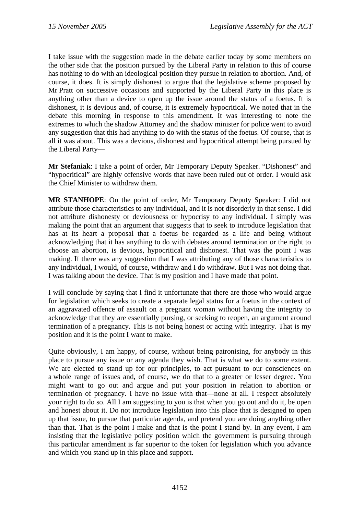I take issue with the suggestion made in the debate earlier today by some members on the other side that the position pursued by the Liberal Party in relation to this of course has nothing to do with an ideological position they pursue in relation to abortion. And, of course, it does. It is simply dishonest to argue that the legislative scheme proposed by Mr Pratt on successive occasions and supported by the Liberal Party in this place is anything other than a device to open up the issue around the status of a foetus. It is dishonest, it is devious and, of course, it is extremely hypocritical. We noted that in the debate this morning in response to this amendment. It was interesting to note the extremes to which the shadow Attorney and the shadow minister for police went to avoid any suggestion that this had anything to do with the status of the foetus. Of course, that is all it was about. This was a devious, dishonest and hypocritical attempt being pursued by the Liberal Party—

**Mr Stefaniak**: I take a point of order, Mr Temporary Deputy Speaker. "Dishonest" and "hypocritical" are highly offensive words that have been ruled out of order. I would ask the Chief Minister to withdraw them.

**MR STANHOPE**: On the point of order, Mr Temporary Deputy Speaker: I did not attribute those characteristics to any individual, and it is not disorderly in that sense. I did not attribute dishonesty or deviousness or hypocrisy to any individual. I simply was making the point that an argument that suggests that to seek to introduce legislation that has at its heart a proposal that a foetus be regarded as a life and being without acknowledging that it has anything to do with debates around termination or the right to choose an abortion, is devious, hypocritical and dishonest. That was the point I was making. If there was any suggestion that I was attributing any of those characteristics to any individual, I would, of course, withdraw and I do withdraw. But I was not doing that. I was talking about the device. That is my position and I have made that point.

I will conclude by saying that I find it unfortunate that there are those who would argue for legislation which seeks to create a separate legal status for a foetus in the context of an aggravated offence of assault on a pregnant woman without having the integrity to acknowledge that they are essentially pursing, or seeking to reopen, an argument around termination of a pregnancy. This is not being honest or acting with integrity. That is my position and it is the point I want to make.

Quite obviously, I am happy, of course, without being patronising, for anybody in this place to pursue any issue or any agenda they wish. That is what we do to some extent. We are elected to stand up for our principles, to act pursuant to our consciences on a whole range of issues and, of course, we do that to a greater or lesser degree. You might want to go out and argue and put your position in relation to abortion or termination of pregnancy. I have no issue with that—none at all. I respect absolutely your right to do so. All I am suggesting to you is that when you go out and do it, be open and honest about it. Do not introduce legislation into this place that is designed to open up that issue, to pursue that particular agenda, and pretend you are doing anything other than that. That is the point I make and that is the point I stand by. In any event, I am insisting that the legislative policy position which the government is pursuing through this particular amendment is far superior to the token for legislation which you advance and which you stand up in this place and support.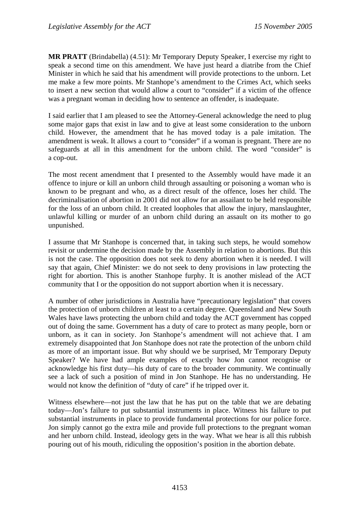**MR PRATT** (Brindabella) (4.51): Mr Temporary Deputy Speaker, I exercise my right to speak a second time on this amendment. We have just heard a diatribe from the Chief Minister in which he said that his amendment will provide protections to the unborn. Let me make a few more points. Mr Stanhope's amendment to the Crimes Act, which seeks to insert a new section that would allow a court to "consider" if a victim of the offence was a pregnant woman in deciding how to sentence an offender, is inadequate.

I said earlier that I am pleased to see the Attorney-General acknowledge the need to plug some major gaps that exist in law and to give at least some consideration to the unborn child. However, the amendment that he has moved today is a pale imitation. The amendment is weak. It allows a court to "consider" if a woman is pregnant. There are no safeguards at all in this amendment for the unborn child. The word "consider" is a cop-out.

The most recent amendment that I presented to the Assembly would have made it an offence to injure or kill an unborn child through assaulting or poisoning a woman who is known to be pregnant and who, as a direct result of the offence, loses her child. The decriminalisation of abortion in 2001 did not allow for an assailant to be held responsible for the loss of an unborn child. It created loopholes that allow the injury, manslaughter, unlawful killing or murder of an unborn child during an assault on its mother to go unpunished.

I assume that Mr Stanhope is concerned that, in taking such steps, he would somehow revisit or undermine the decision made by the Assembly in relation to abortions. But this is not the case. The opposition does not seek to deny abortion when it is needed. I will say that again, Chief Minister: we do not seek to deny provisions in law protecting the right for abortion. This is another Stanhope furphy. It is another mislead of the ACT community that I or the opposition do not support abortion when it is necessary.

A number of other jurisdictions in Australia have "precautionary legislation" that covers the protection of unborn children at least to a certain degree. Queensland and New South Wales have laws protecting the unborn child and today the ACT government has copped out of doing the same. Government has a duty of care to protect as many people, born or unborn, as it can in society. Jon Stanhope's amendment will not achieve that. I am extremely disappointed that Jon Stanhope does not rate the protection of the unborn child as more of an important issue. But why should we be surprised, Mr Temporary Deputy Speaker? We have had ample examples of exactly how Jon cannot recognise or acknowledge his first duty—his duty of care to the broader community. We continually see a lack of such a position of mind in Jon Stanhope. He has no understanding. He would not know the definition of "duty of care" if he tripped over it.

Witness elsewhere—not just the law that he has put on the table that we are debating today—Jon's failure to put substantial instruments in place. Witness his failure to put substantial instruments in place to provide fundamental protections for our police force. Jon simply cannot go the extra mile and provide full protections to the pregnant woman and her unborn child. Instead, ideology gets in the way. What we hear is all this rubbish pouring out of his mouth, ridiculing the opposition's position in the abortion debate.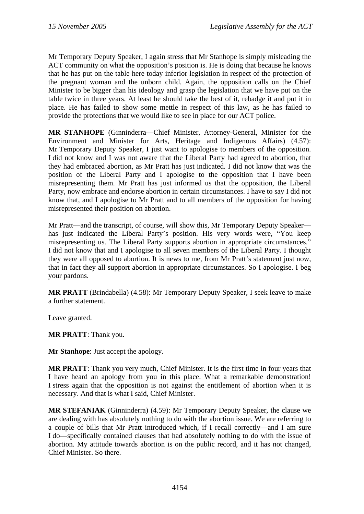Mr Temporary Deputy Speaker, I again stress that Mr Stanhope is simply misleading the ACT community on what the opposition's position is. He is doing that because he knows that he has put on the table here today inferior legislation in respect of the protection of the pregnant woman and the unborn child. Again, the opposition calls on the Chief Minister to be bigger than his ideology and grasp the legislation that we have put on the table twice in three years. At least he should take the best of it, rebadge it and put it in place. He has failed to show some mettle in respect of this law, as he has failed to provide the protections that we would like to see in place for our ACT police.

**MR STANHOPE** (Ginninderra—Chief Minister, Attorney-General, Minister for the Environment and Minister for Arts, Heritage and Indigenous Affairs) (4.57): Mr Temporary Deputy Speaker, I just want to apologise to members of the opposition. I did not know and I was not aware that the Liberal Party had agreed to abortion, that they had embraced abortion, as Mr Pratt has just indicated. I did not know that was the position of the Liberal Party and I apologise to the opposition that I have been misrepresenting them. Mr Pratt has just informed us that the opposition, the Liberal Party, now embrace and endorse abortion in certain circumstances. I have to say I did not know that, and I apologise to Mr Pratt and to all members of the opposition for having misrepresented their position on abortion.

Mr Pratt—and the transcript, of course, will show this, Mr Temporary Deputy Speaker has just indicated the Liberal Party's position. His very words were, "You keep misrepresenting us. The Liberal Party supports abortion in appropriate circumstances." I did not know that and I apologise to all seven members of the Liberal Party. I thought they were all opposed to abortion. It is news to me, from Mr Pratt's statement just now, that in fact they all support abortion in appropriate circumstances. So I apologise. I beg your pardons.

**MR PRATT** (Brindabella) (4.58): Mr Temporary Deputy Speaker, I seek leave to make a further statement.

Leave granted.

**MR PRATT**: Thank you.

**Mr Stanhope**: Just accept the apology.

**MR PRATT**: Thank you very much, Chief Minister. It is the first time in four years that I have heard an apology from you in this place. What a remarkable demonstration! I stress again that the opposition is not against the entitlement of abortion when it is necessary. And that is what I said, Chief Minister.

**MR STEFANIAK** (Ginninderra) (4.59): Mr Temporary Deputy Speaker, the clause we are dealing with has absolutely nothing to do with the abortion issue. We are referring to a couple of bills that Mr Pratt introduced which, if I recall correctly—and I am sure I do—specifically contained clauses that had absolutely nothing to do with the issue of abortion. My attitude towards abortion is on the public record, and it has not changed, Chief Minister. So there.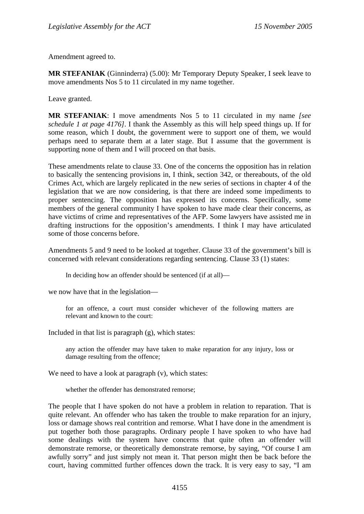Amendment agreed to.

**MR STEFANIAK** (Ginninderra) (5.00): Mr Temporary Deputy Speaker, I seek leave to move amendments Nos 5 to 11 circulated in my name together.

Leave granted.

**MR STEFANIAK**: I move amendments Nos 5 to 11 circulated in my name *[see schedule 1 at page 4176]*. I thank the Assembly as this will help speed things up. If for some reason, which I doubt, the government were to support one of them, we would perhaps need to separate them at a later stage. But I assume that the government is supporting none of them and I will proceed on that basis.

These amendments relate to clause 33. One of the concerns the opposition has in relation to basically the sentencing provisions in, I think, section 342, or thereabouts, of the old Crimes Act, which are largely replicated in the new series of sections in chapter 4 of the legislation that we are now considering, is that there are indeed some impediments to proper sentencing. The opposition has expressed its concerns. Specifically, some members of the general community I have spoken to have made clear their concerns, as have victims of crime and representatives of the AFP. Some lawyers have assisted me in drafting instructions for the opposition's amendments. I think I may have articulated some of those concerns before.

Amendments 5 and 9 need to be looked at together. Clause 33 of the government's bill is concerned with relevant considerations regarding sentencing. Clause 33 (1) states:

In deciding how an offender should be sentenced (if at all)—

we now have that in the legislation—

for an offence, a court must consider whichever of the following matters are relevant and known to the court:

Included in that list is paragraph (g), which states:

any action the offender may have taken to make reparation for any injury, loss or damage resulting from the offence;

We need to have a look at paragraph  $(v)$ , which states:

whether the offender has demonstrated remorse;

The people that I have spoken do not have a problem in relation to reparation. That is quite relevant. An offender who has taken the trouble to make reparation for an injury, loss or damage shows real contrition and remorse. What I have done in the amendment is put together both those paragraphs. Ordinary people I have spoken to who have had some dealings with the system have concerns that quite often an offender will demonstrate remorse, or theoretically demonstrate remorse, by saying, "Of course I am awfully sorry" and just simply not mean it. That person might then be back before the court, having committed further offences down the track. It is very easy to say, "I am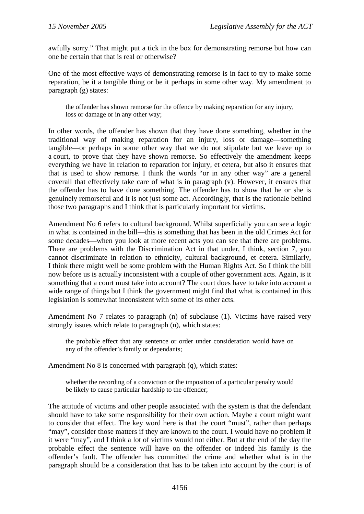awfully sorry." That might put a tick in the box for demonstrating remorse but how can one be certain that that is real or otherwise?

One of the most effective ways of demonstrating remorse is in fact to try to make some reparation, be it a tangible thing or be it perhaps in some other way. My amendment to paragraph (g) states:

the offender has shown remorse for the offence by making reparation for any injury, loss or damage or in any other way;

In other words, the offender has shown that they have done something, whether in the traditional way of making reparation for an injury, loss or damage—something tangible—or perhaps in some other way that we do not stipulate but we leave up to a court, to prove that they have shown remorse. So effectively the amendment keeps everything we have in relation to reparation for injury, et cetera, but also it ensures that that is used to show remorse. I think the words "or in any other way" are a general coverall that effectively take care of what is in paragraph (v). However, it ensures that the offender has to have done something. The offender has to show that he or she is genuinely remorseful and it is not just some act. Accordingly, that is the rationale behind those two paragraphs and I think that is particularly important for victims.

Amendment No 6 refers to cultural background. Whilst superficially you can see a logic in what is contained in the bill—this is something that has been in the old Crimes Act for some decades—when you look at more recent acts you can see that there are problems. There are problems with the Discrimination Act in that under, I think, section 7, you cannot discriminate in relation to ethnicity, cultural background, et cetera. Similarly, I think there might well be some problem with the Human Rights Act. So I think the bill now before us is actually inconsistent with a couple of other government acts. Again, is it something that a court must take into account? The court does have to take into account a wide range of things but I think the government might find that what is contained in this legislation is somewhat inconsistent with some of its other acts.

Amendment No 7 relates to paragraph (n) of subclause (1). Victims have raised very strongly issues which relate to paragraph (n), which states:

the probable effect that any sentence or order under consideration would have on any of the offender's family or dependants;

Amendment No 8 is concerned with paragraph (q), which states:

whether the recording of a conviction or the imposition of a particular penalty would be likely to cause particular hardship to the offender;

The attitude of victims and other people associated with the system is that the defendant should have to take some responsibility for their own action. Maybe a court might want to consider that effect. The key word here is that the court "must", rather than perhaps "may", consider those matters if they are known to the court. I would have no problem if it were "may", and I think a lot of victims would not either. But at the end of the day the probable effect the sentence will have on the offender or indeed his family is the offender's fault. The offender has committed the crime and whether what is in the paragraph should be a consideration that has to be taken into account by the court is of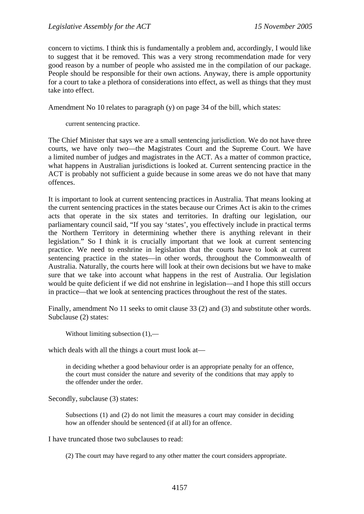concern to victims. I think this is fundamentally a problem and, accordingly, I would like to suggest that it be removed. This was a very strong recommendation made for very good reason by a number of people who assisted me in the compilation of our package. People should be responsible for their own actions. Anyway, there is ample opportunity for a court to take a plethora of considerations into effect, as well as things that they must take into effect.

Amendment No 10 relates to paragraph (y) on page 34 of the bill, which states:

current sentencing practice.

The Chief Minister that says we are a small sentencing jurisdiction. We do not have three courts, we have only two—the Magistrates Court and the Supreme Court. We have a limited number of judges and magistrates in the ACT. As a matter of common practice, what happens in Australian jurisdictions is looked at. Current sentencing practice in the ACT is probably not sufficient a guide because in some areas we do not have that many offences.

It is important to look at current sentencing practices in Australia. That means looking at the current sentencing practices in the states because our Crimes Act is akin to the crimes acts that operate in the six states and territories. In drafting our legislation, our parliamentary council said, "If you say 'states', you effectively include in practical terms the Northern Territory in determining whether there is anything relevant in their legislation." So I think it is crucially important that we look at current sentencing practice. We need to enshrine in legislation that the courts have to look at current sentencing practice in the states—in other words, throughout the Commonwealth of Australia. Naturally, the courts here will look at their own decisions but we have to make sure that we take into account what happens in the rest of Australia. Our legislation would be quite deficient if we did not enshrine in legislation—and I hope this still occurs in practice—that we look at sentencing practices throughout the rest of the states.

Finally, amendment No 11 seeks to omit clause 33 (2) and (3) and substitute other words. Subclause (2) states:

Without limiting subsection  $(1)$ ,—

which deals with all the things a court must look at—

in deciding whether a good behaviour order is an appropriate penalty for an offence, the court must consider the nature and severity of the conditions that may apply to the offender under the order.

Secondly, subclause (3) states:

Subsections (1) and (2) do not limit the measures a court may consider in deciding how an offender should be sentenced (if at all) for an offence.

I have truncated those two subclauses to read:

(2) The court may have regard to any other matter the court considers appropriate.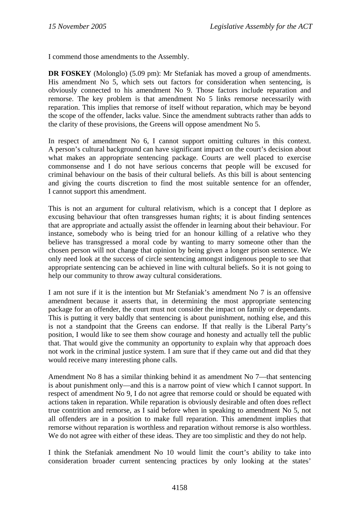I commend those amendments to the Assembly.

**DR FOSKEY** (Molonglo) (5.09 pm): Mr Stefaniak has moved a group of amendments. His amendment No 5, which sets out factors for consideration when sentencing, is obviously connected to his amendment No 9. Those factors include reparation and remorse. The key problem is that amendment No 5 links remorse necessarily with reparation. This implies that remorse of itself without reparation, which may be beyond the scope of the offender, lacks value. Since the amendment subtracts rather than adds to the clarity of these provisions, the Greens will oppose amendment No 5.

In respect of amendment No 6, I cannot support omitting cultures in this context. A person's cultural background can have significant impact on the court's decision about what makes an appropriate sentencing package. Courts are well placed to exercise commonsense and I do not have serious concerns that people will be excused for criminal behaviour on the basis of their cultural beliefs. As this bill is about sentencing and giving the courts discretion to find the most suitable sentence for an offender, I cannot support this amendment.

This is not an argument for cultural relativism, which is a concept that I deplore as excusing behaviour that often transgresses human rights; it is about finding sentences that are appropriate and actually assist the offender in learning about their behaviour. For instance, somebody who is being tried for an honour killing of a relative who they believe has transgressed a moral code by wanting to marry someone other than the chosen person will not change that opinion by being given a longer prison sentence. We only need look at the success of circle sentencing amongst indigenous people to see that appropriate sentencing can be achieved in line with cultural beliefs. So it is not going to help our community to throw away cultural considerations.

I am not sure if it is the intention but Mr Stefaniak's amendment No 7 is an offensive amendment because it asserts that, in determining the most appropriate sentencing package for an offender, the court must not consider the impact on family or dependants. This is putting it very baldly that sentencing is about punishment, nothing else, and this is not a standpoint that the Greens can endorse. If that really is the Liberal Party's position, I would like to see them show courage and honesty and actually tell the public that. That would give the community an opportunity to explain why that approach does not work in the criminal justice system. I am sure that if they came out and did that they would receive many interesting phone calls.

Amendment No 8 has a similar thinking behind it as amendment No 7—that sentencing is about punishment only—and this is a narrow point of view which I cannot support. In respect of amendment No 9, I do not agree that remorse could or should be equated with actions taken in reparation. While reparation is obviously desirable and often does reflect true contrition and remorse, as I said before when in speaking to amendment No 5, not all offenders are in a position to make full reparation. This amendment implies that remorse without reparation is worthless and reparation without remorse is also worthless. We do not agree with either of these ideas. They are too simplistic and they do not help.

I think the Stefaniak amendment No 10 would limit the court's ability to take into consideration broader current sentencing practices by only looking at the states'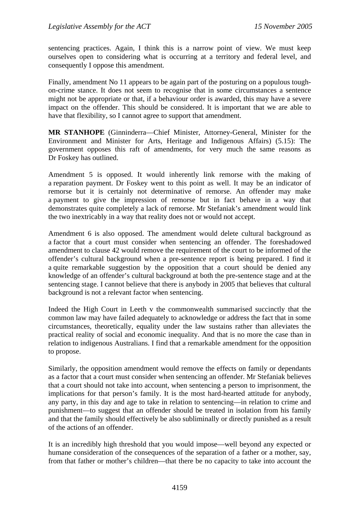sentencing practices. Again, I think this is a narrow point of view. We must keep ourselves open to considering what is occurring at a territory and federal level, and consequently I oppose this amendment.

Finally, amendment No 11 appears to be again part of the posturing on a populous toughon-crime stance. It does not seem to recognise that in some circumstances a sentence might not be appropriate or that, if a behaviour order is awarded, this may have a severe impact on the offender. This should be considered. It is important that we are able to have that flexibility, so I cannot agree to support that amendment.

**MR STANHOPE** (Ginninderra—Chief Minister, Attorney-General, Minister for the Environment and Minister for Arts, Heritage and Indigenous Affairs) (5.15): The government opposes this raft of amendments, for very much the same reasons as Dr Foskey has outlined.

Amendment 5 is opposed. It would inherently link remorse with the making of a reparation payment. Dr Foskey went to this point as well. It may be an indicator of remorse but it is certainly not determinative of remorse. An offender may make a payment to give the impression of remorse but in fact behave in a way that demonstrates quite completely a lack of remorse. Mr Stefaniak's amendment would link the two inextricably in a way that reality does not or would not accept.

Amendment 6 is also opposed. The amendment would delete cultural background as a factor that a court must consider when sentencing an offender. The foreshadowed amendment to clause 42 would remove the requirement of the court to be informed of the offender's cultural background when a pre-sentence report is being prepared. I find it a quite remarkable suggestion by the opposition that a court should be denied any knowledge of an offender's cultural background at both the pre-sentence stage and at the sentencing stage. I cannot believe that there is anybody in 2005 that believes that cultural background is not a relevant factor when sentencing.

Indeed the High Court in Leeth v the commonwealth summarised succinctly that the common law may have failed adequately to acknowledge or address the fact that in some circumstances, theoretically, equality under the law sustains rather than alleviates the practical reality of social and economic inequality. And that is no more the case than in relation to indigenous Australians. I find that a remarkable amendment for the opposition to propose.

Similarly, the opposition amendment would remove the effects on family or dependants as a factor that a court must consider when sentencing an offender. Mr Stefaniak believes that a court should not take into account, when sentencing a person to imprisonment, the implications for that person's family. It is the most hard-hearted attitude for anybody, any party, in this day and age to take in relation to sentencing—in relation to crime and punishment—to suggest that an offender should be treated in isolation from his family and that the family should effectively be also subliminally or directly punished as a result of the actions of an offender.

It is an incredibly high threshold that you would impose—well beyond any expected or humane consideration of the consequences of the separation of a father or a mother, say, from that father or mother's children—that there be no capacity to take into account the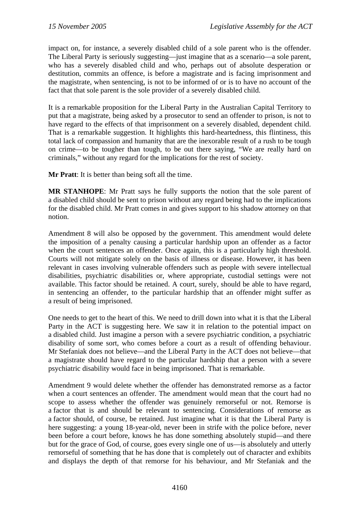impact on, for instance, a severely disabled child of a sole parent who is the offender. The Liberal Party is seriously suggesting—just imagine that as a scenario—a sole parent, who has a severely disabled child and who, perhaps out of absolute desperation or destitution, commits an offence, is before a magistrate and is facing imprisonment and the magistrate, when sentencing, is not to be informed of or is to have no account of the fact that that sole parent is the sole provider of a severely disabled child.

It is a remarkable proposition for the Liberal Party in the Australian Capital Territory to put that a magistrate, being asked by a prosecutor to send an offender to prison, is not to have regard to the effects of that imprisonment on a severely disabled, dependent child. That is a remarkable suggestion. It highlights this hard-heartedness, this flintiness, this total lack of compassion and humanity that are the inexorable result of a rush to be tough on crime—to be tougher than tough, to be out there saying, "We are really hard on criminals," without any regard for the implications for the rest of society.

**Mr Pratt**: It is better than being soft all the time.

**MR STANHOPE**: Mr Pratt says he fully supports the notion that the sole parent of a disabled child should be sent to prison without any regard being had to the implications for the disabled child. Mr Pratt comes in and gives support to his shadow attorney on that notion.

Amendment 8 will also be opposed by the government. This amendment would delete the imposition of a penalty causing a particular hardship upon an offender as a factor when the court sentences an offender. Once again, this is a particularly high threshold. Courts will not mitigate solely on the basis of illness or disease. However, it has been relevant in cases involving vulnerable offenders such as people with severe intellectual disabilities, psychiatric disabilities or, where appropriate, custodial settings were not available. This factor should be retained. A court, surely, should be able to have regard, in sentencing an offender, to the particular hardship that an offender might suffer as a result of being imprisoned.

One needs to get to the heart of this. We need to drill down into what it is that the Liberal Party in the ACT is suggesting here. We saw it in relation to the potential impact on a disabled child. Just imagine a person with a severe psychiatric condition, a psychiatric disability of some sort, who comes before a court as a result of offending behaviour. Mr Stefaniak does not believe—and the Liberal Party in the ACT does not believe—that a magistrate should have regard to the particular hardship that a person with a severe psychiatric disability would face in being imprisoned. That is remarkable.

Amendment 9 would delete whether the offender has demonstrated remorse as a factor when a court sentences an offender. The amendment would mean that the court had no scope to assess whether the offender was genuinely remorseful or not. Remorse is a factor that is and should be relevant to sentencing. Considerations of remorse as a factor should, of course, be retained. Just imagine what it is that the Liberal Party is here suggesting: a young 18-year-old, never been in strife with the police before, never been before a court before, knows he has done something absolutely stupid—and there but for the grace of God, of course, goes every single one of us—is absolutely and utterly remorseful of something that he has done that is completely out of character and exhibits and displays the depth of that remorse for his behaviour, and Mr Stefaniak and the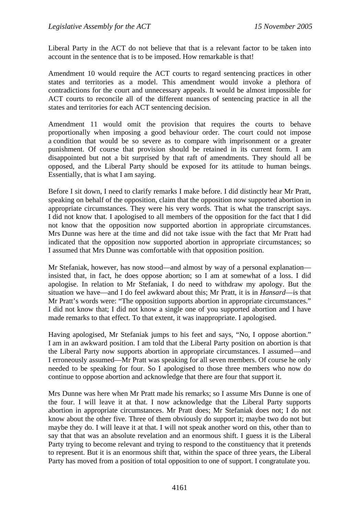Liberal Party in the ACT do not believe that that is a relevant factor to be taken into account in the sentence that is to be imposed. How remarkable is that!

Amendment 10 would require the ACT courts to regard sentencing practices in other states and territories as a model. This amendment would invoke a plethora of contradictions for the court and unnecessary appeals. It would be almost impossible for ACT courts to reconcile all of the different nuances of sentencing practice in all the states and territories for each ACT sentencing decision.

Amendment 11 would omit the provision that requires the courts to behave proportionally when imposing a good behaviour order. The court could not impose a condition that would be so severe as to compare with imprisonment or a greater punishment. Of course that provision should be retained in its current form. I am disappointed but not a bit surprised by that raft of amendments. They should all be opposed, and the Liberal Party should be exposed for its attitude to human beings. Essentially, that is what I am saying.

Before I sit down, I need to clarify remarks I make before. I did distinctly hear Mr Pratt, speaking on behalf of the opposition, claim that the opposition now supported abortion in appropriate circumstances. They were his very words. That is what the transcript says. I did not know that. I apologised to all members of the opposition for the fact that I did not know that the opposition now supported abortion in appropriate circumstances. Mrs Dunne was here at the time and did not take issue with the fact that Mr Pratt had indicated that the opposition now supported abortion in appropriate circumstances; so I assumed that Mrs Dunne was comfortable with that opposition position.

Mr Stefaniak, however, has now stood—and almost by way of a personal explanation insisted that, in fact, he does oppose abortion; so I am at somewhat of a loss. I did apologise. In relation to Mr Stefaniak, I do need to withdraw my apology. But the situation we have—and I do feel awkward about this; Mr Pratt, it is in *Hansard*—is that Mr Pratt's words were: "The opposition supports abortion in appropriate circumstances." I did not know that; I did not know a single one of you supported abortion and I have made remarks to that effect. To that extent, it was inappropriate. I apologised.

Having apologised, Mr Stefaniak jumps to his feet and says, "No, I oppose abortion." I am in an awkward position. I am told that the Liberal Party position on abortion is that the Liberal Party now supports abortion in appropriate circumstances. I assumed—and I erroneously assumed—Mr Pratt was speaking for all seven members. Of course he only needed to be speaking for four. So I apologised to those three members who now do continue to oppose abortion and acknowledge that there are four that support it.

Mrs Dunne was here when Mr Pratt made his remarks; so I assume Mrs Dunne is one of the four. I will leave it at that. I now acknowledge that the Liberal Party supports abortion in appropriate circumstances. Mr Pratt does; Mr Stefaniak does not; I do not know about the other five. Three of them obviously do support it; maybe two do not but maybe they do. I will leave it at that. I will not speak another word on this, other than to say that that was an absolute revelation and an enormous shift. I guess it is the Liberal Party trying to become relevant and trying to respond to the constituency that it pretends to represent. But it is an enormous shift that, within the space of three years, the Liberal Party has moved from a position of total opposition to one of support. I congratulate you.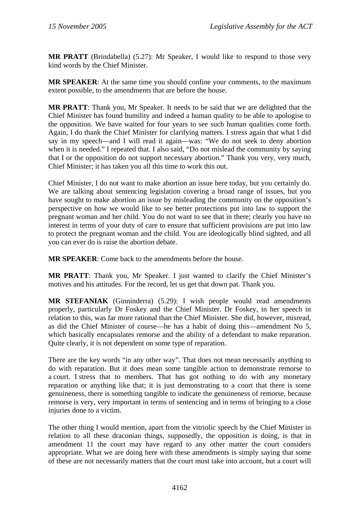**MR PRATT** (Brindabella) (5.27): Mr Speaker, I would like to respond to those very kind words by the Chief Minister.

**MR SPEAKER**: At the same time you should confine your comments, to the maximum extent possible, to the amendments that are before the house.

**MR PRATT**: Thank you, Mr Speaker. It needs to be said that we are delighted that the Chief Minister has found humility and indeed a human quality to be able to apologise to the opposition. We have waited for four years to see such human qualities come forth. Again, I do thank the Chief Minister for clarifying matters. I stress again that what I did say in my speech—and I will read it again—was: "We do not seek to deny abortion when it is needed." I repeated that. I also said, "Do not mislead the community by saying that I or the opposition do not support necessary abortion." Thank you very, very much, Chief Minister; it has taken you all this time to work this out.

Chief Minister, I do not want to make abortion an issue here today, but you certainly do. We are talking about sentencing legislation covering a broad range of issues, but you have sought to make abortion an issue by misleading the community on the opposition's perspective on how we would like to see better protections put into law to support the pregnant woman and her child. You do not want to see that in there; clearly you have no interest in terms of your duty of care to ensure that sufficient provisions are put into law to protect the pregnant woman and the child. You are ideologically blind sighted, and all you can ever do is raise the abortion debate.

**MR SPEAKER**: Come back to the amendments before the house.

**MR PRATT**: Thank you, Mr Speaker. I just wanted to clarify the Chief Minister's motives and his attitudes. For the record, let us get that down pat. Thank you.

**MR STEFANIAK** (Ginninderra) (5.29): I wish people would read amendments properly, particularly Dr Foskey and the Chief Minister. Dr Foskey, in her speech in relation to this, was far more rational than the Chief Minister. She did, however, misread, as did the Chief Minister of course—he has a habit of doing this—amendment No 5, which basically encapsulates remorse and the ability of a defendant to make reparation. Quite clearly, it is not dependent on some type of reparation.

There are the key words "in any other way". That does not mean necessarily anything to do with reparation. But it does mean some tangible action to demonstrate remorse to a court. I stress that to members. That has got nothing to do with any monetary reparation or anything like that; it is just demonstrating to a court that there is some genuineness, there is something tangible to indicate the genuineness of remorse, because remorse is very, very important in terms of sentencing and in terms of bringing to a close injuries done to a victim.

The other thing I would mention, apart from the vitriolic speech by the Chief Minister in relation to all these draconian things, supposedly, the opposition is doing, is that in amendment 11 the court may have regard to any other matter the court considers appropriate. What we are doing here with these amendments is simply saying that some of these are not necessarily matters that the court must take into account, but a court will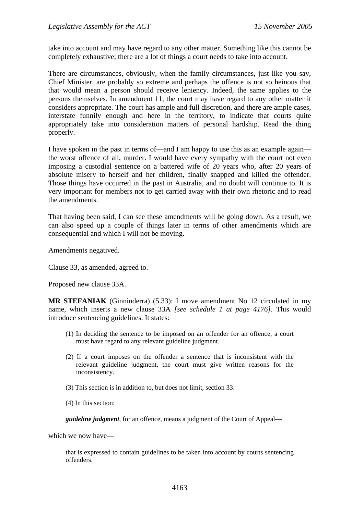take into account and may have regard to any other matter. Something like this cannot be completely exhaustive; there are a lot of things a court needs to take into account.

There are circumstances, obviously, when the family circumstances, just like you say, Chief Minister, are probably so extreme and perhaps the offence is not so heinous that that would mean a person should receive leniency. Indeed, the same applies to the persons themselves. In amendment 11, the court may have regard to any other matter it considers appropriate. The court has ample and full discretion, and there are ample cases, interstate funnily enough and here in the territory, to indicate that courts quite appropriately take into consideration matters of personal hardship. Read the thing properly.

I have spoken in the past in terms of—and I am happy to use this as an example again the worst offence of all, murder. I would have every sympathy with the court not even imposing a custodial sentence on a battered wife of 20 years who, after 20 years of absolute misery to herself and her children, finally snapped and killed the offender. Those things have occurred in the past in Australia, and no doubt will continue to. It is very important for members not to get carried away with their own rhetoric and to read the amendments.

That having been said, I can see these amendments will be going down. As a result, we can also speed up a couple of things later in terms of other amendments which are consequential and which I will not be moving.

Amendments negatived.

Clause 33, as amended, agreed to.

Proposed new clause 33A.

**MR STEFANIAK** (Ginninderra) (5.33): I move amendment No 12 circulated in my name, which inserts a new clause 33A *[see schedule 1 at page 4176]*. This would introduce sentencing guidelines. It states:

- (1) In deciding the sentence to be imposed on an offender for an offence, a court must have regard to any relevant guideline judgment.
- (2) If a court imposes on the offender a sentence that is inconsistent with the relevant guideline judgment, the court must give written reasons for the inconsistency.
- (3) This section is in addition to, but does not limit, section 33.
- (4) In this section:

*guideline judgment*, for an offence, means a judgment of the Court of Appeal—

which we now have—

that is expressed to contain guidelines to be taken into account by courts sentencing offenders.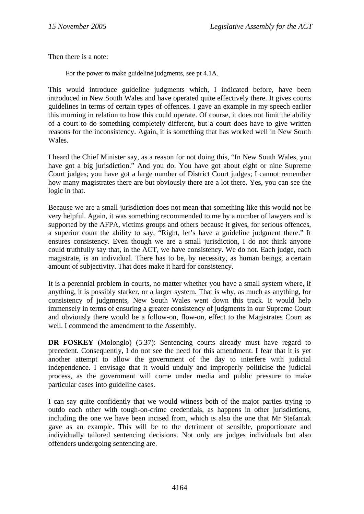Then there is a note:

For the power to make guideline judgments, see pt 4.1A.

This would introduce guideline judgments which, I indicated before, have been introduced in New South Wales and have operated quite effectively there. It gives courts guidelines in terms of certain types of offences. I gave an example in my speech earlier this morning in relation to how this could operate. Of course, it does not limit the ability of a court to do something completely different, but a court does have to give written reasons for the inconsistency. Again, it is something that has worked well in New South Wales.

I heard the Chief Minister say, as a reason for not doing this, "In New South Wales, you have got a big jurisdiction." And you do. You have got about eight or nine Supreme Court judges; you have got a large number of District Court judges; I cannot remember how many magistrates there are but obviously there are a lot there. Yes, you can see the logic in that.

Because we are a small jurisdiction does not mean that something like this would not be very helpful. Again, it was something recommended to me by a number of lawyers and is supported by the AFPA, victims groups and others because it gives, for serious offences, a superior court the ability to say, "Right, let's have a guideline judgment there." It ensures consistency. Even though we are a small jurisdiction, I do not think anyone could truthfully say that, in the ACT, we have consistency. We do not. Each judge, each magistrate, is an individual. There has to be, by necessity, as human beings, a certain amount of subjectivity. That does make it hard for consistency.

It is a perennial problem in courts, no matter whether you have a small system where, if anything, it is possibly starker, or a larger system. That is why, as much as anything, for consistency of judgments, New South Wales went down this track. It would help immensely in terms of ensuring a greater consistency of judgments in our Supreme Court and obviously there would be a follow-on, flow-on, effect to the Magistrates Court as well. I commend the amendment to the Assembly.

**DR FOSKEY** (Molonglo) (5.37): Sentencing courts already must have regard to precedent. Consequently, I do not see the need for this amendment. I fear that it is yet another attempt to allow the government of the day to interfere with judicial independence. I envisage that it would unduly and improperly politicise the judicial process, as the government will come under media and public pressure to make particular cases into guideline cases.

I can say quite confidently that we would witness both of the major parties trying to outdo each other with tough-on-crime credentials, as happens in other jurisdictions, including the one we have been incised from, which is also the one that Mr Stefaniak gave as an example. This will be to the detriment of sensible, proportionate and individually tailored sentencing decisions. Not only are judges individuals but also offenders undergoing sentencing are.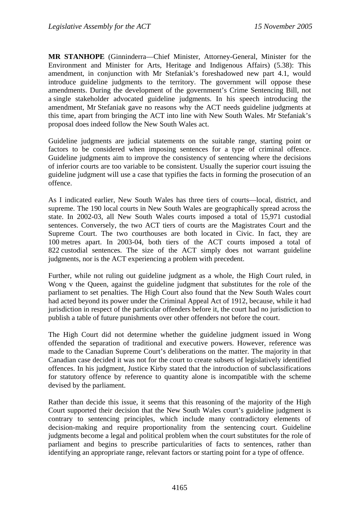**MR STANHOPE** (Ginninderra—Chief Minister, Attorney-General, Minister for the Environment and Minister for Arts, Heritage and Indigenous Affairs) (5.38): This amendment, in conjunction with Mr Stefaniak's foreshadowed new part 4.1, would introduce guideline judgments to the territory. The government will oppose these amendments. During the development of the government's Crime Sentencing Bill, not a single stakeholder advocated guideline judgments. In his speech introducing the amendment, Mr Stefaniak gave no reasons why the ACT needs guideline judgments at this time, apart from bringing the ACT into line with New South Wales. Mr Stefaniak's proposal does indeed follow the New South Wales act.

Guideline judgments are judicial statements on the suitable range, starting point or factors to be considered when imposing sentences for a type of criminal offence. Guideline judgments aim to improve the consistency of sentencing where the decisions of inferior courts are too variable to be consistent. Usually the superior court issuing the guideline judgment will use a case that typifies the facts in forming the prosecution of an offence.

As I indicated earlier, New South Wales has three tiers of courts—local, district, and supreme. The 190 local courts in New South Wales are geographically spread across the state. In 2002-03, all New South Wales courts imposed a total of 15,971 custodial sentences. Conversely, the two ACT tiers of courts are the Magistrates Court and the Supreme Court. The two courthouses are both located in Civic. In fact, they are 100 metres apart. In 2003-04, both tiers of the ACT courts imposed a total of 822 custodial sentences. The size of the ACT simply does not warrant guideline judgments, nor is the ACT experiencing a problem with precedent.

Further, while not ruling out guideline judgment as a whole, the High Court ruled, in Wong v the Queen, against the guideline judgment that substitutes for the role of the parliament to set penalties. The High Court also found that the New South Wales court had acted beyond its power under the Criminal Appeal Act of 1912, because, while it had jurisdiction in respect of the particular offenders before it, the court had no jurisdiction to publish a table of future punishments over other offenders not before the court.

The High Court did not determine whether the guideline judgment issued in Wong offended the separation of traditional and executive powers. However, reference was made to the Canadian Supreme Court's deliberations on the matter. The majority in that Canadian case decided it was not for the court to create subsets of legislatively identified offences. In his judgment, Justice Kirby stated that the introduction of subclassifications for statutory offence by reference to quantity alone is incompatible with the scheme devised by the parliament.

Rather than decide this issue, it seems that this reasoning of the majority of the High Court supported their decision that the New South Wales court's guideline judgment is contrary to sentencing principles, which include many contradictory elements of decision-making and require proportionality from the sentencing court. Guideline judgments become a legal and political problem when the court substitutes for the role of parliament and begins to prescribe particularities of facts to sentences, rather than identifying an appropriate range, relevant factors or starting point for a type of offence.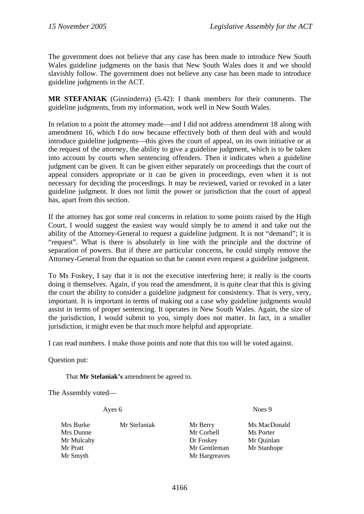The government does not believe that any case has been made to introduce New South Wales guideline judgments on the basis that New South Wales does it and we should slavishly follow. The government does not believe any case has been made to introduce guideline judgments in the ACT.

**MR STEFANIAK** (Ginninderra) (5.42): I thank members for their comments. The guideline judgments, from my information, work well in New South Wales.

In relation to a point the attorney made—and I did not address amendment 18 along with amendment 16, which I do now because effectively both of them deal with and would introduce guideline judgments—this gives the court of appeal, on its own initiative or at the request of the attorney, the ability to give a guideline judgment, which is to be taken into account by courts when sentencing offenders. Then it indicates when a guideline judgment can be given. It can be given either separately on proceedings that the court of appeal considers appropriate or it can be given in proceedings, even when it is not necessary for deciding the proceedings. It may be reviewed, varied or revoked in a later guideline judgment. It does not limit the power or jurisdiction that the court of appeal has, apart from this section.

If the attorney has got some real concerns in relation to some points raised by the High Court, I would suggest the easiest way would simply be to amend it and take out the ability of the Attorney-General to request a guideline judgment. It is not "demand"; it is "request". What is there is absolutely in line with the principle and the doctrine of separation of powers. But if there are particular concerns, he could simply remove the Attorney-General from the equation so that he cannot even request a guideline judgment.

To Ms Foskey, I say that it is not the executive interfering here; it really is the courts doing it themselves. Again, if you read the amendment, it is quite clear that this is giving the court the ability to consider a guideline judgment for consistency. That is very, very, important. It is important in terms of making out a case why guideline judgments would assist in terms of proper sentencing. It operates in New South Wales. Again, the size of the jurisdiction, I would submit to you, simply does not matter. In fact, in a smaller jurisdiction, it might even be that much more helpful and appropriate.

I can read numbers. I make those points and note that this too will be voted against.

Question put:

That **Mr Stefaniak's** amendment be agreed to.

The Assembly voted—

Ayes 6 Noes 9

| Mrs Burke  | Mr Stefaniak | Mr Berry      | Ms MacDonald |
|------------|--------------|---------------|--------------|
| Mrs Dunne  |              | Mr Corbell    | Ms Porter    |
| Mr Mulcahy |              | Dr Foskey     | Mr Quinlan   |
| Mr Pratt   |              | Mr Gentleman  | Mr Stanhope  |
| Mr Smyth   |              | Mr Hargreaves |              |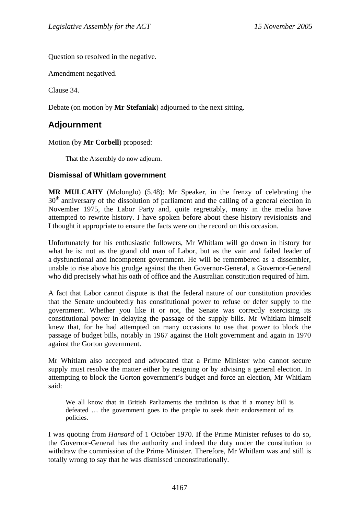Question so resolved in the negative.

Amendment negatived.

Clause 34.

Debate (on motion by **Mr Stefaniak**) adjourned to the next sitting.

# **Adjournment**

Motion (by **Mr Corbell**) proposed:

That the Assembly do now adjourn.

## **Dismissal of Whitlam government**

**MR MULCAHY** (Molonglo) (5.48): Mr Speaker, in the frenzy of celebrating the  $30<sup>th</sup>$  anniversary of the dissolution of parliament and the calling of a general election in November 1975, the Labor Party and, quite regrettably, many in the media have attempted to rewrite history. I have spoken before about these history revisionists and I thought it appropriate to ensure the facts were on the record on this occasion.

Unfortunately for his enthusiastic followers, Mr Whitlam will go down in history for what he is: not as the grand old man of Labor, but as the vain and failed leader of a dysfunctional and incompetent government. He will be remembered as a dissembler, unable to rise above his grudge against the then Governor-General, a Governor-General who did precisely what his oath of office and the Australian constitution required of him.

A fact that Labor cannot dispute is that the federal nature of our constitution provides that the Senate undoubtedly has constitutional power to refuse or defer supply to the government. Whether you like it or not, the Senate was correctly exercising its constitutional power in delaying the passage of the supply bills. Mr Whitlam himself knew that, for he had attempted on many occasions to use that power to block the passage of budget bills, notably in 1967 against the Holt government and again in 1970 against the Gorton government.

Mr Whitlam also accepted and advocated that a Prime Minister who cannot secure supply must resolve the matter either by resigning or by advising a general election. In attempting to block the Gorton government's budget and force an election, Mr Whitlam said:

We all know that in British Parliaments the tradition is that if a money bill is defeated … the government goes to the people to seek their endorsement of its policies.

I was quoting from *Hansard* of 1 October 1970. If the Prime Minister refuses to do so, the Governor-General has the authority and indeed the duty under the constitution to withdraw the commission of the Prime Minister. Therefore, Mr Whitlam was and still is totally wrong to say that he was dismissed unconstitutionally.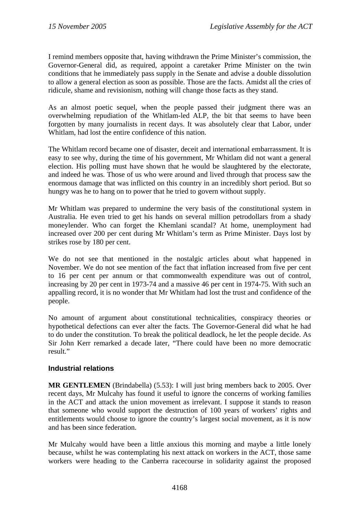I remind members opposite that, having withdrawn the Prime Minister's commission, the Governor-General did, as required, appoint a caretaker Prime Minister on the twin conditions that he immediately pass supply in the Senate and advise a double dissolution to allow a general election as soon as possible. Those are the facts. Amidst all the cries of ridicule, shame and revisionism, nothing will change those facts as they stand.

As an almost poetic sequel, when the people passed their judgment there was an overwhelming repudiation of the Whitlam-led ALP, the bit that seems to have been forgotten by many journalists in recent days. It was absolutely clear that Labor, under Whitlam, had lost the entire confidence of this nation.

The Whitlam record became one of disaster, deceit and international embarrassment. It is easy to see why, during the time of his government, Mr Whitlam did not want a general election. His polling must have shown that he would be slaughtered by the electorate, and indeed he was. Those of us who were around and lived through that process saw the enormous damage that was inflicted on this country in an incredibly short period. But so hungry was he to hang on to power that he tried to govern without supply.

Mr Whitlam was prepared to undermine the very basis of the constitutional system in Australia. He even tried to get his hands on several million petrodollars from a shady moneylender. Who can forget the Khemlani scandal? At home, unemployment had increased over 200 per cent during Mr Whitlam's term as Prime Minister. Days lost by strikes rose by 180 per cent.

We do not see that mentioned in the nostalgic articles about what happened in November. We do not see mention of the fact that inflation increased from five per cent to 16 per cent per annum or that commonwealth expenditure was out of control, increasing by 20 per cent in 1973-74 and a massive 46 per cent in 1974-75. With such an appalling record, it is no wonder that Mr Whitlam had lost the trust and confidence of the people.

No amount of argument about constitutional technicalities, conspiracy theories or hypothetical defections can ever alter the facts. The Governor-General did what he had to do under the constitution. To break the political deadlock, he let the people decide. As Sir John Kerr remarked a decade later, "There could have been no more democratic result."

## **Industrial relations**

**MR GENTLEMEN** (Brindabella) (5.53): I will just bring members back to 2005. Over recent days, Mr Mulcahy has found it useful to ignore the concerns of working families in the ACT and attack the union movement as irrelevant. I suppose it stands to reason that someone who would support the destruction of 100 years of workers' rights and entitlements would choose to ignore the country's largest social movement, as it is now and has been since federation.

Mr Mulcahy would have been a little anxious this morning and maybe a little lonely because, whilst he was contemplating his next attack on workers in the ACT, those same workers were heading to the Canberra racecourse in solidarity against the proposed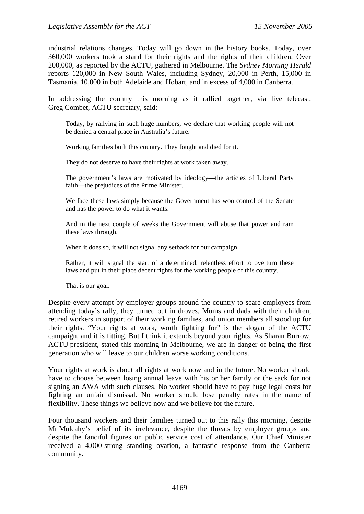industrial relations changes. Today will go down in the history books. Today, over 360,000 workers took a stand for their rights and the rights of their children. Over 200,000, as reported by the ACTU, gathered in Melbourne. The *Sydney Morning Herald* reports 120,000 in New South Wales, including Sydney, 20,000 in Perth, 15,000 in Tasmania, 10,000 in both Adelaide and Hobart, and in excess of 4,000 in Canberra.

In addressing the country this morning as it rallied together, via live telecast, Greg Combet, ACTU secretary, said:

Today, by rallying in such huge numbers, we declare that working people will not be denied a central place in Australia's future.

Working families built this country. They fought and died for it.

They do not deserve to have their rights at work taken away.

The government's laws are motivated by ideology—the articles of Liberal Party faith—the prejudices of the Prime Minister.

We face these laws simply because the Government has won control of the Senate and has the power to do what it wants.

And in the next couple of weeks the Government will abuse that power and ram these laws through.

When it does so, it will not signal any setback for our campaign.

Rather, it will signal the start of a determined, relentless effort to overturn these laws and put in their place decent rights for the working people of this country.

That is our goal.

Despite every attempt by employer groups around the country to scare employees from attending today's rally, they turned out in droves. Mums and dads with their children, retired workers in support of their working families, and union members all stood up for their rights. "Your rights at work, worth fighting for" is the slogan of the ACTU campaign, and it is fitting. But I think it extends beyond your rights. As Sharan Burrow, ACTU president, stated this morning in Melbourne, we are in danger of being the first generation who will leave to our children worse working conditions.

Your rights at work is about all rights at work now and in the future. No worker should have to choose between losing annual leave with his or her family or the sack for not signing an AWA with such clauses. No worker should have to pay huge legal costs for fighting an unfair dismissal. No worker should lose penalty rates in the name of flexibility. These things we believe now and we believe for the future.

Four thousand workers and their families turned out to this rally this morning, despite Mr Mulcahy's belief of its irrelevance, despite the threats by employer groups and despite the fanciful figures on public service cost of attendance. Our Chief Minister received a 4,000-strong standing ovation, a fantastic response from the Canberra community.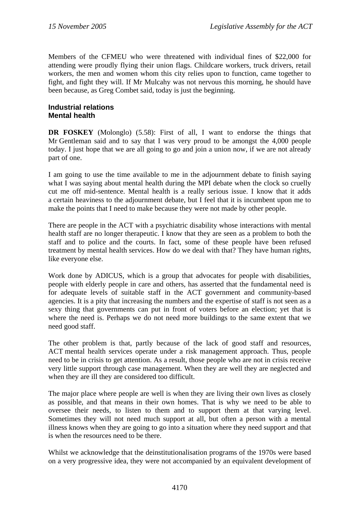Members of the CFMEU who were threatened with individual fines of \$22,000 for attending were proudly flying their union flags. Childcare workers, truck drivers, retail workers, the men and women whom this city relies upon to function, came together to fight, and fight they will. If Mr Mulcahy was not nervous this morning, he should have been because, as Greg Combet said, today is just the beginning.

## **Industrial relations Mental health**

**DR FOSKEY** (Molonglo) (5.58): First of all, I want to endorse the things that Mr Gentleman said and to say that I was very proud to be amongst the 4,000 people today. I just hope that we are all going to go and join a union now, if we are not already part of one.

I am going to use the time available to me in the adjournment debate to finish saying what I was saying about mental health during the MPI debate when the clock so cruelly cut me off mid-sentence. Mental health is a really serious issue. I know that it adds a certain heaviness to the adjournment debate, but I feel that it is incumbent upon me to make the points that I need to make because they were not made by other people.

There are people in the ACT with a psychiatric disability whose interactions with mental health staff are no longer therapeutic. I know that they are seen as a problem to both the staff and to police and the courts. In fact, some of these people have been refused treatment by mental health services. How do we deal with that? They have human rights, like everyone else.

Work done by ADICUS, which is a group that advocates for people with disabilities, people with elderly people in care and others, has asserted that the fundamental need is for adequate levels of suitable staff in the ACT government and community-based agencies. It is a pity that increasing the numbers and the expertise of staff is not seen as a sexy thing that governments can put in front of voters before an election; yet that is where the need is. Perhaps we do not need more buildings to the same extent that we need good staff.

The other problem is that, partly because of the lack of good staff and resources, ACT mental health services operate under a risk management approach. Thus, people need to be in crisis to get attention. As a result, those people who are not in crisis receive very little support through case management. When they are well they are neglected and when they are ill they are considered too difficult.

The major place where people are well is when they are living their own lives as closely as possible, and that means in their own homes. That is why we need to be able to oversee their needs, to listen to them and to support them at that varying level. Sometimes they will not need much support at all, but often a person with a mental illness knows when they are going to go into a situation where they need support and that is when the resources need to be there.

Whilst we acknowledge that the deinstitutionalisation programs of the 1970s were based on a very progressive idea, they were not accompanied by an equivalent development of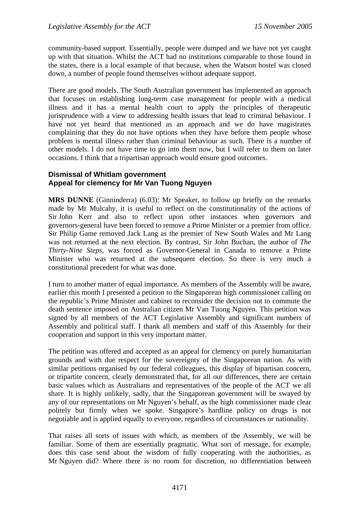community-based support. Essentially, people were dumped and we have not yet caught up with that situation. Whilst the ACT had no institutions comparable to those found in the states, there is a local example of that because, when the Watson hostel was closed down, a number of people found themselves without adequate support.

There are good models. The South Australian government has implemented an approach that focuses on establishing long-term case management for people with a medical illness and it has a mental health court to apply the principles of therapeutic jurisprudence with a view to addressing health issues that lead to criminal behaviour. I have not yet heard that mentioned as an approach and we do have magistrates complaining that they do not have options when they have before them people whose problem is mental illness rather than criminal behaviour as such. There is a number of other models. I do not have time to go into them now, but I will refer to them on later occasions. I think that a tripartisan approach would ensure good outcomes.

## **Dismissal of Whitlam government Appeal for clemency for Mr Van Tuong Nguyen**

**MRS DUNNE** (Ginninderra) (6.03): Mr Speaker, to follow up briefly on the remarks made by Mr Mulcahy, it is useful to reflect on the constitutionality of the actions of Sir John Kerr and also to reflect upon other instances when governors and governors-general have been forced to remove a Prime Minister or a premier from office. Sir Philip Game removed Jack Lang as the premier of New South Wales and Mr Lang was not returned at the next election. By contrast, Sir John Buchan, the author of *The Thirty-Nine Steps*, was forced as Governor-General in Canada to remove a Prime Minister who was returned at the subsequent election. So there is very much a constitutional precedent for what was done.

I turn to another matter of equal importance. As members of the Assembly will be aware, earlier this month I presented a petition to the Singaporean high commissioner calling on the republic's Prime Minister and cabinet to reconsider the decision not to commute the death sentence imposed on Australian citizen Mr Van Tuong Nguyen. This petition was signed by all members of the ACT Legislative Assembly and significant numbers of Assembly and political staff. I thank all members and staff of this Assembly for their cooperation and support in this very important matter.

The petition was offered and accepted as an appeal for clemency on purely humanitarian grounds and with due respect for the sovereignty of the Singaporean nation. As with similar petitions organised by our federal colleagues, this display of bipartisan concern, or tripartite concern, clearly demonstrated that, for all our differences, there are certain basic values which as Australians and representatives of the people of the ACT we all share. It is highly unlikely, sadly, that the Singaporean government will be swayed by any of our representations on Mr Nguyen's behalf, as the high commissioner made clear politely but firmly when we spoke. Singapore's hardline policy on drugs is not negotiable and is applied equally to everyone, regardless of circumstances or nationality.

That raises all sorts of issues with which, as members of the Assembly, we will be familiar. Some of them are essentially pragmatic. What sort of message, for example, does this case send about the wisdom of fully cooperating with the authorities, as Mr Nguyen did? Where there is no room for discretion, no differentiation between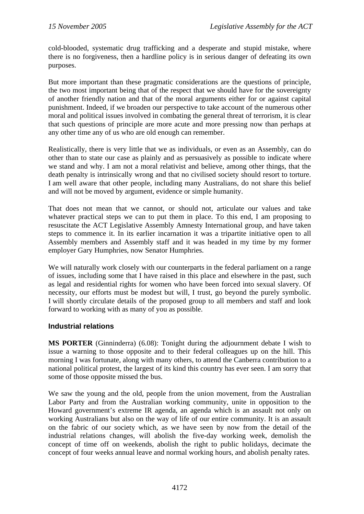cold-blooded, systematic drug trafficking and a desperate and stupid mistake, where there is no forgiveness, then a hardline policy is in serious danger of defeating its own purposes.

But more important than these pragmatic considerations are the questions of principle, the two most important being that of the respect that we should have for the sovereignty of another friendly nation and that of the moral arguments either for or against capital punishment. Indeed, if we broaden our perspective to take account of the numerous other moral and political issues involved in combating the general threat of terrorism, it is clear that such questions of principle are more acute and more pressing now than perhaps at any other time any of us who are old enough can remember.

Realistically, there is very little that we as individuals, or even as an Assembly, can do other than to state our case as plainly and as persuasively as possible to indicate where we stand and why. I am not a moral relativist and believe, among other things, that the death penalty is intrinsically wrong and that no civilised society should resort to torture. I am well aware that other people, including many Australians, do not share this belief and will not be moved by argument, evidence or simple humanity.

That does not mean that we cannot, or should not, articulate our values and take whatever practical steps we can to put them in place. To this end, I am proposing to resuscitate the ACT Legislative Assembly Amnesty International group, and have taken steps to commence it. In its earlier incarnation it was a tripartite initiative open to all Assembly members and Assembly staff and it was headed in my time by my former employer Gary Humphries, now Senator Humphries.

We will naturally work closely with our counterparts in the federal parliament on a range of issues, including some that I have raised in this place and elsewhere in the past, such as legal and residential rights for women who have been forced into sexual slavery. Of necessity, our efforts must be modest but will, I trust, go beyond the purely symbolic. I will shortly circulate details of the proposed group to all members and staff and look forward to working with as many of you as possible.

## **Industrial relations**

**MS PORTER** (Ginninderra) (6.08): Tonight during the adjournment debate I wish to issue a warning to those opposite and to their federal colleagues up on the hill. This morning I was fortunate, along with many others, to attend the Canberra contribution to a national political protest, the largest of its kind this country has ever seen. I am sorry that some of those opposite missed the bus.

We saw the young and the old, people from the union movement, from the Australian Labor Party and from the Australian working community, unite in opposition to the Howard government's extreme IR agenda, an agenda which is an assault not only on working Australians but also on the way of life of our entire community. It is an assault on the fabric of our society which, as we have seen by now from the detail of the industrial relations changes, will abolish the five-day working week, demolish the concept of time off on weekends, abolish the right to public holidays, decimate the concept of four weeks annual leave and normal working hours, and abolish penalty rates.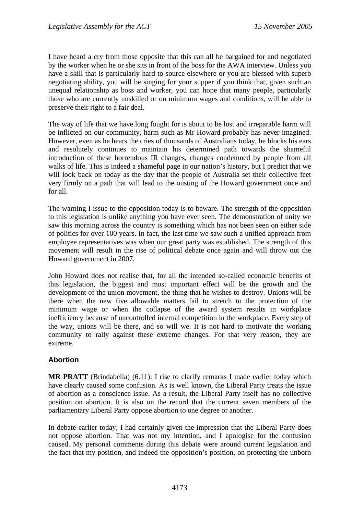I have heard a cry from those opposite that this can all be bargained for and negotiated by the worker when he or she sits in front of the boss for the AWA interview. Unless you have a skill that is particularly hard to source elsewhere or you are blessed with superb negotiating ability, you will be singing for your supper if you think that, given such an unequal relationship as boss and worker, you can hope that many people, particularly those who are currently unskilled or on minimum wages and conditions, will be able to preserve their right to a fair deal.

The way of life that we have long fought for is about to be lost and irreparable harm will be inflicted on our community, harm such as Mr Howard probably has never imagined. However, even as he hears the cries of thousands of Australians today, he blocks his ears and resolutely continues to maintain his determined path towards the shameful introduction of these horrendous IR changes, changes condemned by people from all walks of life. This is indeed a shameful page in our nation's history, but I predict that we will look back on today as the day that the people of Australia set their collective feet very firmly on a path that will lead to the ousting of the Howard government once and for all.

The warning I issue to the opposition today is to beware. The strength of the opposition to this legislation is unlike anything you have ever seen. The demonstration of unity we saw this morning across the country is something which has not been seen on either side of politics for over 100 years. In fact, the last time we saw such a unified approach from employee representatives was when our great party was established. The strength of this movement will result in the rise of political debate once again and will throw out the Howard government in 2007.

John Howard does not realise that, for all the intended so-called economic benefits of this legislation, the biggest and most important effect will be the growth and the development of the union movement, the thing that he wishes to destroy. Unions will be there when the new five allowable matters fail to stretch to the protection of the minimum wage or when the collapse of the award system results in workplace inefficiency because of uncontrolled internal competition in the workplace. Every step of the way, unions will be there, and so will we. It is not hard to motivate the working community to rally against these extreme changes. For that very reason, they are extreme.

## **Abortion**

**MR PRATT** (Brindabella) (6.11): I rise to clarify remarks I made earlier today which have clearly caused some confusion. As is well known, the Liberal Party treats the issue of abortion as a conscience issue. As a result, the Liberal Party itself has no collective position on abortion. It is also on the record that the current seven members of the parliamentary Liberal Party oppose abortion to one degree or another.

In debate earlier today, I had certainly given the impression that the Liberal Party does not oppose abortion. That was not my intention, and I apologise for the confusion caused. My personal comments during this debate were around current legislation and the fact that my position, and indeed the opposition's position, on protecting the unborn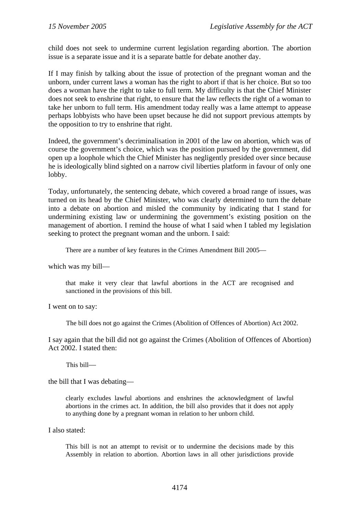child does not seek to undermine current legislation regarding abortion. The abortion issue is a separate issue and it is a separate battle for debate another day.

If I may finish by talking about the issue of protection of the pregnant woman and the unborn, under current laws a woman has the right to abort if that is her choice. But so too does a woman have the right to take to full term. My difficulty is that the Chief Minister does not seek to enshrine that right, to ensure that the law reflects the right of a woman to take her unborn to full term. His amendment today really was a lame attempt to appease perhaps lobbyists who have been upset because he did not support previous attempts by the opposition to try to enshrine that right.

Indeed, the government's decriminalisation in 2001 of the law on abortion, which was of course the government's choice, which was the position pursued by the government, did open up a loophole which the Chief Minister has negligently presided over since because he is ideologically blind sighted on a narrow civil liberties platform in favour of only one lobby.

Today, unfortunately, the sentencing debate, which covered a broad range of issues, was turned on its head by the Chief Minister, who was clearly determined to turn the debate into a debate on abortion and misled the community by indicating that I stand for undermining existing law or undermining the government's existing position on the management of abortion. I remind the house of what I said when I tabled my legislation seeking to protect the pregnant woman and the unborn. I said:

There are a number of key features in the Crimes Amendment Bill 2005—

which was my bill—

that make it very clear that lawful abortions in the ACT are recognised and sanctioned in the provisions of this bill.

I went on to say:

The bill does not go against the Crimes (Abolition of Offences of Abortion) Act 2002.

I say again that the bill did not go against the Crimes (Abolition of Offences of Abortion) Act 2002. I stated then:

This bill—

the bill that I was debating—

clearly excludes lawful abortions and enshrines the acknowledgment of lawful abortions in the crimes act. In addition, the bill also provides that it does not apply to anything done by a pregnant woman in relation to her unborn child.

I also stated:

This bill is not an attempt to revisit or to undermine the decisions made by this Assembly in relation to abortion. Abortion laws in all other jurisdictions provide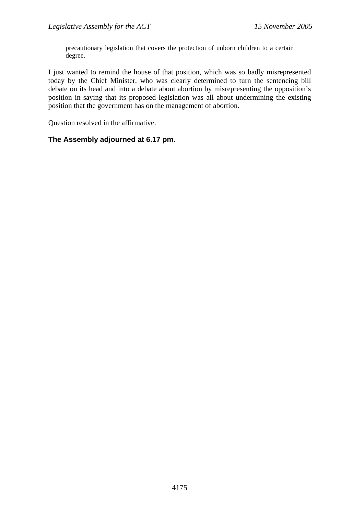precautionary legislation that covers the protection of unborn children to a certain degree.

I just wanted to remind the house of that position, which was so badly misrepresented today by the Chief Minister, who was clearly determined to turn the sentencing bill debate on its head and into a debate about abortion by misrepresenting the opposition's position in saying that its proposed legislation was all about undermining the existing position that the government has on the management of abortion.

Question resolved in the affirmative.

## **The Assembly adjourned at 6.17 pm.**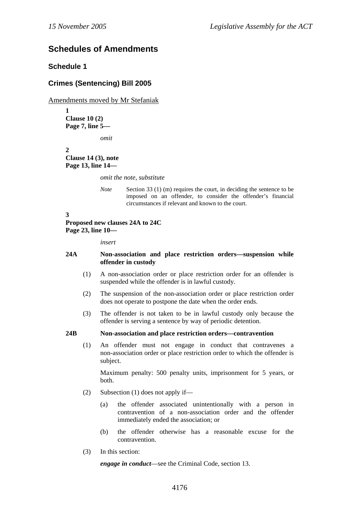# **Schedules of Amendments**

## **Schedule 1**

## **Crimes (Sentencing) Bill 2005**

Amendments moved by Mr Stefaniak

**1 Clause 10 (2) Page 7, line 5—** 

*omit* 

**2 Clause 14 (3), note Page 13, line 14—** 

*omit the note, substitute* 

*Note* Section 33 (1) (m) requires the court, in deciding the sentence to be imposed on an offender, to consider the offender's financial circumstances if relevant and known to the court.

**3** 

## **Proposed new clauses 24A to 24C Page 23, line 10—**

*insert* 

## **24A Non-association and place restriction orders—suspension while offender in custody**

- (1) A non-association order or place restriction order for an offender is suspended while the offender is in lawful custody.
- (2) The suspension of the non-association order or place restriction order does not operate to postpone the date when the order ends.
- (3) The offender is not taken to be in lawful custody only because the offender is serving a sentence by way of periodic detention.

## **24B Non-association and place restriction orders—contravention**

(1) An offender must not engage in conduct that contravenes a non-association order or place restriction order to which the offender is subject.

Maximum penalty: 500 penalty units, imprisonment for 5 years, or both.

- (2) Subsection (1) does not apply if—
	- (a) the offender associated unintentionally with a person in contravention of a non-association order and the offender immediately ended the association; or
	- (b) the offender otherwise has a reasonable excuse for the contravention.
- (3) In this section:

*engage in conduct*—see the Criminal Code, section 13.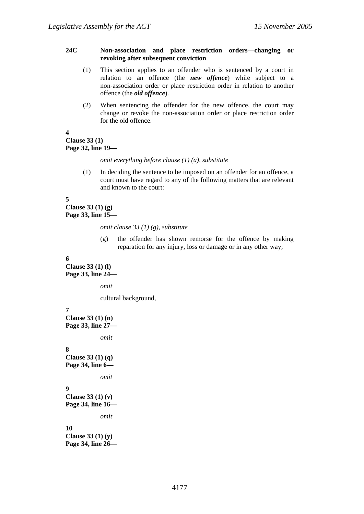### **24C Non-association and place restriction orders—changing or revoking after subsequent conviction**

- (1) This section applies to an offender who is sentenced by a court in relation to an offence (the *new offence*) while subject to a non-association order or place restriction order in relation to another offence (the *old offence*).
- (2) When sentencing the offender for the new offence, the court may change or revoke the non-association order or place restriction order for the old offence.

### **4 Clause 33 (1) Page 32, line 19—**

#### *omit everything before clause (1) (a), substitute*

(1) In deciding the sentence to be imposed on an offender for an offence, a court must have regard to any of the following matters that are relevant and known to the court:

## **5**

**Clause 33 (1) (g) Page 33, line 15—** 

*omit clause 33 (1) (g), substitute* 

(g) the offender has shown remorse for the offence by making reparation for any injury, loss or damage or in any other way;

### **6**

**Clause 33 (1) (l) Page 33, line 24—** 

*omit* 

cultural background,

## **7**

**Clause 33 (1) (n) Page 33, line 27—** 

```
omit
```
### **8**

**Clause 33 (1) (q) Page 34, line 6—** 

*omit* 

## **9**

**Clause 33 (1) (v) Page 34, line 16—** 

*omit* 

# **10**

**Clause 33 (1) (y) Page 34, line 26—**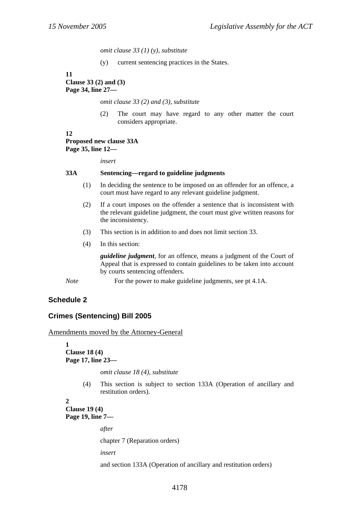*omit clause 33 (1) (y), substitute* 

(y) current sentencing practices in the States.

**11 Clause 33 (2) and (3) Page 34, line 27—** 

*omit clause 33 (2) and (3), substitute* 

(2) The court may have regard to any other matter the court considers appropriate.

#### **12 Proposed new clause 33A Page 35, line 12—**

*insert* 

### **33A Sentencing—regard to guideline judgments**

- (1) In deciding the sentence to be imposed on an offender for an offence, a court must have regard to any relevant guideline judgment.
- (2) If a court imposes on the offender a sentence that is inconsistent with the relevant guideline judgment, the court must give written reasons for the inconsistency.
- (3) This section is in addition to and does not limit section 33.
- (4) In this section:

*guideline judgment*, for an offence, means a judgment of the Court of Appeal that is expressed to contain guidelines to be taken into account by courts sentencing offenders.

*Note* For the power to make guideline judgments, see pt 4.1A.

## **Schedule 2**

## **Crimes (Sentencing) Bill 2005**

Amendments moved by the Attorney-General

**1 Clause 18 (4) Page 17, line 23—** 

*omit clause 18 (4), substitute* 

(4) This section is subject to section 133A (Operation of ancillary and restitution orders).

**2** 

**Clause 19 (4) Page 19, line 7—** 

*after* 

chapter 7 (Reparation orders)

*insert* 

and section 133A (Operation of ancillary and restitution orders)